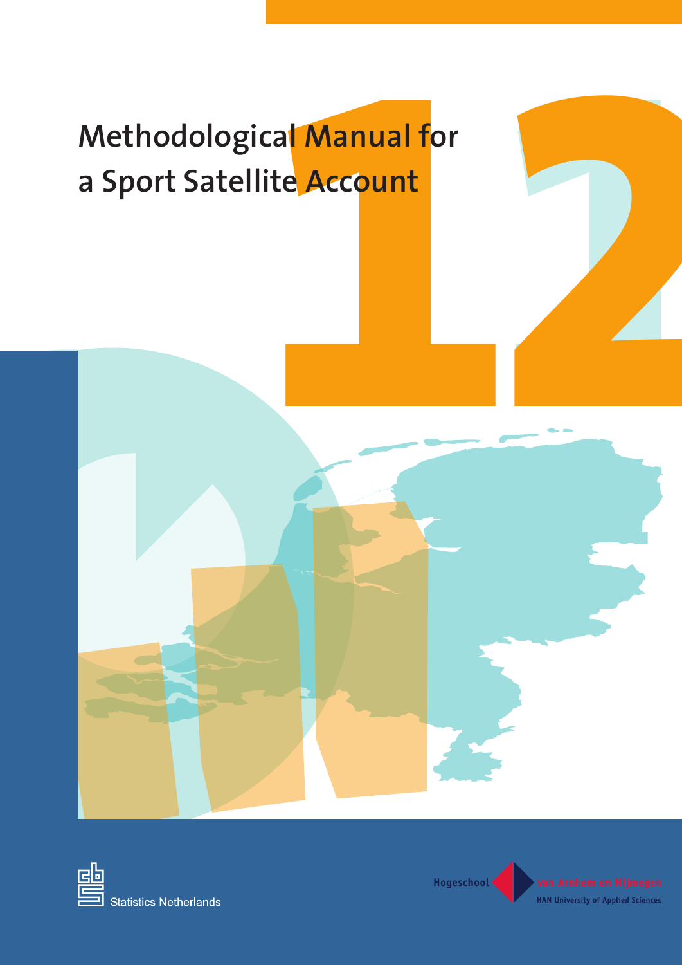# Methodological Manual for<br>a Sport Satellite Account **a Sport Satellite Account**



**HAN University of Applied Sciences**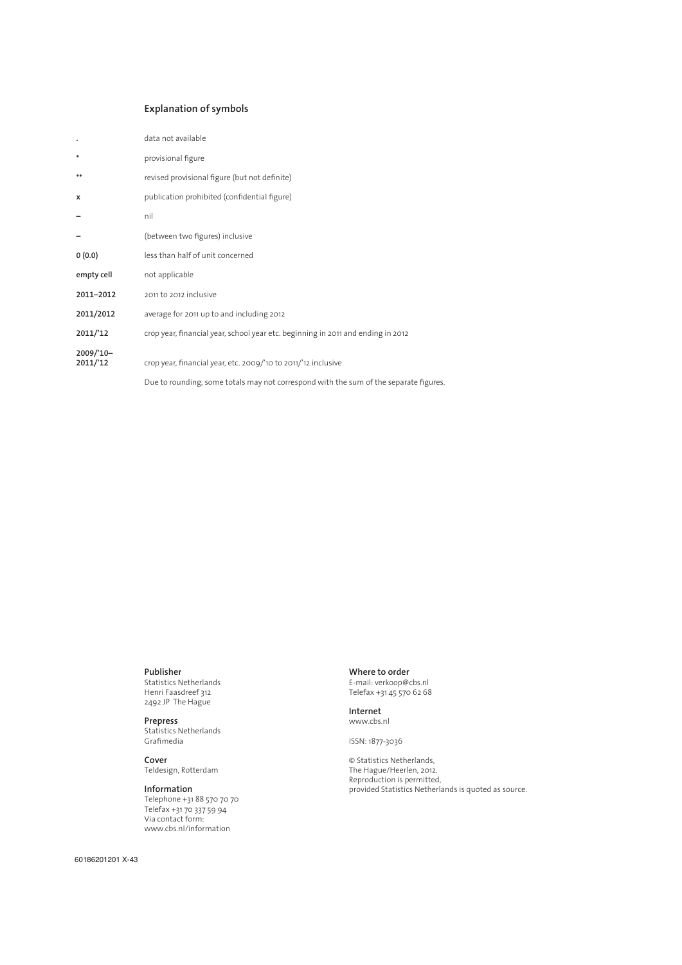## **Explanation of symbols**

| $\ddot{\phantom{0}}$   | data not available                                                                    |
|------------------------|---------------------------------------------------------------------------------------|
| $\ast$                 | provisional figure                                                                    |
| $***$                  | revised provisional figure (but not definite)                                         |
| $\mathbf x$            | publication prohibited (confidential figure)                                          |
|                        | nil                                                                                   |
|                        | (between two figures) inclusive                                                       |
| 0(0.0)                 | less than half of unit concerned                                                      |
| empty cell             | not applicable                                                                        |
| 2011-2012              | 2011 to 2012 inclusive                                                                |
| 2011/2012              | average for 2011 up to and including 2012                                             |
| 2011/'12               | crop year, financial year, school year etc. beginning in 2011 and ending in 2012      |
| $2009/10-$<br>2011/'12 | crop year, financial year, etc. 2009/'10 to 2011/'12 inclusive                        |
|                        | Due to rounding, some totals may not correspond with the sum of the separate figures. |

**Publisher** Statistics Netherlands Henri Faasdreef 312 2492 JP The Hague

**Prepress**  Statistics Netherlands Grafimedia

**Cover** Teldesign, Rotterdam

**Information** Telephone +31 88 570 70 70 Telefax +31 70 337 59 94 Via contact form: www.cbs.nl/information

60186201201 X-43

**Where to order** E-mail: verkoop@cbs.nl Telefax +31 45 570 62 68

**Internet** www.cbs.nl

ISSN: 1877-3036

© Statistics Netherlands, The Hague/Heerlen, 2012. Reproduction is permitted, provided Statistics Netherlands is quoted as source.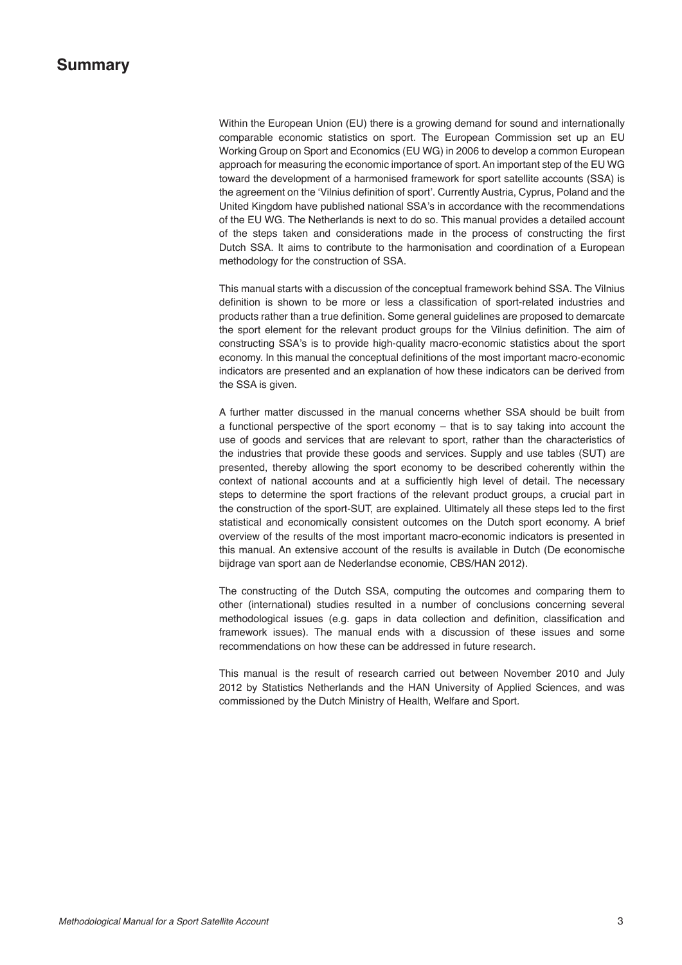# <span id="page-2-0"></span>**Summary**

Within the European Union (EU) there is a growing demand for sound and internationally comparable economic statistics on sport. The European Commission set up an EU Working Group on Sport and Economics (EU WG) in 2006 to develop a common European approach for measuring the economic importance of sport. An important step of the EU WG toward the development of a harmonised framework for sport satellite accounts (SSA) is the agreement on the 'Vilnius definition of sport'. Currently Austria, Cyprus, Poland and the United Kingdom have published national SSA's in accordance with the recommendations of the EU WG. The Netherlands is next to do so. This manual provides a detailed account of the steps taken and considerations made in the process of constructing the first Dutch SSA. It aims to contribute to the harmonisation and coordination of a European methodology for the construction of SSA.

This manual starts with a discussion of the conceptual framework behind SSA. The Vilnius definition is shown to be more or less a classification of sport-related industries and products rather than a true definition. Some general guidelines are proposed to demarcate the sport element for the relevant product groups for the Vilnius definition. The aim of constructing SSA's is to provide high-quality macro-economic statistics about the sport economy. In this manual the conceptual definitions of the most important macro-economic indicators are presented and an explanation of how these indicators can be derived from the SSA is given.

A further matter discussed in the manual concerns whether SSA should be built from a functional perspective of the sport economy – that is to say taking into account the use of goods and services that are relevant to sport, rather than the characteristics of the industries that provide these goods and services. Supply and use tables (SUT) are presented, thereby allowing the sport economy to be described coherently within the context of national accounts and at a sufficiently high level of detail. The necessary steps to determine the sport fractions of the relevant product groups, a crucial part in the construction of the sport-SUT, are explained. Ultimately all these steps led to the first statistical and economically consistent outcomes on the Dutch sport economy. A brief overview of the results of the most important macro-economic indicators is presented in this manual. An extensive account of the results is available in Dutch (De economische bijdrage van sport aan de Nederlandse economie, CBS/HAN 2012).

The constructing of the Dutch SSA, computing the outcomes and comparing them to other (international) studies resulted in a number of conclusions concerning several methodological issues (e.g. gaps in data collection and definition, classification and framework issues). The manual ends with a discussion of these issues and some recommendations on how these can be addressed in future research.

This manual is the result of research carried out between November 2010 and July 2012 by Statistics Netherlands and the HAN University of Applied Sciences, and was commissioned by the Dutch Ministry of Health, Welfare and Sport.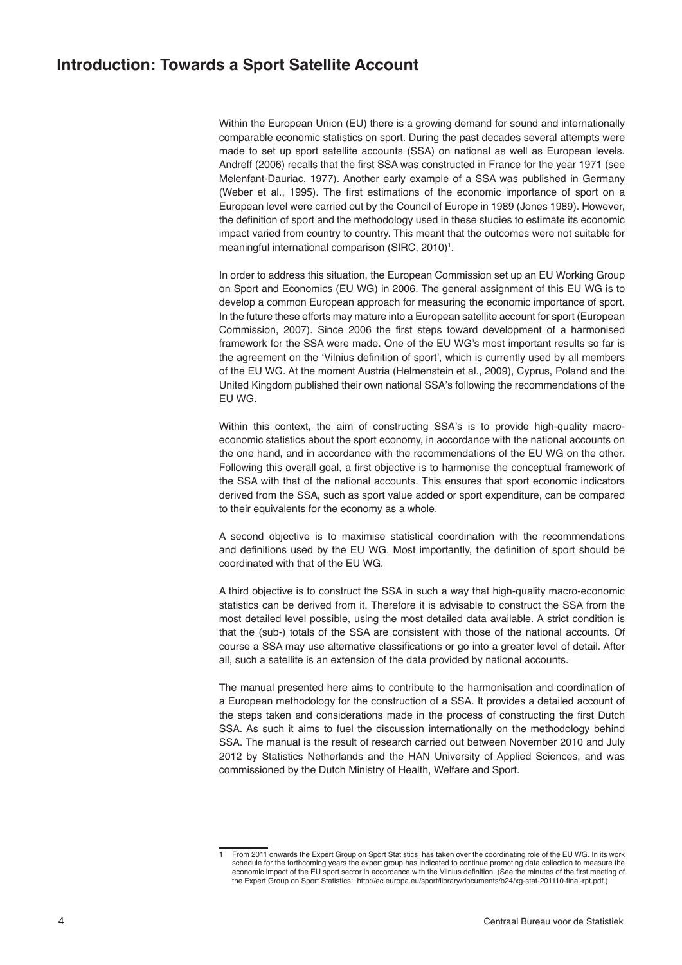# <span id="page-3-0"></span>**Introduction: Towards a Sport Satellite Account**

Within the European Union (EU) there is a growing demand for sound and internationally comparable economic statistics on sport. During the past decades several attempts were made to set up sport satellite accounts (SSA) on national as well as European levels. Andreff (2006) recalls that the first SSA was constructed in France for the year 1971 (see Melenfant-Dauriac, 1977). Another early example of a SSA was published in Germany (Weber et al., 1995). The first estimations of the economic importance of sport on a European level were carried out by the Council of Europe in 1989 (Jones 1989). However, the definition of sport and the methodology used in these studies to estimate its economic impact varied from country to country. This meant that the outcomes were not suitable for meaningful international comparison (SIRC, 2010)<sup>1</sup>.

In order to address this situation, the European Commission set up an EU Working Group on Sport and Economics (EU WG) in 2006. The general assignment of this EU WG is to develop a common European approach for measuring the economic importance of sport. In the future these efforts may mature into a European satellite account for sport (European Commission, 2007). Since 2006 the first steps toward development of a harmonised framework for the SSA were made. One of the EU WG's most important results so far is the agreement on the 'Vilnius definition of sport', which is currently used by all members of the EU WG. At the moment Austria (Helmenstein et al., 2009), Cyprus, Poland and the United Kingdom published their own national SSA's following the recommendations of the EU WG.

Within this context, the aim of constructing SSA's is to provide high-quality macroeconomic statistics about the sport economy, in accordance with the national accounts on the one hand, and in accordance with the recommendations of the EU WG on the other. Following this overall goal, a first objective is to harmonise the conceptual framework of the SSA with that of the national accounts. This ensures that sport economic indicators derived from the SSA, such as sport value added or sport expenditure, can be compared to their equivalents for the economy as a whole.

A second objective is to maximise statistical coordination with the recommendations and definitions used by the EU WG. Most importantly, the definition of sport should be coordinated with that of the EU WG.

A third objective is to construct the SSA in such a way that high-quality macro-economic statistics can be derived from it. Therefore it is advisable to construct the SSA from the most detailed level possible, using the most detailed data available. A strict condition is that the (sub-) totals of the SSA are consistent with those of the national accounts. Of course a SSA may use alternative classifications or go into a greater level of detail. After all, such a satellite is an extension of the data provided by national accounts.

The manual presented here aims to contribute to the harmonisation and coordination of a European methodology for the construction of a SSA. It provides a detailed account of the steps taken and considerations made in the process of constructing the first Dutch SSA. As such it aims to fuel the discussion internationally on the methodology behind SSA. The manual is the result of research carried out between November 2010 and July 2012 by Statistics Netherlands and the HAN University of Applied Sciences, and was commissioned by the Dutch Ministry of Health, Welfare and Sport.

<sup>1</sup> From 2011 onwards the Expert Group on Sport Statistics has taken over the coordinating role of the EU WG. In its work schedule for the forthcoming years the expert group has indicated to continue promoting data collection to measure the economic impact of the EU sport sector in accordance with the Vilnius definition. (See the minutes of the first meeting of the Expert Group on Sport Statistics: http://ec.europa.eu/sport/library/documents/b24/xg-stat-201110-final-rpt.pdf.)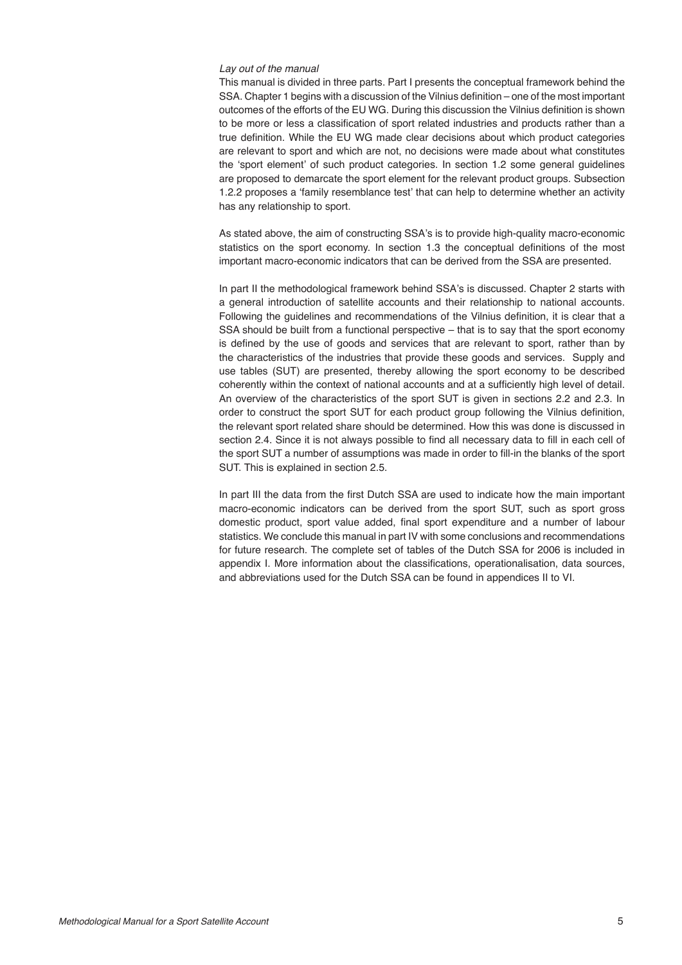## *Lay out of the manual*

This manual is divided in three parts. Part I presents the conceptual framework behind the SSA. Chapter 1 begins with a discussion of the Vilnius definition – one of the most important outcomes of the efforts of the EU WG. During this discussion the Vilnius definition is shown to be more or less a classification of sport related industries and products rather than a true definition. While the EU WG made clear decisions about which product categories are relevant to sport and which are not, no decisions were made about what constitutes the 'sport element' of such product categories. In section 1.2 some general guidelines are proposed to demarcate the sport element for the relevant product groups. Subsection 1.2.2 proposes a 'family resemblance test' that can help to determine whether an activity has any relationship to sport.

As stated above, the aim of constructing SSA's is to provide high-quality macro-economic statistics on the sport economy. In section 1.3 the conceptual definitions of the most important macro-economic indicators that can be derived from the SSA are presented.

In part II the methodological framework behind SSA's is discussed. Chapter 2 starts with a general introduction of satellite accounts and their relationship to national accounts. Following the guidelines and recommendations of the Vilnius definition, it is clear that a SSA should be built from a functional perspective – that is to say that the sport economy is defined by the use of goods and services that are relevant to sport, rather than by the characteristics of the industries that provide these goods and services. Supply and use tables (SUT) are presented, thereby allowing the sport economy to be described coherently within the context of national accounts and at a sufficiently high level of detail. An overview of the characteristics of the sport SUT is given in sections 2.2 and 2.3. In order to construct the sport SUT for each product group following the Vilnius definition, the relevant sport related share should be determined. How this was done is discussed in section 2.4. Since it is not always possible to find all necessary data to fill in each cell of the sport SUT a number of assumptions was made in order to fill-in the blanks of the sport SUT. This is explained in section 2.5.

In part III the data from the first Dutch SSA are used to indicate how the main important macro-economic indicators can be derived from the sport SUT, such as sport gross domestic product, sport value added, final sport expenditure and a number of labour statistics. We conclude this manual in part IV with some conclusions and recommendations for future research. The complete set of tables of the Dutch SSA for 2006 is included in appendix I. More information about the classifications, operationalisation, data sources, and abbreviations used for the Dutch SSA can be found in appendices II to VI.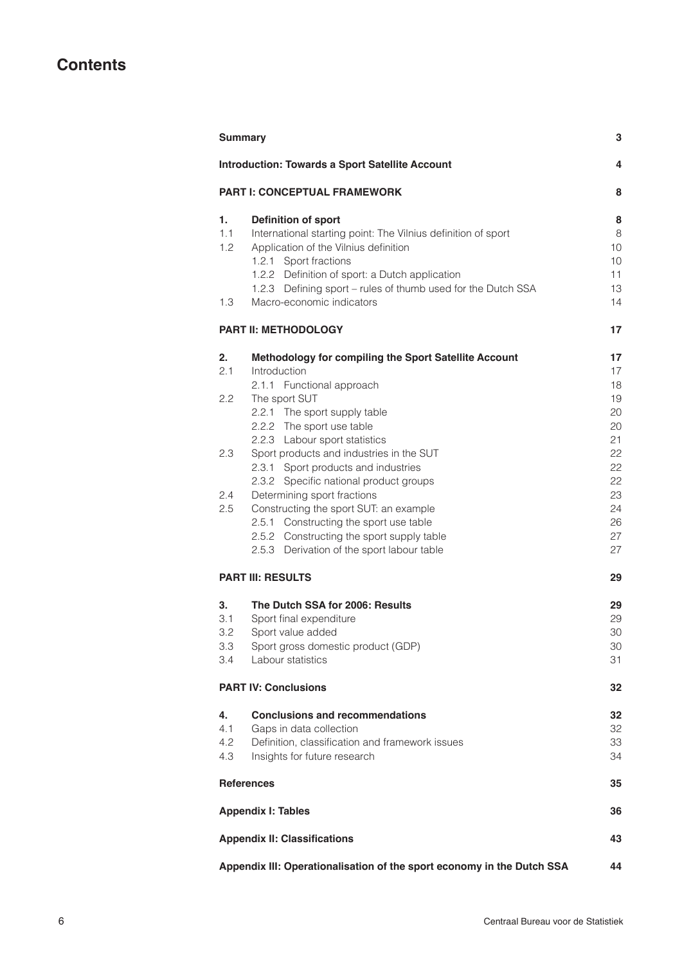| <b>PART I: CONCEPTUAL FRAMEWORK</b><br><b>Definition of sport</b><br>1.1<br>International starting point: The Vilnius definition of sport<br>1.2<br>Application of the Vilnius definition<br>1.2.1 Sport fractions<br>1.2.2 Definition of sport: a Dutch application<br>1.2.3 Defining sport - rules of thumb used for the Dutch SSA<br>Macro-economic indicators<br>1.3<br><b>PART II: METHODOLOGY</b><br>Methodology for compiling the Sport Satellite Account<br>Introduction<br>2.1<br>2.1.1 Functional approach<br>2.2<br>The sport SUT<br>2.2.1 The sport supply table<br>2.2.2 The sport use table<br>2.2.3 Labour sport statistics<br>Sport products and industries in the SUT<br>2.3<br>2.3.1 Sport products and industries<br>2.3.2 Specific national product groups<br>Determining sport fractions<br>$2.4\,$<br>2.5<br>Constructing the sport SUT: an example<br>2.5.1 Constructing the sport use table<br>2.5.2 Constructing the sport supply table<br>2.5.3 Derivation of the sport labour table<br><b>PART III: RESULTS</b><br>The Dutch SSA for 2006: Results<br>3.1<br>Sport final expenditure<br>3.2<br>Sport value added<br>Sport gross domestic product (GDP)<br>3.3<br>Labour statistics<br>3.4<br><b>PART IV: Conclusions</b><br><b>Conclusions and recommendations</b><br>Gaps in data collection<br>4.1<br>4.2<br>Definition, classification and framework issues<br>Insights for future research<br>4.3<br><b>References</b><br><b>Appendix I: Tables</b><br><b>Appendix II: Classifications</b> |    | <b>Introduction: Towards a Sport Satellite Account</b> |  |
|---------------------------------------------------------------------------------------------------------------------------------------------------------------------------------------------------------------------------------------------------------------------------------------------------------------------------------------------------------------------------------------------------------------------------------------------------------------------------------------------------------------------------------------------------------------------------------------------------------------------------------------------------------------------------------------------------------------------------------------------------------------------------------------------------------------------------------------------------------------------------------------------------------------------------------------------------------------------------------------------------------------------------------------------------------------------------------------------------------------------------------------------------------------------------------------------------------------------------------------------------------------------------------------------------------------------------------------------------------------------------------------------------------------------------------------------------------------------------------------------------------------------------|----|--------------------------------------------------------|--|
|                                                                                                                                                                                                                                                                                                                                                                                                                                                                                                                                                                                                                                                                                                                                                                                                                                                                                                                                                                                                                                                                                                                                                                                                                                                                                                                                                                                                                                                                                                                           |    |                                                        |  |
|                                                                                                                                                                                                                                                                                                                                                                                                                                                                                                                                                                                                                                                                                                                                                                                                                                                                                                                                                                                                                                                                                                                                                                                                                                                                                                                                                                                                                                                                                                                           | 1. |                                                        |  |
|                                                                                                                                                                                                                                                                                                                                                                                                                                                                                                                                                                                                                                                                                                                                                                                                                                                                                                                                                                                                                                                                                                                                                                                                                                                                                                                                                                                                                                                                                                                           |    |                                                        |  |
|                                                                                                                                                                                                                                                                                                                                                                                                                                                                                                                                                                                                                                                                                                                                                                                                                                                                                                                                                                                                                                                                                                                                                                                                                                                                                                                                                                                                                                                                                                                           |    |                                                        |  |
|                                                                                                                                                                                                                                                                                                                                                                                                                                                                                                                                                                                                                                                                                                                                                                                                                                                                                                                                                                                                                                                                                                                                                                                                                                                                                                                                                                                                                                                                                                                           |    |                                                        |  |
|                                                                                                                                                                                                                                                                                                                                                                                                                                                                                                                                                                                                                                                                                                                                                                                                                                                                                                                                                                                                                                                                                                                                                                                                                                                                                                                                                                                                                                                                                                                           |    |                                                        |  |
|                                                                                                                                                                                                                                                                                                                                                                                                                                                                                                                                                                                                                                                                                                                                                                                                                                                                                                                                                                                                                                                                                                                                                                                                                                                                                                                                                                                                                                                                                                                           |    |                                                        |  |
|                                                                                                                                                                                                                                                                                                                                                                                                                                                                                                                                                                                                                                                                                                                                                                                                                                                                                                                                                                                                                                                                                                                                                                                                                                                                                                                                                                                                                                                                                                                           |    |                                                        |  |
|                                                                                                                                                                                                                                                                                                                                                                                                                                                                                                                                                                                                                                                                                                                                                                                                                                                                                                                                                                                                                                                                                                                                                                                                                                                                                                                                                                                                                                                                                                                           |    |                                                        |  |
|                                                                                                                                                                                                                                                                                                                                                                                                                                                                                                                                                                                                                                                                                                                                                                                                                                                                                                                                                                                                                                                                                                                                                                                                                                                                                                                                                                                                                                                                                                                           | 2. |                                                        |  |
|                                                                                                                                                                                                                                                                                                                                                                                                                                                                                                                                                                                                                                                                                                                                                                                                                                                                                                                                                                                                                                                                                                                                                                                                                                                                                                                                                                                                                                                                                                                           |    |                                                        |  |
|                                                                                                                                                                                                                                                                                                                                                                                                                                                                                                                                                                                                                                                                                                                                                                                                                                                                                                                                                                                                                                                                                                                                                                                                                                                                                                                                                                                                                                                                                                                           |    |                                                        |  |
|                                                                                                                                                                                                                                                                                                                                                                                                                                                                                                                                                                                                                                                                                                                                                                                                                                                                                                                                                                                                                                                                                                                                                                                                                                                                                                                                                                                                                                                                                                                           |    |                                                        |  |
|                                                                                                                                                                                                                                                                                                                                                                                                                                                                                                                                                                                                                                                                                                                                                                                                                                                                                                                                                                                                                                                                                                                                                                                                                                                                                                                                                                                                                                                                                                                           |    |                                                        |  |
|                                                                                                                                                                                                                                                                                                                                                                                                                                                                                                                                                                                                                                                                                                                                                                                                                                                                                                                                                                                                                                                                                                                                                                                                                                                                                                                                                                                                                                                                                                                           |    |                                                        |  |
|                                                                                                                                                                                                                                                                                                                                                                                                                                                                                                                                                                                                                                                                                                                                                                                                                                                                                                                                                                                                                                                                                                                                                                                                                                                                                                                                                                                                                                                                                                                           |    |                                                        |  |
|                                                                                                                                                                                                                                                                                                                                                                                                                                                                                                                                                                                                                                                                                                                                                                                                                                                                                                                                                                                                                                                                                                                                                                                                                                                                                                                                                                                                                                                                                                                           |    |                                                        |  |
|                                                                                                                                                                                                                                                                                                                                                                                                                                                                                                                                                                                                                                                                                                                                                                                                                                                                                                                                                                                                                                                                                                                                                                                                                                                                                                                                                                                                                                                                                                                           |    |                                                        |  |
|                                                                                                                                                                                                                                                                                                                                                                                                                                                                                                                                                                                                                                                                                                                                                                                                                                                                                                                                                                                                                                                                                                                                                                                                                                                                                                                                                                                                                                                                                                                           |    |                                                        |  |
|                                                                                                                                                                                                                                                                                                                                                                                                                                                                                                                                                                                                                                                                                                                                                                                                                                                                                                                                                                                                                                                                                                                                                                                                                                                                                                                                                                                                                                                                                                                           |    |                                                        |  |
|                                                                                                                                                                                                                                                                                                                                                                                                                                                                                                                                                                                                                                                                                                                                                                                                                                                                                                                                                                                                                                                                                                                                                                                                                                                                                                                                                                                                                                                                                                                           |    |                                                        |  |
|                                                                                                                                                                                                                                                                                                                                                                                                                                                                                                                                                                                                                                                                                                                                                                                                                                                                                                                                                                                                                                                                                                                                                                                                                                                                                                                                                                                                                                                                                                                           |    |                                                        |  |
|                                                                                                                                                                                                                                                                                                                                                                                                                                                                                                                                                                                                                                                                                                                                                                                                                                                                                                                                                                                                                                                                                                                                                                                                                                                                                                                                                                                                                                                                                                                           |    |                                                        |  |
|                                                                                                                                                                                                                                                                                                                                                                                                                                                                                                                                                                                                                                                                                                                                                                                                                                                                                                                                                                                                                                                                                                                                                                                                                                                                                                                                                                                                                                                                                                                           |    |                                                        |  |
|                                                                                                                                                                                                                                                                                                                                                                                                                                                                                                                                                                                                                                                                                                                                                                                                                                                                                                                                                                                                                                                                                                                                                                                                                                                                                                                                                                                                                                                                                                                           | 3. |                                                        |  |
|                                                                                                                                                                                                                                                                                                                                                                                                                                                                                                                                                                                                                                                                                                                                                                                                                                                                                                                                                                                                                                                                                                                                                                                                                                                                                                                                                                                                                                                                                                                           |    |                                                        |  |
|                                                                                                                                                                                                                                                                                                                                                                                                                                                                                                                                                                                                                                                                                                                                                                                                                                                                                                                                                                                                                                                                                                                                                                                                                                                                                                                                                                                                                                                                                                                           |    |                                                        |  |
|                                                                                                                                                                                                                                                                                                                                                                                                                                                                                                                                                                                                                                                                                                                                                                                                                                                                                                                                                                                                                                                                                                                                                                                                                                                                                                                                                                                                                                                                                                                           |    |                                                        |  |
|                                                                                                                                                                                                                                                                                                                                                                                                                                                                                                                                                                                                                                                                                                                                                                                                                                                                                                                                                                                                                                                                                                                                                                                                                                                                                                                                                                                                                                                                                                                           |    |                                                        |  |
|                                                                                                                                                                                                                                                                                                                                                                                                                                                                                                                                                                                                                                                                                                                                                                                                                                                                                                                                                                                                                                                                                                                                                                                                                                                                                                                                                                                                                                                                                                                           |    |                                                        |  |
|                                                                                                                                                                                                                                                                                                                                                                                                                                                                                                                                                                                                                                                                                                                                                                                                                                                                                                                                                                                                                                                                                                                                                                                                                                                                                                                                                                                                                                                                                                                           | 4. |                                                        |  |
|                                                                                                                                                                                                                                                                                                                                                                                                                                                                                                                                                                                                                                                                                                                                                                                                                                                                                                                                                                                                                                                                                                                                                                                                                                                                                                                                                                                                                                                                                                                           |    |                                                        |  |
|                                                                                                                                                                                                                                                                                                                                                                                                                                                                                                                                                                                                                                                                                                                                                                                                                                                                                                                                                                                                                                                                                                                                                                                                                                                                                                                                                                                                                                                                                                                           |    |                                                        |  |
|                                                                                                                                                                                                                                                                                                                                                                                                                                                                                                                                                                                                                                                                                                                                                                                                                                                                                                                                                                                                                                                                                                                                                                                                                                                                                                                                                                                                                                                                                                                           |    |                                                        |  |
|                                                                                                                                                                                                                                                                                                                                                                                                                                                                                                                                                                                                                                                                                                                                                                                                                                                                                                                                                                                                                                                                                                                                                                                                                                                                                                                                                                                                                                                                                                                           |    |                                                        |  |
|                                                                                                                                                                                                                                                                                                                                                                                                                                                                                                                                                                                                                                                                                                                                                                                                                                                                                                                                                                                                                                                                                                                                                                                                                                                                                                                                                                                                                                                                                                                           |    |                                                        |  |
|                                                                                                                                                                                                                                                                                                                                                                                                                                                                                                                                                                                                                                                                                                                                                                                                                                                                                                                                                                                                                                                                                                                                                                                                                                                                                                                                                                                                                                                                                                                           |    |                                                        |  |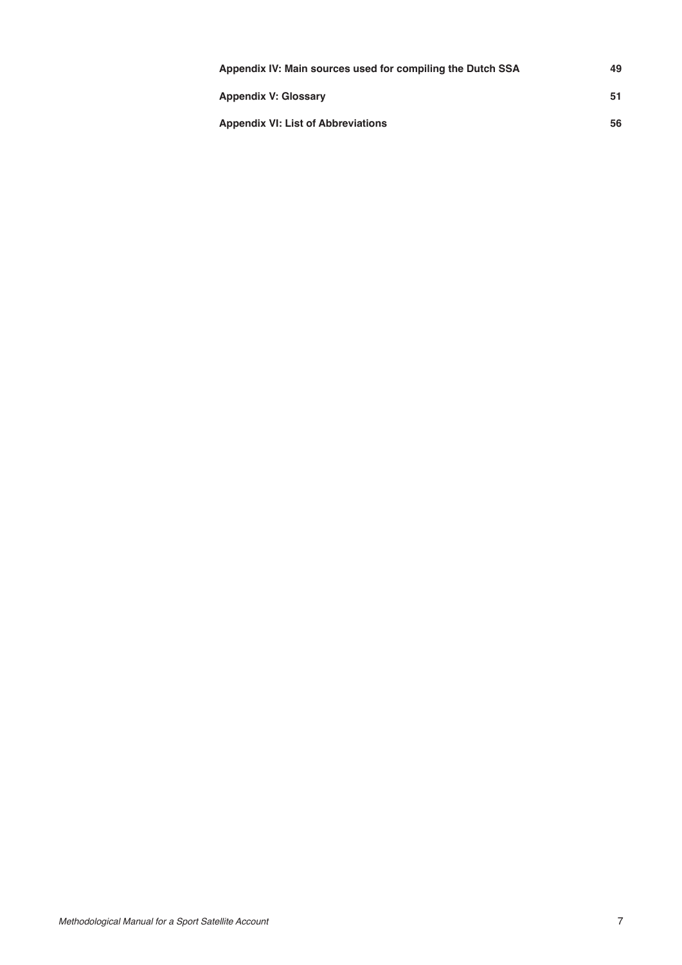| Appendix IV: Main sources used for compiling the Dutch SSA | 49 |
|------------------------------------------------------------|----|
| <b>Appendix V: Glossary</b>                                | 51 |
| <b>Appendix VI: List of Abbreviations</b>                  | 56 |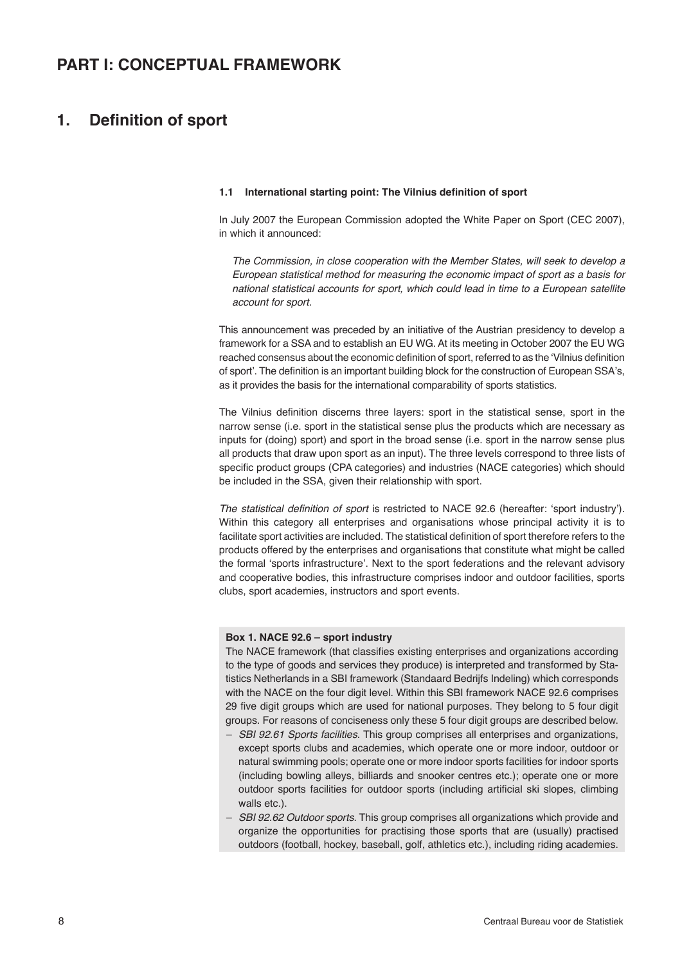# <span id="page-7-0"></span>**PART I: CONCEPTUAL FRAMEWORK**

# **1. Definition of sport**

## **1.1 International starting point: The Vilnius definition of sport**

In July 2007 the European Commission adopted the White Paper on Sport (CEC 2007), in which it announced:

*The Commission, in close cooperation with the Member States, will seek to develop a European statistical method for measuring the economic impact of sport as a basis for national statistical accounts for sport, which could lead in time to a European satellite account for sport.*

This announcement was preceded by an initiative of the Austrian presidency to develop a framework for a SSA and to establish an EU WG. At its meeting in October 2007 the EU WG reached consensus about the economic definition of sport, referred to as the 'Vilnius definition of sport'. The definition is an important building block for the construction of European SSA's, as it provides the basis for the international comparability of sports statistics.

The Vilnius definition discerns three layers: sport in the statistical sense, sport in the narrow sense (i.e. sport in the statistical sense plus the products which are necessary as inputs for (doing) sport) and sport in the broad sense (i.e. sport in the narrow sense plus all products that draw upon sport as an input). The three levels correspond to three lists of specific product groups (CPA categories) and industries (NACE categories) which should be included in the SSA, given their relationship with sport.

The statistical definition of sport is restricted to NACE 92.6 (hereafter: 'sport industry'). Within this category all enterprises and organisations whose principal activity it is to facilitate sport activities are included. The statistical definition of sport therefore refers to the products offered by the enterprises and organisations that constitute what might be called the formal 'sports infrastructure'. Next to the sport federations and the relevant advisory and cooperative bodies, this infrastructure comprises indoor and outdoor facilities, sports clubs, sport academies, instructors and sport events.

## **Box 1. NACE 92.6 – sport industry**

The NACE framework (that classifies existing enterprises and organizations according to the type of goods and services they produce) is interpreted and transformed by Statistics Netherlands in a SBI framework (Standaard Bedrijfs Indeling) which corresponds with the NACE on the four digit level. Within this SBI framework NACE 92.6 comprises 29 five digit groups which are used for national purposes. They belong to 5 four digit groups. For reasons of conciseness only these 5 four digit groups are described below.

- *– SBI 92.61 Sports facilities*. This group comprises all enterprises and organizations, except sports clubs and academies, which operate one or more indoor, outdoor or natural swimming pools; operate one or more indoor sports facilities for indoor sports (including bowling alleys, billiards and snooker centres etc.); operate one or more outdoor sports facilities for outdoor sports (including artificial ski slopes, climbing walls etc.).
- *– SBI 92.62 Outdoor sports*. This group comprises all organizations which provide and organize the opportunities for practising those sports that are (usually) practised outdoors (football, hockey, baseball, golf, athletics etc.), including riding academies.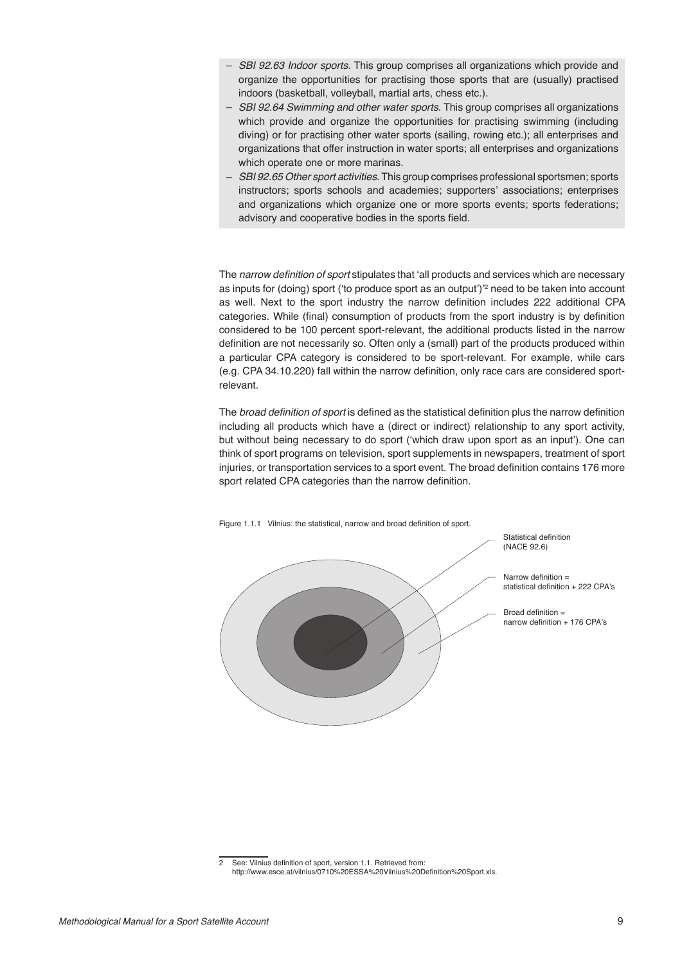- *– SBI 92.63 Indoor sports.* This group comprises all organizations which provide and organize the opportunities for practising those sports that are (usually) practised indoors (basketball, volleyball, martial arts, chess etc.).
- *– SBI 92.64 Swimming and other water sports*. This group comprises all organizations which provide and organize the opportunities for practising swimming (including diving) or for practising other water sports (sailing, rowing etc.); all enterprises and organizations that offer instruction in water sports; all enterprises and organizations which operate one or more marinas.
- *– SBI 92.65 Other sport activities*. This group comprises professional sportsmen; sports instructors; sports schools and academies; supporters' associations; enterprises and organizations which organize one or more sports events; sports federations; advisory and cooperative bodies in the sports field.

The narrow definition of sport stipulates that 'all products and services which are necessary as inputs for (doing) sport ('to produce sport as an output')<sup>'2</sup> need to be taken into account as well. Next to the sport industry the narrow definition includes 222 additional CPA categories. While (final) consumption of products from the sport industry is by definition considered to be 100 percent sport-relevant, the additional products listed in the narrow definition are not necessarily so. Often only a (small) part of the products produced within a particular CPA category is considered to be sport-relevant. For example, while cars (e.g. CPA 34.10.220) fall within the narrow definition, only race cars are considered sportrelevant.

The broad definition of sport is defined as the statistical definition plus the narrow definition including all products which have a (direct or indirect) relationship to any sport activity, but without being necessary to do sport ('which draw upon sport as an input'). One can think of sport programs on television, sport supplements in newspapers, treatment of sport injuries, or transportation services to a sport event. The broad definition contains 176 more sport related CPA categories than the narrow definition.



<sup>2</sup> See: Vilnius definition of sport, version 1.1. Retrieved from: http://www.esce.at/vilnius/0710%20ESSA%20Vilnius%20Definition%20Sport.xls.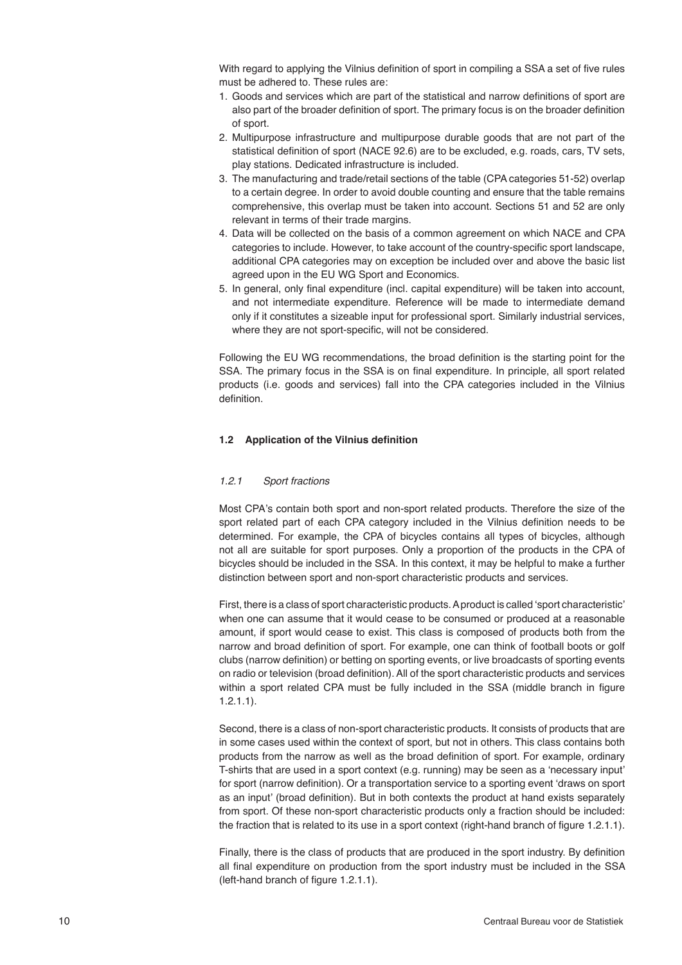<span id="page-9-0"></span>With regard to applying the Vilnius definition of sport in compiling a SSA a set of five rules must be adhered to. These rules are:

- 1. Goods and services which are part of the statistical and narrow definitions of sport are also part of the broader definition of sport. The primary focus is on the broader definition of sport.
- 2. Multipurpose infrastructure and multipurpose durable goods that are not part of the statistical definition of sport (NACE 92.6) are to be excluded, e.g. roads, cars, TV sets, play stations. Dedicated infrastructure is included.
- 3. The manufacturing and trade/retail sections of the table (CPA categories 51-52) overlap to a certain degree. In order to avoid double counting and ensure that the table remains comprehensive, this overlap must be taken into account. Sections 51 and 52 are only relevant in terms of their trade margins.
- 4. Data will be collected on the basis of a common agreement on which NACE and CPA categories to include. However, to take account of the country-specific sport landscape, additional CPA categories may on exception be included over and above the basic list agreed upon in the EU WG Sport and Economics.
- 5. In general, only final expenditure (incl. capital expenditure) will be taken into account, and not intermediate expenditure. Reference will be made to intermediate demand only if it constitutes a sizeable input for professional sport. Similarly industrial services, where they are not sport-specific, will not be considered.

Following the EU WG recommendations, the broad definition is the starting point for the SSA. The primary focus in the SSA is on final expenditure. In principle, all sport related products (i.e. goods and services) fall into the CPA categories included in the Vilnius definition.

## **1.2 Application of the Vilnius definition**

## *1.2.1 Sport fractions*

Most CPA's contain both sport and non-sport related products. Therefore the size of the sport related part of each CPA category included in the Vilnius definition needs to be determined. For example, the CPA of bicycles contains all types of bicycles, although not all are suitable for sport purposes. Only a proportion of the products in the CPA of bicycles should be included in the SSA. In this context, it may be helpful to make a further distinction between sport and non-sport characteristic products and services.

First, there is a class of sport characteristic products. A product is called 'sport characteristic' when one can assume that it would cease to be consumed or produced at a reasonable amount, if sport would cease to exist. This class is composed of products both from the narrow and broad definition of sport. For example, one can think of football boots or golf clubs (narrow definition) or betting on sporting events, or live broadcasts of sporting events on radio or television (broad definition). All of the sport characteristic products and services within a sport related CPA must be fully included in the SSA (middle branch in figure 1.2.1.1).

Second, there is a class of non-sport characteristic products. It consists of products that are in some cases used within the context of sport, but not in others. This class contains both products from the narrow as well as the broad definition of sport. For example, ordinary T-shirts that are used in a sport context (e.g. running) may be seen as a 'necessary input' for sport (narrow definition). Or a transportation service to a sporting event 'draws on sport as an input' (broad definition). But in both contexts the product at hand exists separately from sport. Of these non-sport characteristic products only a fraction should be included: the fraction that is related to its use in a sport context (right-hand branch of figure 1.2.1.1).

Finally, there is the class of products that are produced in the sport industry. By definition all final expenditure on production from the sport industry must be included in the SSA (left-hand branch of figure 1.2.1.1).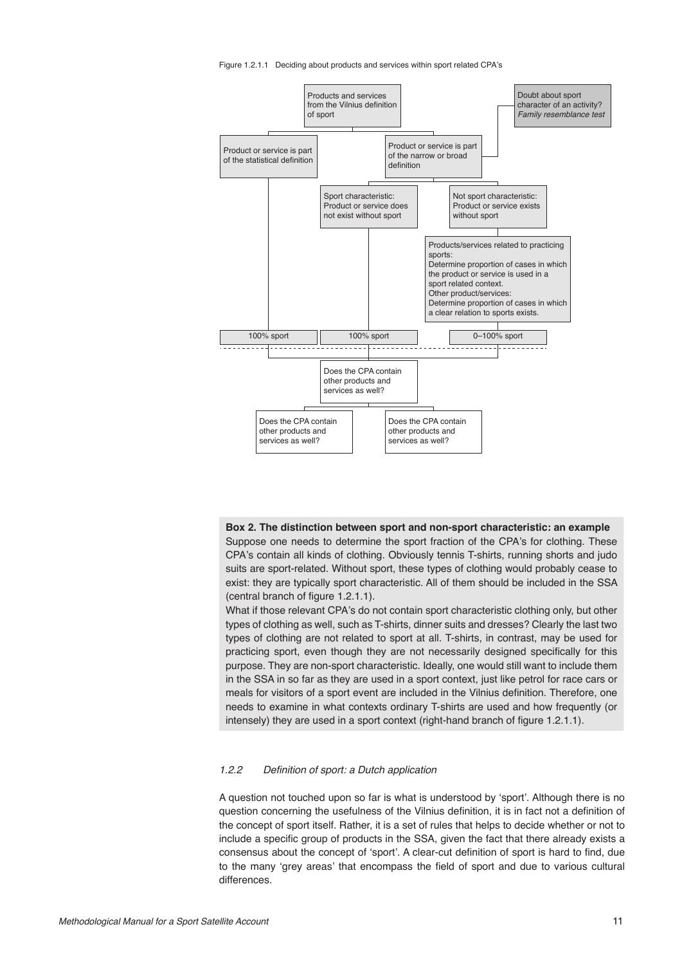Figure 1.2.1.1 Deciding about products and services within sport related CPA's

<span id="page-10-0"></span>

**Box 2. The distinction between sport and non-sport characteristic: an example** Suppose one needs to determine the sport fraction of the CPA's for clothing. These CPA's contain all kinds of clothing. Obviously tennis T-shirts, running shorts and judo suits are sport-related. Without sport, these types of clothing would probably cease to exist: they are typically sport characteristic. All of them should be included in the SSA (central branch of figure 1.2.1.1).

What if those relevant CPA's do not contain sport characteristic clothing only, but other types of clothing as well, such as T-shirts, dinner suits and dresses? Clearly the last two types of clothing are not related to sport at all. T-shirts, in contrast, may be used for practicing sport, even though they are not necessarily designed specifically for this purpose. They are non-sport characteristic. Ideally, one would still want to include them in the SSA in so far as they are used in a sport context, just like petrol for race cars or meals for visitors of a sport event are included in the Vilnius definition. Therefore, one needs to examine in what contexts ordinary T-shirts are used and how frequently (or intensely) they are used in a sport context (right-hand branch of figure 1.2.1.1).

## 1.2.2 Definition of sport: a Dutch application

A question not touched upon so far is what is understood by 'sport'. Although there is no question concerning the usefulness of the Vilnius definition, it is in fact not a definition of the concept of sport itself. Rather, it is a set of rules that helps to decide whether or not to include a specific group of products in the SSA, given the fact that there already exists a consensus about the concept of 'sport'. A clear-cut definition of sport is hard to find, due to the many 'grey areas' that encompass the field of sport and due to various cultural differences.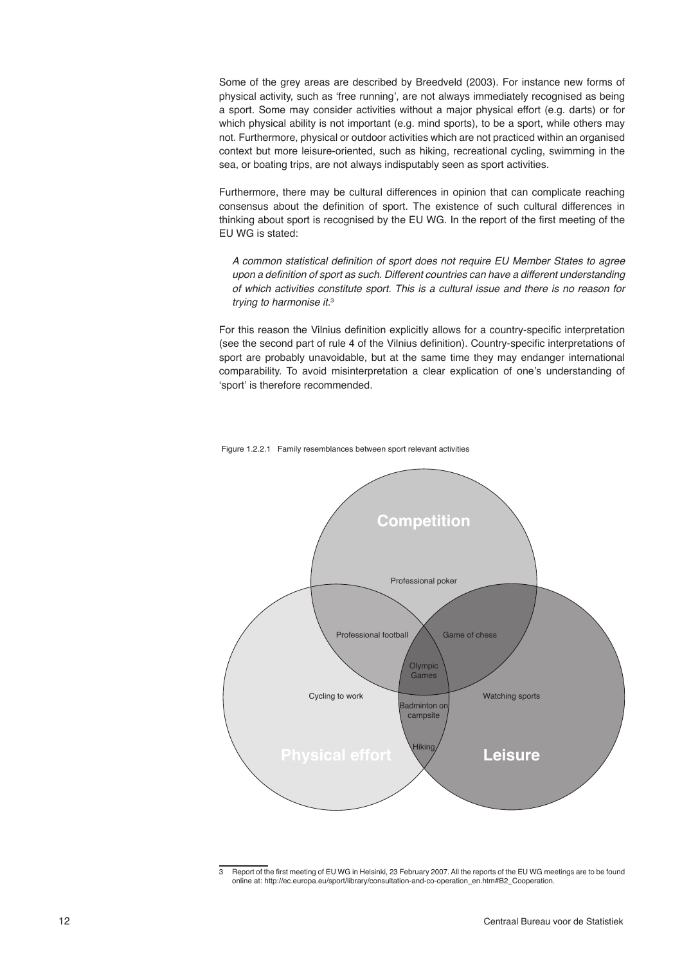Some of the grey areas are described by Breedveld (2003). For instance new forms of physical activity, such as 'free running', are not always immediately recognised as being a sport. Some may consider activities without a major physical effort (e.g. darts) or for which physical ability is not important (e.g. mind sports), to be a sport, while others may not. Furthermore, physical or outdoor activities which are not practiced within an organised context but more leisure-oriented, such as hiking, recreational cycling, swimming in the sea, or boating trips, are not always indisputably seen as sport activities.

Furthermore, there may be cultural differences in opinion that can complicate reaching consensus about the definition of sport. The existence of such cultural differences in thinking about sport is recognised by the EU WG. In the report of the first meeting of the EU WG is stated:

A common statistical definition of sport does not require EU Member States to agree upon a definition of sport as such. Different countries can have a different understanding *of which activities constitute sport. This is a cultural issue and there is no reason for trying to harmonise it.*<sup>3</sup> 

For this reason the Vilnius definition explicitly allows for a country-specific interpretation (see the second part of rule 4 of the Vilnius definition). Country-specific interpretations of sport are probably unavoidable, but at the same time they may endanger international comparability. To avoid misinterpretation a clear explication of one's understanding of 'sport' is therefore recommended.





<sup>3</sup> Report of the first meeting of EU WG in Helsinki, 23 February 2007. All the reports of the EU WG meetings are to be found online at: http://ec.europa.eu/sport/library/consultation-and-co-operation\_en.htm#B2\_Cooperation.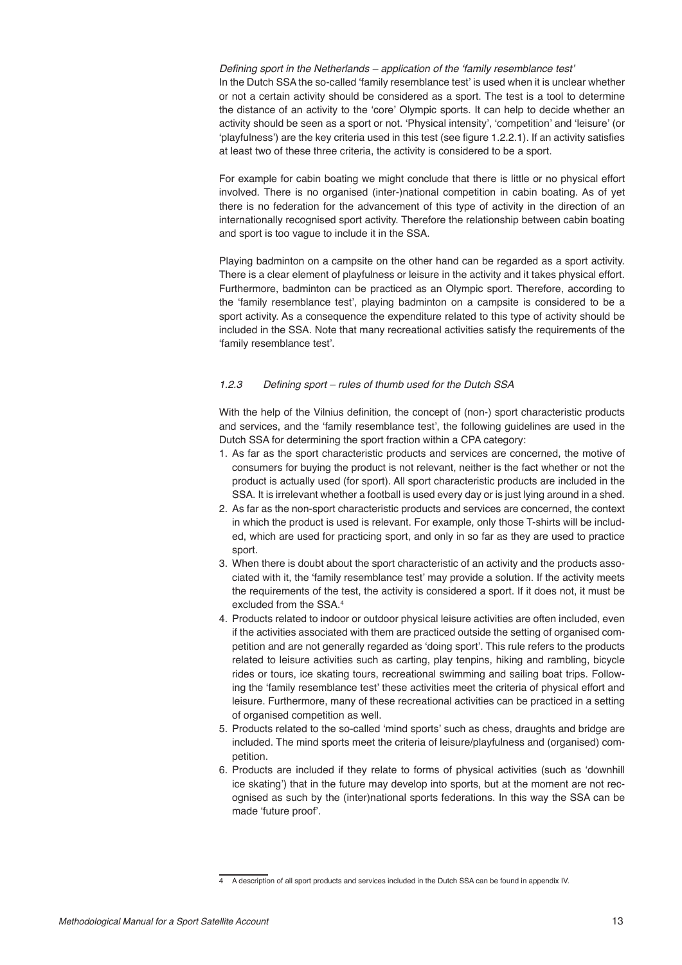<span id="page-12-0"></span>Defining sport in the Netherlands – application of the 'family resemblance test' In the Dutch SSA the so-called 'family resemblance test' is used when it is unclear whether or not a certain activity should be considered as a sport. The test is a tool to determine the distance of an activity to the 'core' Olympic sports. It can help to decide whether an activity should be seen as a sport or not. 'Physical intensity', 'competition' and 'leisure' (or 'playfulness') are the key criteria used in this test (see figure 1.2.2.1). If an activity satisfies at least two of these three criteria, the activity is considered to be a sport.

For example for cabin boating we might conclude that there is little or no physical effort involved. There is no organised (inter-)national competition in cabin boating. As of yet there is no federation for the advancement of this type of activity in the direction of an internationally recognised sport activity. Therefore the relationship between cabin boating and sport is too vague to include it in the SSA.

Playing badminton on a campsite on the other hand can be regarded as a sport activity. There is a clear element of playfulness or leisure in the activity and it takes physical effort. Furthermore, badminton can be practiced as an Olympic sport. Therefore, according to the 'family resemblance test', playing badminton on a campsite is considered to be a sport activity. As a consequence the expenditure related to this type of activity should be included in the SSA. Note that many recreational activities satisfy the requirements of the 'family resemblance test'.

## 1.2.3 Defining sport – rules of thumb used for the Dutch SSA

With the help of the Vilnius definition, the concept of (non-) sport characteristic products and services, and the 'family resemblance test', the following guidelines are used in the Dutch SSA for determining the sport fraction within a CPA category:

- 1. As far as the sport characteristic products and services are concerned, the motive of consumers for buying the product is not relevant, neither is the fact whether or not the product is actually used (for sport). All sport characteristic products are included in the SSA. It is irrelevant whether a football is used every day or is just lying around in a shed.
- 2. As far as the non-sport characteristic products and services are concerned, the context in which the product is used is relevant. For example, only those T-shirts will be included, which are used for practicing sport, and only in so far as they are used to practice sport.
- 3. When there is doubt about the sport characteristic of an activity and the products associated with it, the 'family resemblance test' may provide a solution. If the activity meets the requirements of the test, the activity is considered a sport. If it does not, it must be excluded from the SSA.4
- 4. Products related to indoor or outdoor physical leisure activities are often included, even if the activities associated with them are practiced outside the setting of organised competition and are not generally regarded as 'doing sport'. This rule refers to the products related to leisure activities such as carting, play tenpins, hiking and rambling, bicycle rides or tours, ice skating tours, recreational swimming and sailing boat trips. Following the 'family resemblance test' these activities meet the criteria of physical effort and leisure. Furthermore, many of these recreational activities can be practiced in a setting of organised competition as well.
- 5. Products related to the so-called 'mind sports' such as chess, draughts and bridge are included. The mind sports meet the criteria of leisure/playfulness and (organised) competition.
- 6. Products are included if they relate to forms of physical activities (such as 'downhill ice skating') that in the future may develop into sports, but at the moment are not recognised as such by the (inter)national sports federations. In this way the SSA can be made 'future proof'.

<sup>4</sup> A description of all sport products and services included in the Dutch SSA can be found in appendix IV.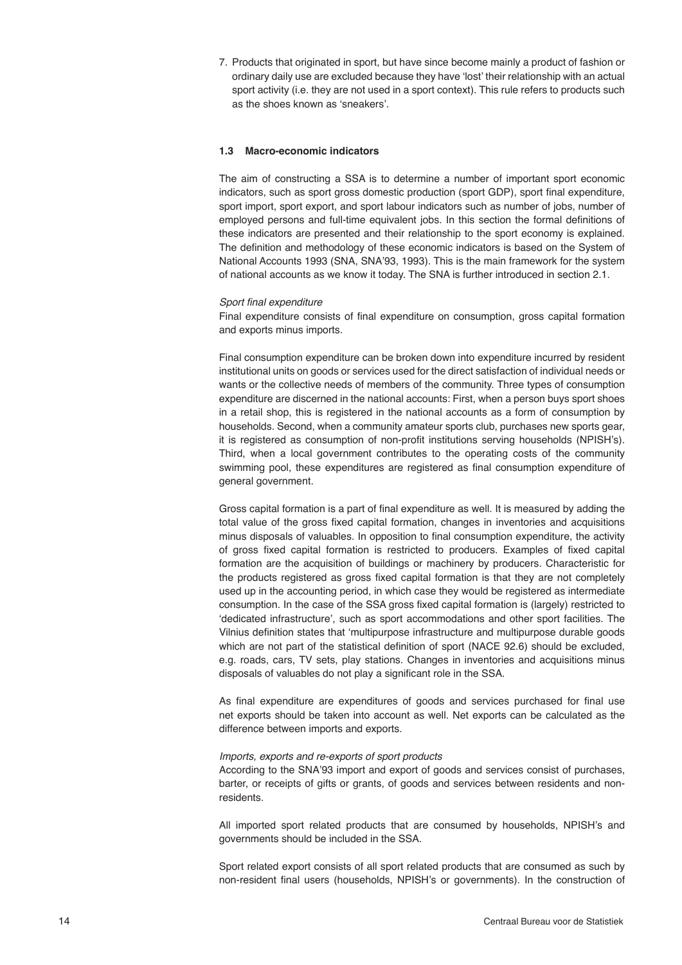<span id="page-13-0"></span>7. Products that originated in sport, but have since become mainly a product of fashion or ordinary daily use are excluded because they have 'lost' their relationship with an actual sport activity (i.e. they are not used in a sport context). This rule refers to products such as the shoes known as 'sneakers'.

## **1.3 Macro-economic indicators**

The aim of constructing a SSA is to determine a number of important sport economic indicators, such as sport gross domestic production (sport GDP), sport final expenditure, sport import, sport export, and sport labour indicators such as number of jobs, number of employed persons and full-time equivalent jobs. In this section the formal definitions of these indicators are presented and their relationship to the sport economy is explained. The definition and methodology of these economic indicators is based on the System of National Accounts 1993 (SNA, SNA'93, 1993). This is the main framework for the system of national accounts as we know it today. The SNA is further introduced in section 2.1.

#### Sport final expenditure

Final expenditure consists of final expenditure on consumption, gross capital formation and exports minus imports.

Final consumption expenditure can be broken down into expenditure incurred by resident institutional units on goods or services used for the direct satisfaction of individual needs or wants or the collective needs of members of the community. Three types of consumption expenditure are discerned in the national accounts: First, when a person buys sport shoes in a retail shop, this is registered in the national accounts as a form of consumption by households. Second, when a community amateur sports club, purchases new sports gear, it is registered as consumption of non-profit institutions serving households (NPISH's). Third, when a local government contributes to the operating costs of the community swimming pool, these expenditures are registered as final consumption expenditure of general government.

Gross capital formation is a part of final expenditure as well. It is measured by adding the total value of the gross fixed capital formation, changes in inventories and acquisitions minus disposals of valuables. In opposition to final consumption expenditure, the activity of gross fixed capital formation is restricted to producers. Examples of fixed capital formation are the acquisition of buildings or machinery by producers. Characteristic for the products registered as gross fixed capital formation is that they are not completely used up in the accounting period, in which case they would be registered as intermediate consumption. In the case of the SSA gross fixed capital formation is (largely) restricted to 'dedicated infrastructure', such as sport accommodations and other sport facilities. The Vilnius definition states that 'multipurpose infrastructure and multipurpose durable goods which are not part of the statistical definition of sport (NACE 92.6) should be excluded, e.g. roads, cars, TV sets, play stations. Changes in inventories and acquisitions minus disposals of valuables do not play a significant role in the SSA.

As final expenditure are expenditures of goods and services purchased for final use net exports should be taken into account as well. Net exports can be calculated as the difference between imports and exports.

#### Imports, exports and re-exports of sport products

According to the SNA'93 import and export of goods and services consist of purchases, barter, or receipts of gifts or grants, of goods and services between residents and nonresidents.

All imported sport related products that are consumed by households, NPISH's and governments should be included in the SSA.

Sport related export consists of all sport related products that are consumed as such by non-resident final users (households, NPISH's or governments). In the construction of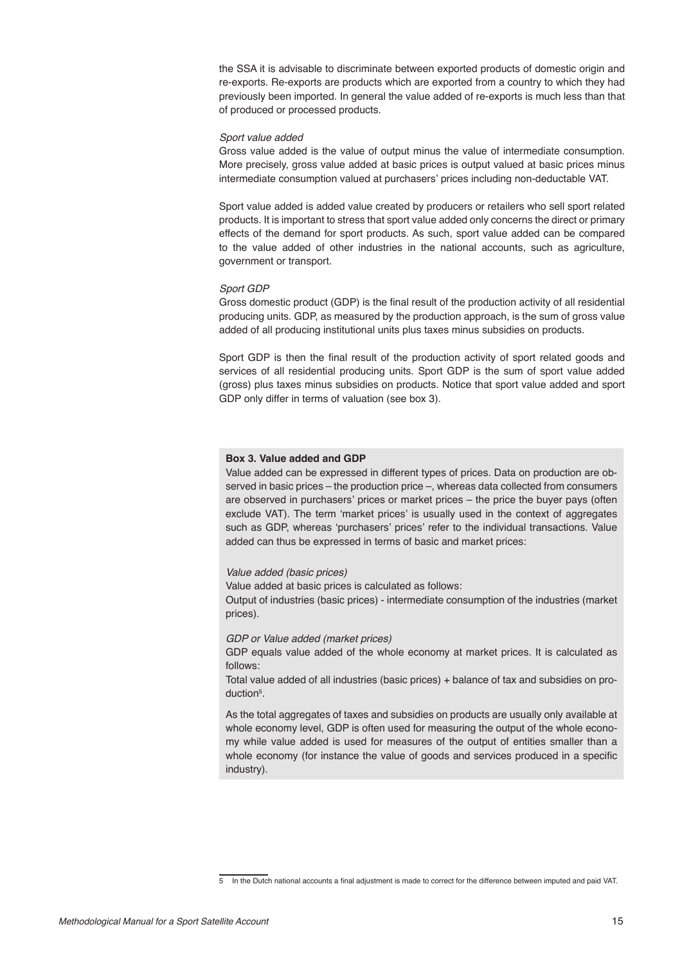the SSA it is advisable to discriminate between exported products of domestic origin and re-exports. Re-exports are products which are exported from a country to which they had previously been imported. In general the value added of re-exports is much less than that of produced or processed products.

#### *Sport value added*

Gross value added is the value of output minus the value of intermediate consumption. More precisely, gross value added at basic prices is output valued at basic prices minus intermediate consumption valued at purchasers' prices including non-deductable VAT.

Sport value added is added value created by producers or retailers who sell sport related products. It is important to stress that sport value added only concerns the direct or primary effects of the demand for sport products. As such, sport value added can be compared to the value added of other industries in the national accounts, such as agriculture, government or transport.

## *Sport GDP*

Gross domestic product (GDP) is the final result of the production activity of all residential producing units. GDP, as measured by the production approach, is the sum of gross value added of all producing institutional units plus taxes minus subsidies on products.

Sport GDP is then the final result of the production activity of sport related goods and services of all residential producing units. Sport GDP is the sum of sport value added (gross) plus taxes minus subsidies on products. Notice that sport value added and sport GDP only differ in terms of valuation (see box 3).

## **Box 3. Value added and GDP**

Value added can be expressed in different types of prices. Data on production are observed in basic prices – the production price –, whereas data collected from consumers are observed in purchasers' prices or market prices – the price the buyer pays (often exclude VAT). The term 'market prices' is usually used in the context of aggregates such as GDP, whereas 'purchasers' prices' refer to the individual transactions. Value added can thus be expressed in terms of basic and market prices:

#### *Value added (basic prices)*

Value added at basic prices is calculated as follows:

Output of industries (basic prices) - intermediate consumption of the industries (market prices).

## *GDP or Value added (market prices)*

GDP equals value added of the whole economy at market prices. It is calculated as follows:

Total value added of all industries (basic prices) + balance of tax and subsidies on production<sup>5</sup>.

As the total aggregates of taxes and subsidies on products are usually only available at whole economy level, GDP is often used for measuring the output of the whole economy while value added is used for measures of the output of entities smaller than a whole economy (for instance the value of goods and services produced in a specific industry).

<sup>5</sup> In the Dutch national accounts a final adjustment is made to correct for the difference between imputed and paid VAT.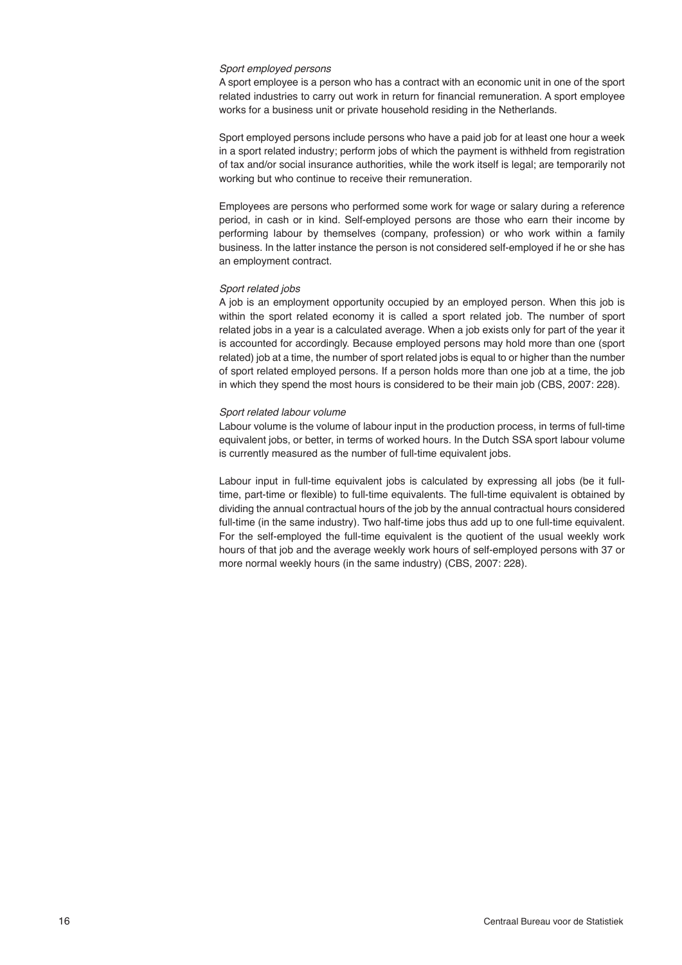## *Sport employed persons*

A sport employee is a person who has a contract with an economic unit in one of the sport related industries to carry out work in return for financial remuneration. A sport employee works for a business unit or private household residing in the Netherlands.

Sport employed persons include persons who have a paid job for at least one hour a week in a sport related industry; perform jobs of which the payment is withheld from registration of tax and/or social insurance authorities, while the work itself is legal; are temporarily not working but who continue to receive their remuneration.

Employees are persons who performed some work for wage or salary during a reference period, in cash or in kind. Self-employed persons are those who earn their income by performing labour by themselves (company, profession) or who work within a family business. In the latter instance the person is not considered self-employed if he or she has an employment contract.

## *Sport related jobs*

A job is an employment opportunity occupied by an employed person. When this job is within the sport related economy it is called a sport related job. The number of sport related jobs in a year is a calculated average. When a job exists only for part of the year it is accounted for accordingly. Because employed persons may hold more than one (sport related) job at a time, the number of sport related jobs is equal to or higher than the number of sport related employed persons. If a person holds more than one job at a time, the job in which they spend the most hours is considered to be their main job (CBS, 2007: 228).

#### *Sport related labour volume*

Labour volume is the volume of labour input in the production process, in terms of full-time equivalent jobs, or better, in terms of worked hours. In the Dutch SSA sport labour volume is currently measured as the number of full-time equivalent jobs.

Labour input in full-time equivalent jobs is calculated by expressing all jobs (be it fulltime, part-time or flexible) to full-time equivalents. The full-time equivalent is obtained by dividing the annual contractual hours of the job by the annual contractual hours considered full-time (in the same industry). Two half-time jobs thus add up to one full-time equivalent. For the self-employed the full-time equivalent is the quotient of the usual weekly work hours of that job and the average weekly work hours of self-employed persons with 37 or more normal weekly hours (in the same industry) (CBS, 2007: 228).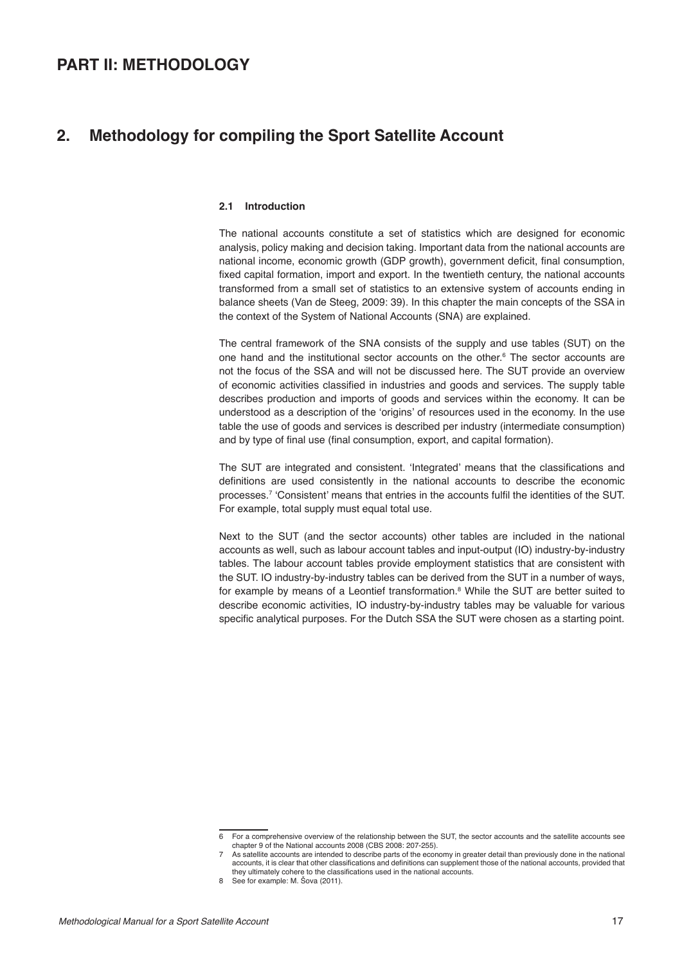# <span id="page-16-0"></span>**PART II: METHODOLOGY**

# **2. Methodology for compiling the Sport Satellite Account**

## **2.1 Introduction**

The national accounts constitute a set of statistics which are designed for economic analysis, policy making and decision taking. Important data from the national accounts are national income, economic growth (GDP growth), government deficit, final consumption, fixed capital formation, import and export. In the twentieth century, the national accounts transformed from a small set of statistics to an extensive system of accounts ending in balance sheets (Van de Steeg, 2009: 39). In this chapter the main concepts of the SSA in the context of the System of National Accounts (SNA) are explained.

The central framework of the SNA consists of the supply and use tables (SUT) on the one hand and the institutional sector accounts on the other.<sup>6</sup> The sector accounts are not the focus of the SSA and will not be discussed here. The SUT provide an overview of economic activities classified in industries and goods and services. The supply table describes production and imports of goods and services within the economy. It can be understood as a description of the 'origins' of resources used in the economy. In the use table the use of goods and services is described per industry (intermediate consumption) and by type of final use (final consumption, export, and capital formation).

The SUT are integrated and consistent. 'Integrated' means that the classifications and definitions are used consistently in the national accounts to describe the economic processes.<sup>7</sup> 'Consistent' means that entries in the accounts fulfil the identities of the SUT. For example, total supply must equal total use.

Next to the SUT (and the sector accounts) other tables are included in the national accounts as well, such as labour account tables and input-output (IO) industry-by-industry tables. The labour account tables provide employment statistics that are consistent with the SUT. IO industry-by-industry tables can be derived from the SUT in a number of ways, for example by means of a Leontief transformation.<sup>8</sup> While the SUT are better suited to describe economic activities, IO industry-by-industry tables may be valuable for various specific analytical purposes. For the Dutch SSA the SUT were chosen as a starting point.

 $\overline{6}$  For a comprehensive overview of the relationship between the SUT, the sector accounts and the satellite accounts see chapter 9 of the National accounts 2008 (CBS 2008: 207-255).

As satellite accounts are intended to describe parts of the economy in greater detail than previously done in the national accounts, it is clear that other classifications and definitions can supplement those of the national accounts, provided that they ultimately cohere to the classifications used in the national accounts.

<sup>8</sup> See for example: M. Šova (2011).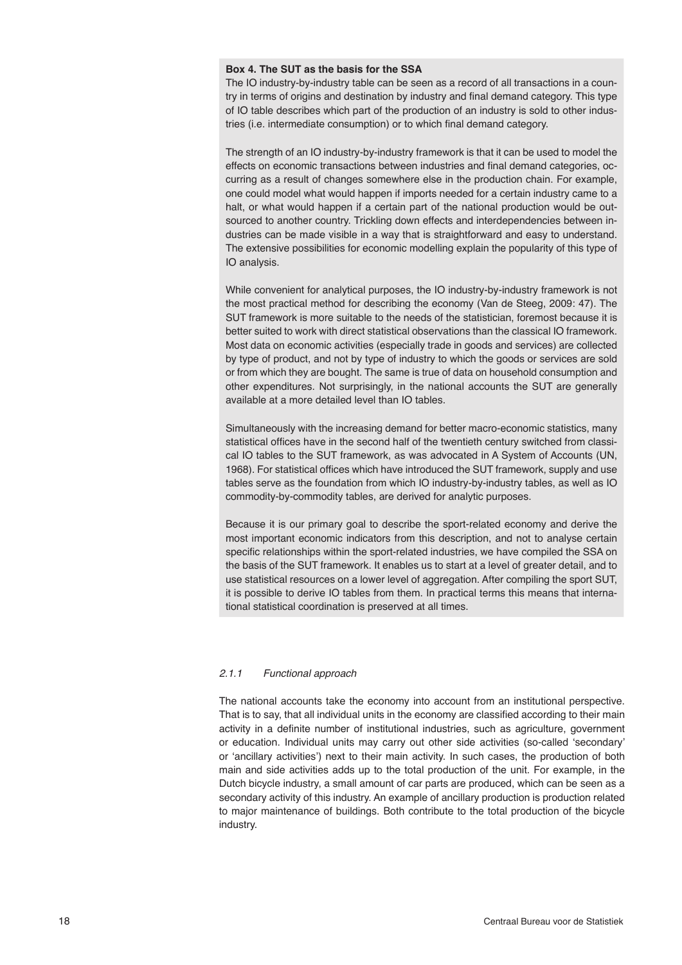## <span id="page-17-0"></span>**Box 4. The SUT as the basis for the SSA**

The IO industry-by-industry table can be seen as a record of all transactions in a country in terms of origins and destination by industry and final demand category. This type of IO table describes which part of the production of an industry is sold to other industries (i.e. intermediate consumption) or to which final demand category.

The strength of an IO industry-by-industry framework is that it can be used to model the effects on economic transactions between industries and final demand categories, occurring as a result of changes somewhere else in the production chain. For example, one could model what would happen if imports needed for a certain industry came to a halt, or what would happen if a certain part of the national production would be outsourced to another country. Trickling down effects and interdependencies between industries can be made visible in a way that is straightforward and easy to understand. The extensive possibilities for economic modelling explain the popularity of this type of IO analysis.

While convenient for analytical purposes, the IO industry-by-industry framework is not the most practical method for describing the economy (Van de Steeg, 2009: 47). The SUT framework is more suitable to the needs of the statistician, foremost because it is better suited to work with direct statistical observations than the classical IO framework. Most data on economic activities (especially trade in goods and services) are collected by type of product, and not by type of industry to which the goods or services are sold or from which they are bought. The same is true of data on household consumption and other expenditures. Not surprisingly, in the national accounts the SUT are generally available at a more detailed level than IO tables.

Simultaneously with the increasing demand for better macro-economic statistics, many statistical offices have in the second half of the twentieth century switched from classical IO tables to the SUT framework, as was advocated in A System of Accounts (UN, 1968). For statistical offices which have introduced the SUT framework, supply and use tables serve as the foundation from which IO industry-by-industry tables, as well as IO commodity-by-commodity tables, are derived for analytic purposes.

Because it is our primary goal to describe the sport-related economy and derive the most important economic indicators from this description, and not to analyse certain specific relationships within the sport-related industries, we have compiled the SSA on the basis of the SUT framework. It enables us to start at a level of greater detail, and to use statistical resources on a lower level of aggregation. After compiling the sport SUT, it is possible to derive IO tables from them. In practical terms this means that international statistical coordination is preserved at all times.

## *2.1.1 Functional approach*

The national accounts take the economy into account from an institutional perspective. That is to say, that all individual units in the economy are classified according to their main activity in a definite number of institutional industries, such as agriculture, government or education. Individual units may carry out other side activities (so-called 'secondary' or 'ancillary activities') next to their main activity. In such cases, the production of both main and side activities adds up to the total production of the unit. For example, in the Dutch bicycle industry, a small amount of car parts are produced, which can be seen as a secondary activity of this industry. An example of ancillary production is production related to major maintenance of buildings. Both contribute to the total production of the bicycle industry.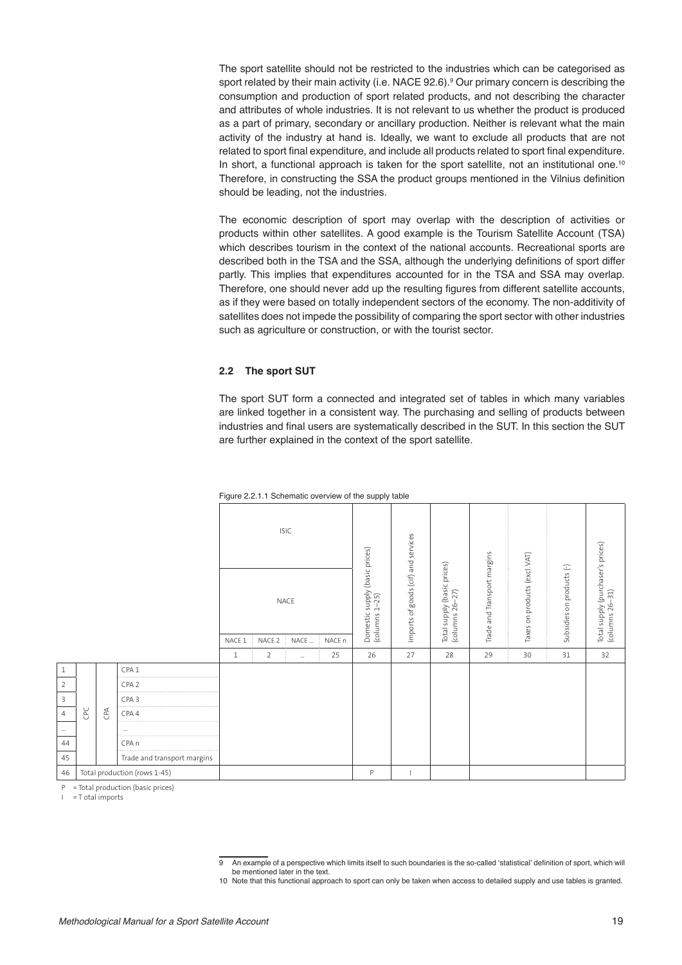<span id="page-18-0"></span>The sport satellite should not be restricted to the industries which can be categorised as sport related by their main activity (i.e. NACE 92.6).<sup>9</sup> Our primary concern is describing the consumption and production of sport related products, and not describing the character and attributes of whole industries. It is not relevant to us whether the product is produced as a part of primary, secondary or ancillary production. Neither is relevant what the main activity of the industry at hand is. Ideally, we want to exclude all products that are not related to sport final expenditure, and include all products related to sport final expenditure. In short, a functional approach is taken for the sport satellite, not an institutional one.<sup>10</sup> Therefore, in constructing the SSA the product groups mentioned in the Vilnius definition should be leading, not the industries.

The economic description of sport may overlap with the description of activities or products within other satellites. A good example is the Tourism Satellite Account (TSA) which describes tourism in the context of the national accounts. Recreational sports are described both in the TSA and the SSA, although the underlying definitions of sport differ partly. This implies that expenditures accounted for in the TSA and SSA may overlap. Therefore, one should never add up the resulting figures from different satellite accounts, as if they were based on totally independent sectors of the economy. The non-additivity of satellites does not impede the possibility of comparing the sport sector with other industries such as agriculture or construction, or with the tourist sector.

## **2.2 The sport SUT**

The sport SUT form a connected and integrated set of tables in which many variables are linked together in a consistent way. The purchasing and selling of products between industries and final users are systematically described in the SUT. In this section the SUT are further explained in the context of the sport satellite.

| <b>ISIC</b>         |                                   |                |                                                  |                                     |                                                |                             |                               |                           |                                                      |    |    |
|---------------------|-----------------------------------|----------------|--------------------------------------------------|-------------------------------------|------------------------------------------------|-----------------------------|-------------------------------|---------------------------|------------------------------------------------------|----|----|
|                     | NACE<br>NACE <sub>2</sub><br>NACE |                | Domestic supply (basic prices)<br>(columns 1–25) | Imports of goods (cif) and services | Total supply (basic prices)<br>(columns 26–27) | Trade and Transport margins | Taxes on products (excl. VAT) | Subsidies on products (-) | Total supply (purchaser's prices)<br>(columns 26–31) |    |    |
|                     | NACE 1<br>$\mathbf{1}$            | $\overline{2}$ |                                                  | NACE n<br>25                        | 26                                             | 27                          | 28                            | 29                        | 30                                                   | 31 | 32 |
|                     |                                   |                | $\cdots$                                         |                                     |                                                |                             |                               |                           |                                                      |    |    |
|                     |                                   |                |                                                  |                                     |                                                |                             |                               |                           |                                                      |    |    |
|                     |                                   |                |                                                  |                                     |                                                |                             |                               |                           |                                                      |    |    |
|                     |                                   |                |                                                  |                                     |                                                |                             |                               |                           |                                                      |    |    |
|                     |                                   |                |                                                  |                                     |                                                |                             |                               |                           |                                                      |    |    |
| d transport margins |                                   |                |                                                  |                                     |                                                |                             |                               |                           |                                                      |    |    |
| s 1-45)             |                                   |                |                                                  |                                     | P                                              |                             |                               |                           |                                                      |    |    |

| Figure 2.2.1.1 Schematic overview of the supply table |  |  |  |  |  |
|-------------------------------------------------------|--|--|--|--|--|
|-------------------------------------------------------|--|--|--|--|--|

46 Total production (row

P = Total production (basic prices)

CPA 1

 $I = T \text{ total}$  imports

CPC CPA

 $2$  CPA 2  $3 \mid \cdot \cdot \cdot \cdot \cdot$  $4 | X | X$  CPA 4 … … 44 CPA n  $45$  Trade and  $\frac{1}{45}$ 

1

<sup>9</sup> An example of a perspective which limits itself to such boundaries is the so-called 'statistical' definition of sport, which will be mentioned later in the text.

<sup>10</sup> Note that this functional approach to sport can only be taken when access to detailed supply and use tables is granted.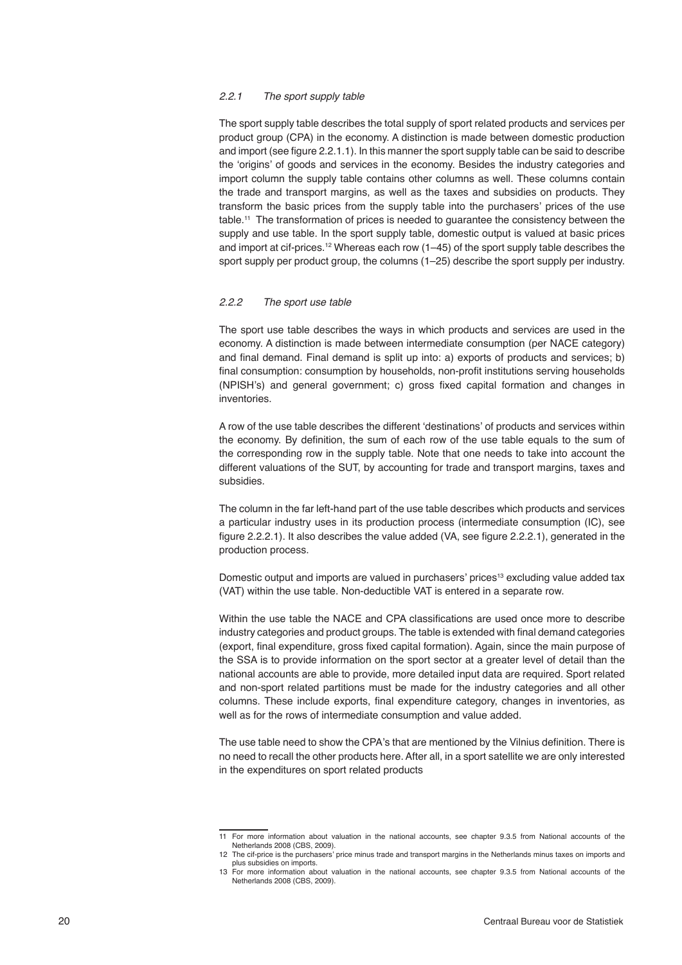## <span id="page-19-0"></span>*2.2.1 The sport supply table*

The sport supply table describes the total supply of sport related products and services per product group (CPA) in the economy. A distinction is made between domestic production and import (see figure 2.2.1.1). In this manner the sport supply table can be said to describe the 'origins' of goods and services in the economy. Besides the industry categories and import column the supply table contains other columns as well. These columns contain the trade and transport margins, as well as the taxes and subsidies on products. They transform the basic prices from the supply table into the purchasers' prices of the use table.<sup>11</sup> The transformation of prices is needed to guarantee the consistency between the supply and use table. In the sport supply table, domestic output is valued at basic prices and import at cif-prices.12 Whereas each row (1–45) of the sport supply table describes the sport supply per product group, the columns (1–25) describe the sport supply per industry.

## *2.2.2 The sport use table*

The sport use table describes the ways in which products and services are used in the economy. A distinction is made between intermediate consumption (per NACE category) and final demand. Final demand is split up into: a) exports of products and services; b) final consumption: consumption by households, non-profit institutions serving households (NPISH's) and general government; c) gross fixed capital formation and changes in inventories.

A row of the use table describes the different 'destinations' of products and services within the economy. By definition, the sum of each row of the use table equals to the sum of the corresponding row in the supply table. Note that one needs to take into account the different valuations of the SUT, by accounting for trade and transport margins, taxes and subsidies.

The column in the far left-hand part of the use table describes which products and services a particular industry uses in its production process (intermediate consumption (IC), see figure 2.2.2.1). It also describes the value added (VA, see figure 2.2.2.1), generated in the production process.

Domestic output and imports are valued in purchasers' prices<sup>13</sup> excluding value added tax (VAT) within the use table. Non-deductible VAT is entered in a separate row.

Within the use table the NACE and CPA classifications are used once more to describe industry categories and product groups. The table is extended with final demand categories (export, final expenditure, gross fixed capital formation). Again, since the main purpose of the SSA is to provide information on the sport sector at a greater level of detail than the national accounts are able to provide, more detailed input data are required. Sport related and non-sport related partitions must be made for the industry categories and all other columns. These include exports, final expenditure category, changes in inventories, as well as for the rows of intermediate consumption and value added.

The use table need to show the CPA's that are mentioned by the Vilnius definition. There is no need to recall the other products here. After all, in a sport satellite we are only interested in the expenditures on sport related products

<sup>11</sup> For more information about valuation in the national accounts, see chapter 9.3.5 from National accounts of the Netherlands 2008 (CBS, 2009).

<sup>12</sup> The cif-price is the purchasers' price minus trade and transport margins in the Netherlands minus taxes on imports and plus subsidies on imports.

<sup>13</sup> For more information about valuation in the national accounts, see chapter 9.3.5 from National accounts of the Netherlands 2008 (CBS, 2009).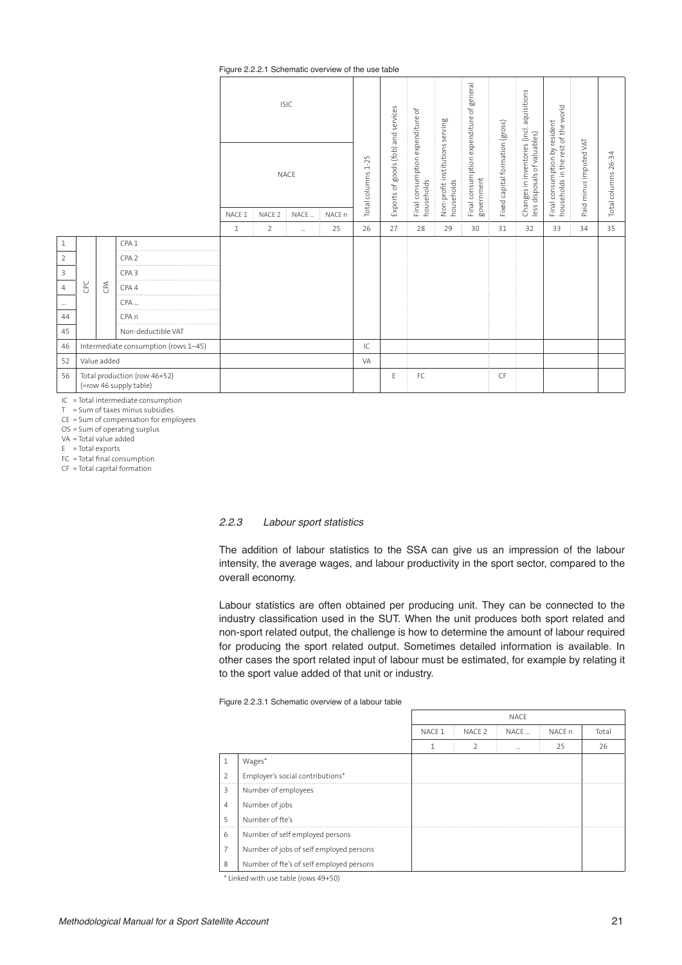<span id="page-20-0"></span>

|                                                              |     | <b>ISIC</b> |                    |        |                    |                                     |                                                |                                               |                                                        | Fixed capital formation (gross) |                                                                           |                                                                      |                        |                     |    |    |    |
|--------------------------------------------------------------|-----|-------------|--------------------|--------|--------------------|-------------------------------------|------------------------------------------------|-----------------------------------------------|--------------------------------------------------------|---------------------------------|---------------------------------------------------------------------------|----------------------------------------------------------------------|------------------------|---------------------|----|----|----|
|                                                              |     | <b>NACE</b> |                    |        | Total columns 1-25 | Exports of goods (fob) and services | Final consumption expenditure of<br>households | Non-profit institutions serving<br>households | Final consumption expenditure of general<br>government |                                 | Changes in inventories (incl. aquisitions<br>less disposals of valuables) | households in the rest of the world<br>Final consumption by resident | Paid minus imputed VAT | Total columns 26-34 |    |    |    |
|                                                              |     |             |                    | NACE 1 | NACE <sub>2</sub>  | NACE                                | NACE n                                         |                                               |                                                        |                                 |                                                                           |                                                                      |                        |                     |    |    |    |
|                                                              |     |             |                    | $1\,$  | $\overline{2}$     | $\cdots$                            | 25                                             | 26                                            | 27                                                     | 28                              | 29                                                                        | 30                                                                   | 31                     | 32                  | 33 | 34 | 35 |
| $\mathbf 1$                                                  |     |             | CPA <sub>1</sub>   |        |                    |                                     |                                                |                                               |                                                        |                                 |                                                                           |                                                                      |                        |                     |    |    |    |
| $\overline{2}$                                               |     |             | CPA <sub>2</sub>   |        |                    |                                     |                                                |                                               |                                                        |                                 |                                                                           |                                                                      |                        |                     |    |    |    |
| 3                                                            |     |             | CPA <sub>3</sub>   |        |                    |                                     |                                                |                                               |                                                        |                                 |                                                                           |                                                                      |                        |                     |    |    |    |
| $\overline{4}$                                               | CPC | CPA         | CPA <sub>4</sub>   |        |                    |                                     |                                                |                                               |                                                        |                                 |                                                                           |                                                                      |                        |                     |    |    |    |
|                                                              |     |             | CPA                |        |                    |                                     |                                                |                                               |                                                        |                                 |                                                                           |                                                                      |                        |                     |    |    |    |
| 44                                                           |     |             | CPA <sub>n</sub>   |        |                    |                                     |                                                |                                               |                                                        |                                 |                                                                           |                                                                      |                        |                     |    |    |    |
| 45                                                           |     |             | Non-deductible VAT |        |                    |                                     |                                                |                                               |                                                        |                                 |                                                                           |                                                                      |                        |                     |    |    |    |
| Intermediate consumption (rows 1-45)<br>46                   |     |             |                    |        |                    | IC                                  |                                                |                                               |                                                        |                                 |                                                                           |                                                                      |                        |                     |    |    |    |
| 52                                                           |     | Value added |                    |        |                    |                                     |                                                | VA                                            |                                                        |                                 |                                                                           |                                                                      |                        |                     |    |    |    |
| Total production (row 46+52)<br>56<br>(=row 46 supply table) |     |             |                    |        |                    |                                     | E                                              | FC                                            |                                                        |                                 | CF                                                                        |                                                                      |                        |                     |    |    |    |

Figure 2.2.2.1 Schematic overview of the use table

IC = Total intermediate consumption

 $T = Sum of taxes minus subsidies$ 

CE = Sum of compensation for employees

OS = Sum of operating surplus

VA = Total value added

E = Total exports

 $FC = Total final consumption$ CF = Total capital formation

## *2.2.3 Labour sport statistics*

The addition of labour statistics to the SSA can give us an impression of the labour intensity, the average wages, and labour productivity in the sport sector, compared to the overall economy.

Labour statistics are often obtained per producing unit. They can be connected to the industry classification used in the SUT. When the unit produces both sport related and non-sport related output, the challenge is how to determine the amount of labour required for producing the sport related output. Sometimes detailed information is available. In other cases the sport related input of labour must be estimated, for example by relating it to the sport value added of that unit or industry.

 $\Gamma$ 

Figure 2.2.3.1 Schematic overview of a labour table

|                |                                          |                   |                   | <b>NACE</b> |        |       |
|----------------|------------------------------------------|-------------------|-------------------|-------------|--------|-------|
|                |                                          | NACF <sub>1</sub> | NACF <sub>2</sub> | NACE        | NACE n | Total |
|                |                                          |                   |                   | $\cdots$    | 25     | 26    |
| 1              | Wages*                                   |                   |                   |             |        |       |
| 2              | Employer's social contributions*         |                   |                   |             |        |       |
| 3              | Number of employees                      |                   |                   |             |        |       |
| $\overline{4}$ | Number of jobs                           |                   |                   |             |        |       |
| 5              | Number of fte's                          |                   |                   |             |        |       |
| 6              | Number of self employed persons          |                   |                   |             |        |       |
| 7              | Number of jobs of self employed persons  |                   |                   |             |        |       |
| 8              | Number of fte's of self employed persons |                   |                   |             |        |       |
|                | .                                        |                   |                   |             |        |       |

\* Linked with use table (rows 49+50)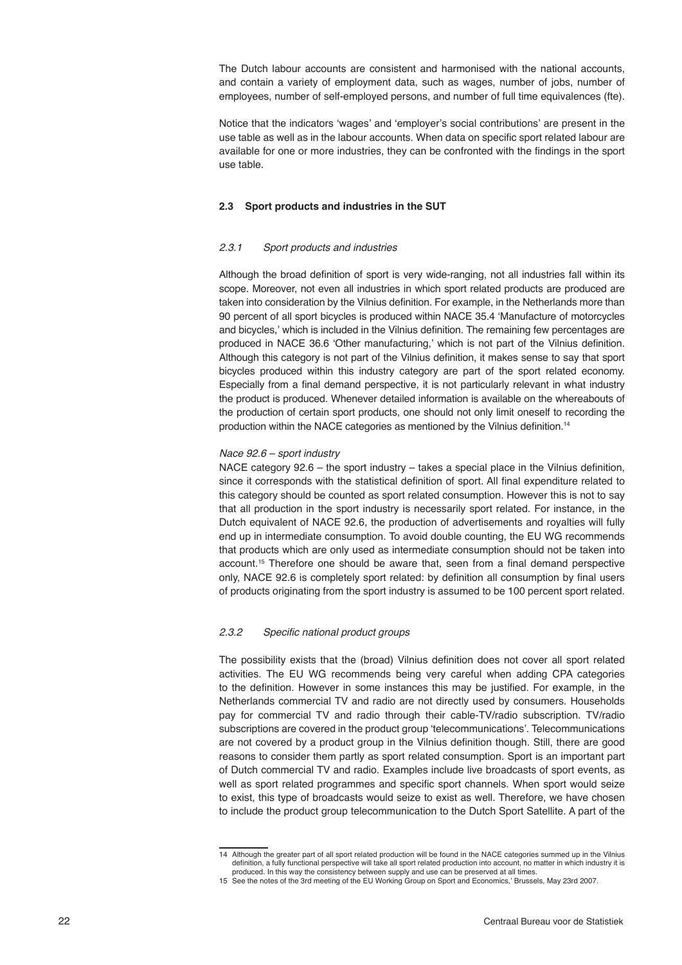<span id="page-21-0"></span>The Dutch labour accounts are consistent and harmonised with the national accounts, and contain a variety of employment data, such as wages, number of jobs, number of employees, number of self-employed persons, and number of full time equivalences (fte).

Notice that the indicators 'wages' and 'employer's social contributions' are present in the use table as well as in the labour accounts. When data on specific sport related labour are available for one or more industries, they can be confronted with the findings in the sport use table.

## **2.3 Sport products and industries in the SUT**

## *2.3.1 Sport products and industries*

Although the broad definition of sport is very wide-ranging, not all industries fall within its scope. Moreover, not even all industries in which sport related products are produced are taken into consideration by the Vilnius definition. For example, in the Netherlands more than 90 percent of all sport bicycles is produced within NACE 35.4 'Manufacture of motorcycles and bicycles,' which is included in the Vilnius definition. The remaining few percentages are produced in NACE 36.6 'Other manufacturing,' which is not part of the Vilnius definition. Although this category is not part of the Vilnius definition, it makes sense to say that sport bicycles produced within this industry category are part of the sport related economy. Especially from a final demand perspective, it is not particularly relevant in what industry the product is produced. Whenever detailed information is available on the whereabouts of the production of certain sport products, one should not only limit oneself to recording the production within the NACE categories as mentioned by the Vilnius definition.14

#### Nace 92.6 – sport industry

NACE category  $92.6$  – the sport industry – takes a special place in the Vilnius definition, since it corresponds with the statistical definition of sport. All final expenditure related to this category should be counted as sport related consumption. However this is not to say that all production in the sport industry is necessarily sport related. For instance, in the Dutch equivalent of NACE 92.6, the production of advertisements and royalties will fully end up in intermediate consumption. To avoid double counting, the EU WG recommends that products which are only used as intermediate consumption should not be taken into account.15 Therefore one should be aware that, seen from a final demand perspective only, NACE 92.6 is completely sport related: by definition all consumption by final users of products originating from the sport industry is assumed to be 100 percent sport related.

## 2.3.2 Specific national product groups

The possibility exists that the (broad) Vilnius definition does not cover all sport related activities. The EU WG recommends being very careful when adding CPA categories to the definition. However in some instances this may be justified. For example, in the Netherlands commercial TV and radio are not directly used by consumers. Households pay for commercial TV and radio through their cable-TV/radio subscription. TV/radio subscriptions are covered in the product group 'telecommunications'. Telecommunications are not covered by a product group in the Vilnius definition though. Still, there are good reasons to consider them partly as sport related consumption. Sport is an important part of Dutch commercial TV and radio. Examples include live broadcasts of sport events, as well as sport related programmes and specific sport channels. When sport would seize to exist, this type of broadcasts would seize to exist as well. Therefore, we have chosen to include the product group telecommunication to the Dutch Sport Satellite. A part of the

<sup>14</sup> Although the greater part of all sport related production will be found in the NACE categories summed up in the Vilnius definition, a fully functional perspective will take all sport related production into account, no matter in which industry it is produced. In this way the consistency between supply and use can be preserved at all times.

<sup>15</sup> See the notes of the 3rd meeting of the EU Working Group on Sport and Economics,' Brussels, May 23rd 2007.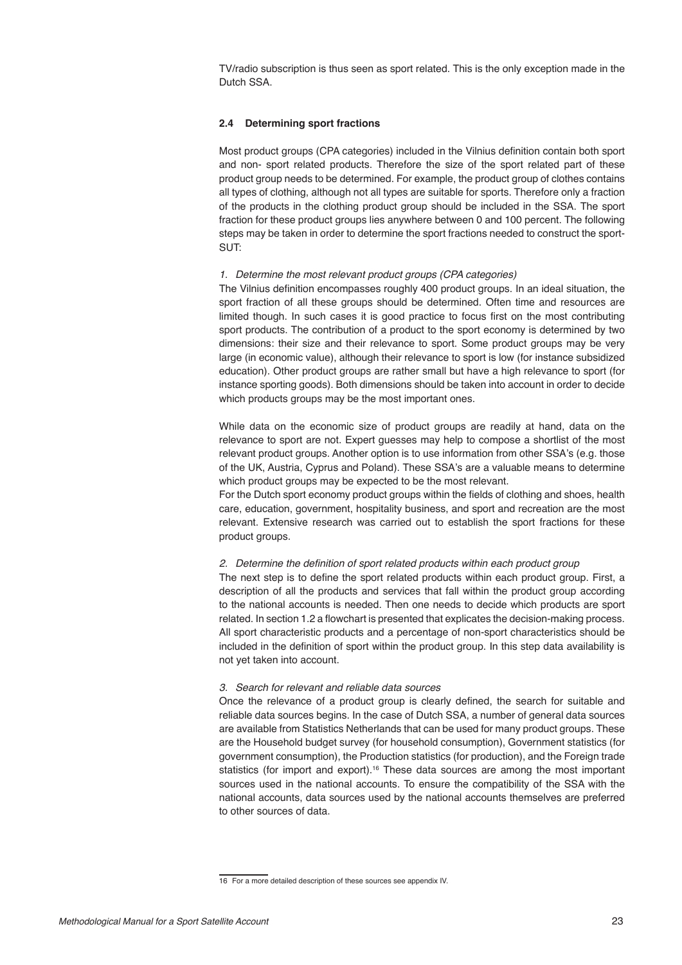<span id="page-22-0"></span>TV/radio subscription is thus seen as sport related. This is the only exception made in the Dutch SSA.

## **2.4 Determining sport fractions**

Most product groups (CPA categories) included in the Vilnius definition contain both sport and non- sport related products. Therefore the size of the sport related part of these product group needs to be determined. For example, the product group of clothes contains all types of clothing, although not all types are suitable for sports. Therefore only a fraction of the products in the clothing product group should be included in the SSA. The sport fraction for these product groups lies anywhere between 0 and 100 percent. The following steps may be taken in order to determine the sport fractions needed to construct the sport-SUT:

#### *1. Determine the most relevant product groups (CPA categories)*

The Vilnius definition encompasses roughly 400 product groups. In an ideal situation, the sport fraction of all these groups should be determined. Often time and resources are limited though. In such cases it is good practice to focus first on the most contributing sport products. The contribution of a product to the sport economy is determined by two dimensions: their size and their relevance to sport. Some product groups may be very large (in economic value), although their relevance to sport is low (for instance subsidized education). Other product groups are rather small but have a high relevance to sport (for instance sporting goods). Both dimensions should be taken into account in order to decide which products groups may be the most important ones.

While data on the economic size of product groups are readily at hand, data on the relevance to sport are not. Expert guesses may help to compose a shortlist of the most relevant product groups. Another option is to use information from other SSA's (e.g. those of the UK, Austria, Cyprus and Poland). These SSA's are a valuable means to determine which product groups may be expected to be the most relevant.

For the Dutch sport economy product groups within the fields of clothing and shoes, health care, education, government, hospitality business, and sport and recreation are the most relevant. Extensive research was carried out to establish the sport fractions for these product groups.

#### 2. Determine the definition of sport related products within each product group

The next step is to define the sport related products within each product group. First, a description of all the products and services that fall within the product group according to the national accounts is needed. Then one needs to decide which products are sport related. In section 1.2 a flowchart is presented that explicates the decision-making process. All sport characteristic products and a percentage of non-sport characteristics should be included in the definition of sport within the product group. In this step data availability is not yet taken into account.

## *3. Search for relevant and reliable data sources*

Once the relevance of a product group is clearly defined, the search for suitable and reliable data sources begins. In the case of Dutch SSA, a number of general data sources are available from Statistics Netherlands that can be used for many product groups. These are the Household budget survey (for household consumption), Government statistics (for government consumption), the Production statistics (for production), and the Foreign trade statistics (for import and export).<sup>16</sup> These data sources are among the most important sources used in the national accounts. To ensure the compatibility of the SSA with the national accounts, data sources used by the national accounts themselves are preferred to other sources of data.

<sup>16</sup> For a more detailed description of these sources see appendix IV.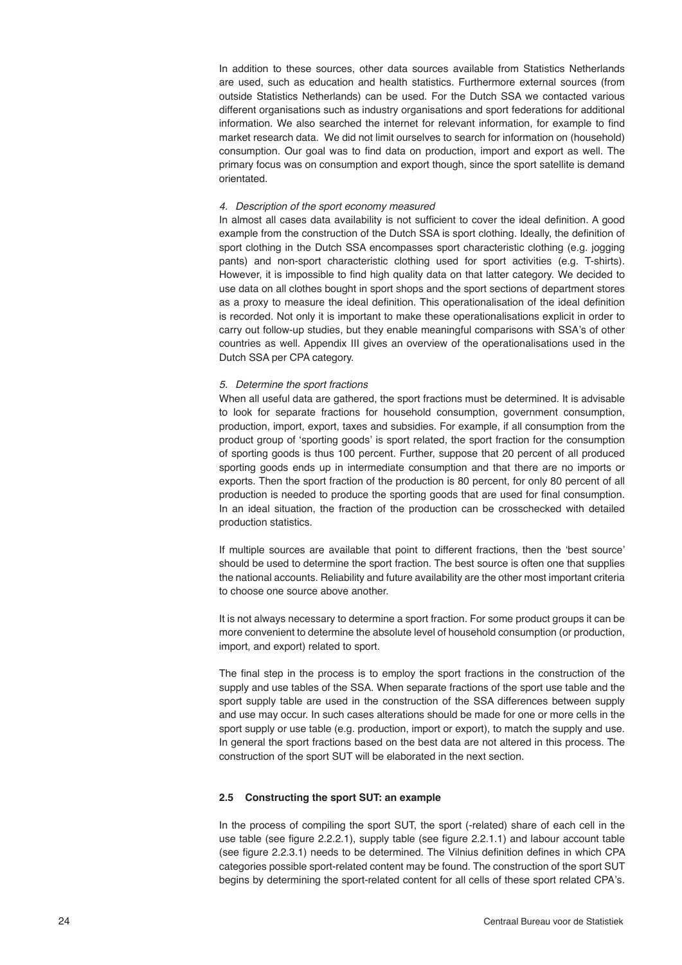<span id="page-23-0"></span>In addition to these sources, other data sources available from Statistics Netherlands are used, such as education and health statistics. Furthermore external sources (from outside Statistics Netherlands) can be used. For the Dutch SSA we contacted various different organisations such as industry organisations and sport federations for additional information. We also searched the internet for relevant information, for example to find market research data. We did not limit ourselves to search for information on (household) consumption. Our goal was to find data on production, import and export as well. The primary focus was on consumption and export though, since the sport satellite is demand orientated.

## *4. Description of the sport economy measured*

In almost all cases data availability is not sufficient to cover the ideal definition. A good example from the construction of the Dutch SSA is sport clothing. Ideally, the definition of sport clothing in the Dutch SSA encompasses sport characteristic clothing (e.g. jogging pants) and non-sport characteristic clothing used for sport activities (e.g. T-shirts). However, it is impossible to find high quality data on that latter category. We decided to use data on all clothes bought in sport shops and the sport sections of department stores as a proxy to measure the ideal definition. This operationalisation of the ideal definition is recorded. Not only it is important to make these operationalisations explicit in order to carry out follow-up studies, but they enable meaningful comparisons with SSA's of other countries as well. Appendix III gives an overview of the operationalisations used in the Dutch SSA per CPA category.

## *5. Determine the sport fractions*

When all useful data are gathered, the sport fractions must be determined. It is advisable to look for separate fractions for household consumption, government consumption, production, import, export, taxes and subsidies. For example, if all consumption from the product group of 'sporting goods' is sport related, the sport fraction for the consumption of sporting goods is thus 100 percent. Further, suppose that 20 percent of all produced sporting goods ends up in intermediate consumption and that there are no imports or exports. Then the sport fraction of the production is 80 percent, for only 80 percent of all production is needed to produce the sporting goods that are used for final consumption. In an ideal situation, the fraction of the production can be crosschecked with detailed production statistics.

If multiple sources are available that point to different fractions, then the 'best source' should be used to determine the sport fraction. The best source is often one that supplies the national accounts. Reliability and future availability are the other most important criteria to choose one source above another.

It is not always necessary to determine a sport fraction. For some product groups it can be more convenient to determine the absolute level of household consumption (or production, import, and export) related to sport.

The final step in the process is to employ the sport fractions in the construction of the supply and use tables of the SSA. When separate fractions of the sport use table and the sport supply table are used in the construction of the SSA differences between supply and use may occur. In such cases alterations should be made for one or more cells in the sport supply or use table (e.g. production, import or export), to match the supply and use. In general the sport fractions based on the best data are not altered in this process. The construction of the sport SUT will be elaborated in the next section.

## **2.5 Constructing the sport SUT: an example**

In the process of compiling the sport SUT, the sport (-related) share of each cell in the use table (see figure 2.2.2.1), supply table (see figure 2.2.1.1) and labour account table (see figure 2.2.3.1) needs to be determined. The Vilnius definition defines in which CPA categories possible sport-related content may be found. The construction of the sport SUT begins by determining the sport-related content for all cells of these sport related CPA's.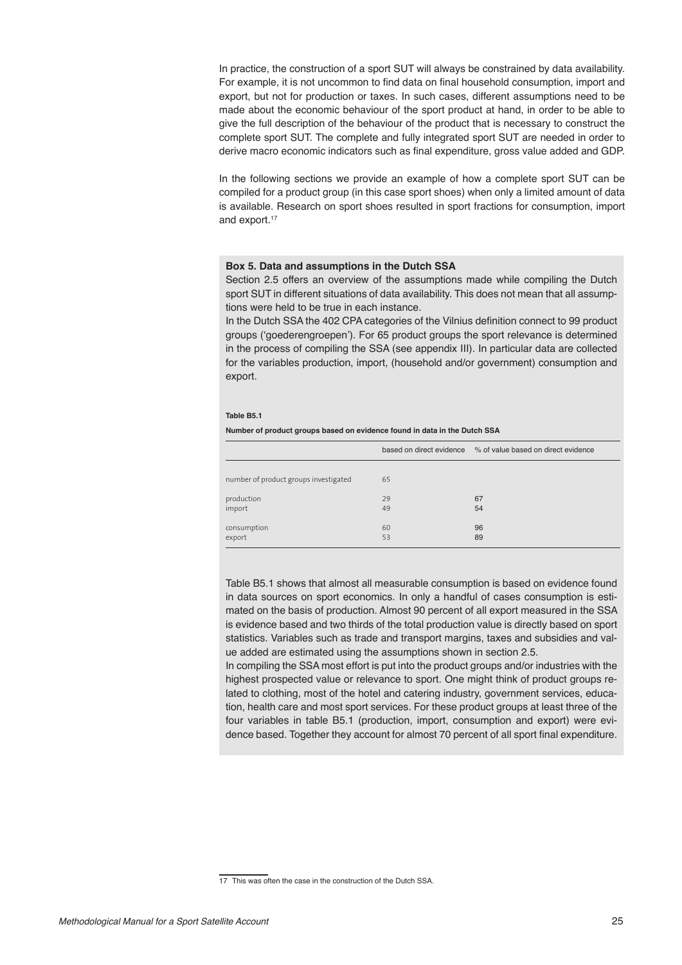In practice, the construction of a sport SUT will always be constrained by data availability. For example, it is not uncommon to find data on final household consumption, import and export, but not for production or taxes. In such cases, different assumptions need to be made about the economic behaviour of the sport product at hand, in order to be able to give the full description of the behaviour of the product that is necessary to construct the complete sport SUT. The complete and fully integrated sport SUT are needed in order to derive macro economic indicators such as final expenditure, gross value added and GDP.

In the following sections we provide an example of how a complete sport SUT can be compiled for a product group (in this case sport shoes) when only a limited amount of data is available. Research on sport shoes resulted in sport fractions for consumption, import and export.<sup>17</sup>

#### **Box 5. Data and assumptions in the Dutch SSA**

Section 2.5 offers an overview of the assumptions made while compiling the Dutch sport SUT in different situations of data availability. This does not mean that all assumptions were held to be true in each instance.

In the Dutch SSA the 402 CPA categories of the Vilnius definition connect to 99 product groups ('goederengroepen'). For 65 product groups the sport relevance is determined in the process of compiling the SSA (see appendix III). In particular data are collected for the variables production, import, (household and/or government) consumption and export.

## **Table B5.1**

**Number of product groups based on evidence found in data in the Dutch SSA**

|                                       |    | based on direct evidence % of value based on direct evidence |
|---------------------------------------|----|--------------------------------------------------------------|
| number of product groups investigated | 65 |                                                              |
| production                            | 29 | 67                                                           |
| import                                | 49 | 54                                                           |
| consumption                           | 60 | 96                                                           |
| export                                | 53 | 89                                                           |

Table B5.1 shows that almost all measurable consumption is based on evidence found in data sources on sport economics. In only a handful of cases consumption is estimated on the basis of production. Almost 90 percent of all export measured in the SSA is evidence based and two thirds of the total production value is directly based on sport statistics. Variables such as trade and transport margins, taxes and subsidies and value added are estimated using the assumptions shown in section 2.5.

In compiling the SSA most effort is put into the product groups and/or industries with the highest prospected value or relevance to sport. One might think of product groups related to clothing, most of the hotel and catering industry, government services, education, health care and most sport services. For these product groups at least three of the four variables in table B5.1 (production, import, consumption and export) were evidence based. Together they account for almost 70 percent of all sport final expenditure.

<sup>17</sup> This was often the case in the construction of the Dutch SSA.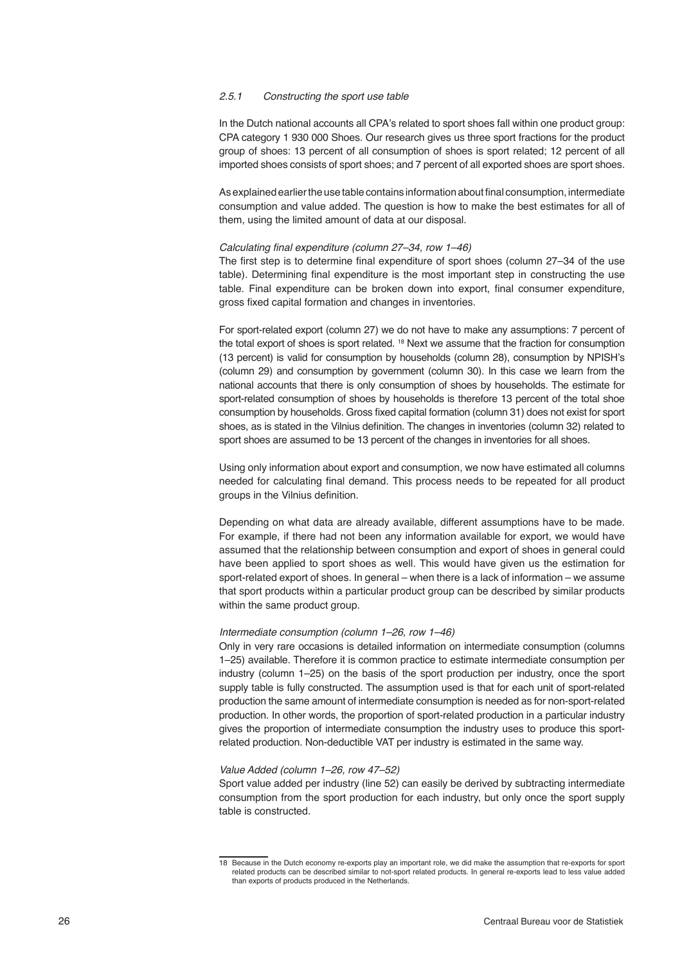## <span id="page-25-0"></span>*2.5.1 Constructing the sport use table*

In the Dutch national accounts all CPA's related to sport shoes fall within one product group: CPA category 1 930 000 Shoes. Our research gives us three sport fractions for the product group of shoes: 13 percent of all consumption of shoes is sport related; 12 percent of all imported shoes consists of sport shoes; and 7 percent of all exported shoes are sport shoes.

As explained earlier the use table contains information about final consumption, intermediate consumption and value added. The question is how to make the best estimates for all of them, using the limited amount of data at our disposal.

## Calculating final expenditure (column 27–34, row 1–46)

The first step is to determine final expenditure of sport shoes (column 27–34 of the use table). Determining final expenditure is the most important step in constructing the use table. Final expenditure can be broken down into export, final consumer expenditure, gross fixed capital formation and changes in inventories.

For sport-related export (column 27) we do not have to make any assumptions: 7 percent of the total export of shoes is sport related. <sup>18</sup> Next we assume that the fraction for consumption (13 percent) is valid for consumption by households (column 28), consumption by NPISH's (column 29) and consumption by government (column 30). In this case we learn from the national accounts that there is only consumption of shoes by households. The estimate for sport-related consumption of shoes by households is therefore 13 percent of the total shoe consumption by households. Gross fixed capital formation (column 31) does not exist for sport shoes, as is stated in the Vilnius definition. The changes in inventories (column 32) related to sport shoes are assumed to be 13 percent of the changes in inventories for all shoes.

Using only information about export and consumption, we now have estimated all columns needed for calculating final demand. This process needs to be repeated for all product groups in the Vilnius definition.

Depending on what data are already available, different assumptions have to be made. For example, if there had not been any information available for export, we would have assumed that the relationship between consumption and export of shoes in general could have been applied to sport shoes as well. This would have given us the estimation for sport-related export of shoes. In general – when there is a lack of information – we assume that sport products within a particular product group can be described by similar products within the same product group.

#### *Intermediate consumption (column 1–26, row 1–46)*

Only in very rare occasions is detailed information on intermediate consumption (columns 1–25) available. Therefore it is common practice to estimate intermediate consumption per industry (column 1–25) on the basis of the sport production per industry, once the sport supply table is fully constructed. The assumption used is that for each unit of sport-related production the same amount of intermediate consumption is needed as for non-sport-related production. In other words, the proportion of sport-related production in a particular industry gives the proportion of intermediate consumption the industry uses to produce this sportrelated production. Non-deductible VAT per industry is estimated in the same way.

## Value Added (column 1–26, row 47–52)

Sport value added per industry (line 52) can easily be derived by subtracting intermediate consumption from the sport production for each industry, but only once the sport supply table is constructed.

<sup>18</sup> Because in the Dutch economy re-exports play an important role, we did make the assumption that re-exports for sport related products can be described similar to not-sport related products. In general re-exports lead to less value added than exports of products produced in the Netherlands.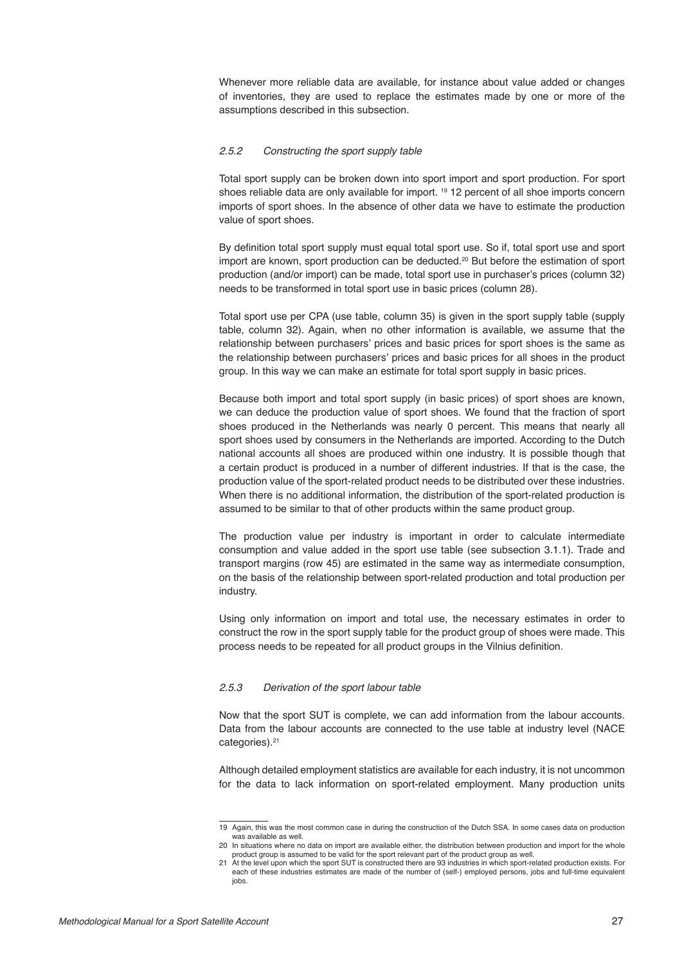<span id="page-26-0"></span>Whenever more reliable data are available, for instance about value added or changes of inventories, they are used to replace the estimates made by one or more of the assumptions described in this subsection.

## *2.5.2 Constructing the sport supply table*

Total sport supply can be broken down into sport import and sport production. For sport shoes reliable data are only available for import. 19 12 percent of all shoe imports concern imports of sport shoes. In the absence of other data we have to estimate the production value of sport shoes.

By definition total sport supply must equal total sport use. So if, total sport use and sport import are known, sport production can be deducted.<sup>20</sup> But before the estimation of sport production (and/or import) can be made, total sport use in purchaser's prices (column 32) needs to be transformed in total sport use in basic prices (column 28).

Total sport use per CPA (use table, column 35) is given in the sport supply table (supply table, column 32). Again, when no other information is available, we assume that the relationship between purchasers' prices and basic prices for sport shoes is the same as the relationship between purchasers' prices and basic prices for all shoes in the product group. In this way we can make an estimate for total sport supply in basic prices.

Because both import and total sport supply (in basic prices) of sport shoes are known, we can deduce the production value of sport shoes. We found that the fraction of sport shoes produced in the Netherlands was nearly 0 percent. This means that nearly all sport shoes used by consumers in the Netherlands are imported. According to the Dutch national accounts all shoes are produced within one industry. It is possible though that a certain product is produced in a number of different industries. If that is the case, the production value of the sport-related product needs to be distributed over these industries. When there is no additional information, the distribution of the sport-related production is assumed to be similar to that of other products within the same product group.

The production value per industry is important in order to calculate intermediate consumption and value added in the sport use table (see subsection 3.1.1). Trade and transport margins (row 45) are estimated in the same way as intermediate consumption, on the basis of the relationship between sport-related production and total production per industry.

Using only information on import and total use, the necessary estimates in order to construct the row in the sport supply table for the product group of shoes were made. This process needs to be repeated for all product groups in the Vilnius definition.

## *2.5.3 Derivation of the sport labour table*

Now that the sport SUT is complete, we can add information from the labour accounts. Data from the labour accounts are connected to the use table at industry level (NACE categories).<sup>21</sup>

Although detailed employment statistics are available for each industry, it is not uncommon for the data to lack information on sport-related employment. Many production units

<sup>19</sup> Again, this was the most common case in during the construction of the Dutch SSA. In some cases data on production was available as well.

<sup>20</sup> In situations where no data on import are available either, the distribution between production and import for the whole product group is assumed to be valid for the sport relevant part of the product group as well.

<sup>21</sup> At the level upon which the sport SUT is constructed there are 93 industries in which sport-related production exists. For each of these industries estimates are made of the number of (self-) employed persons, jobs and full-time equivalent iobs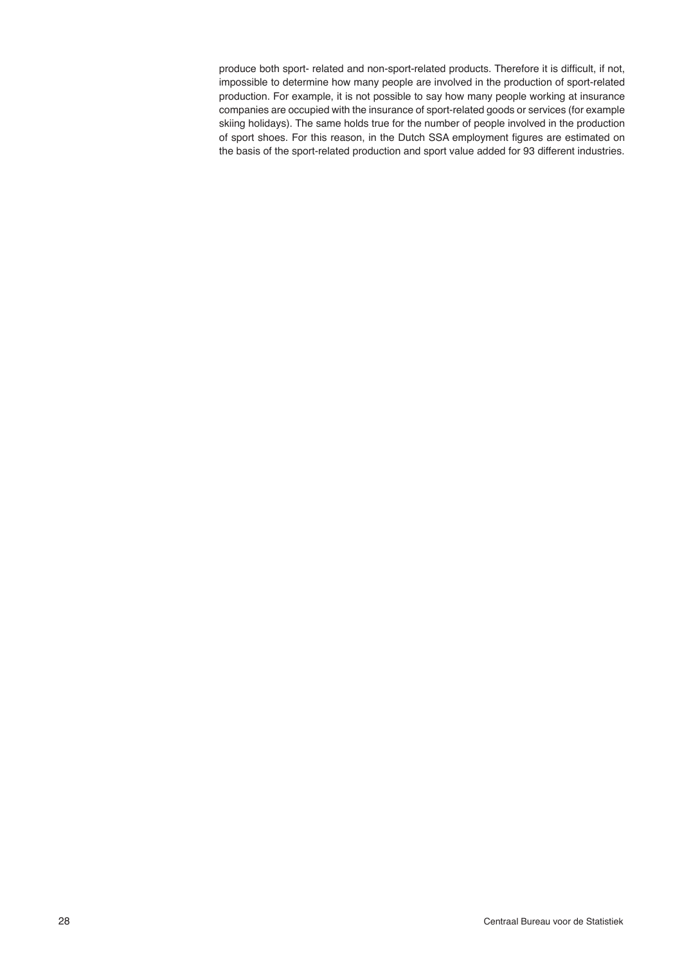produce both sport- related and non-sport-related products. Therefore it is difficult, if not, impossible to determine how many people are involved in the production of sport-related production. For example, it is not possible to say how many people working at insurance companies are occupied with the insurance of sport-related goods or services (for example skiing holidays). The same holds true for the number of people involved in the production of sport shoes. For this reason, in the Dutch SSA employment figures are estimated on the basis of the sport-related production and sport value added for 93 different industries.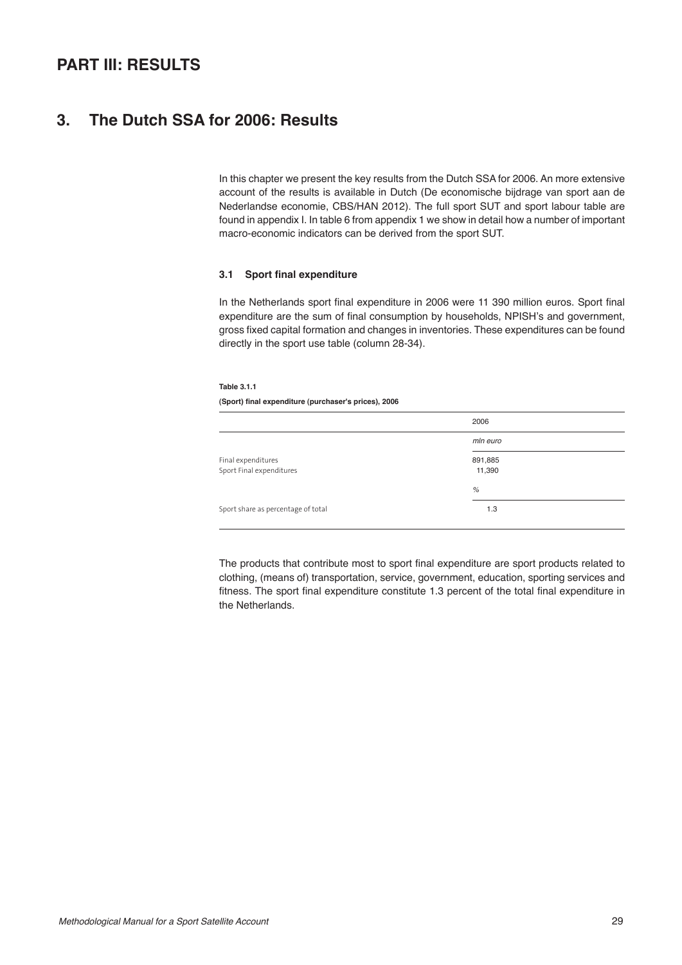# <span id="page-28-0"></span>**PART III: RESULTS**

# **3. The Dutch SSA for 2006: Results**

In this chapter we present the key results from the Dutch SSA for 2006. An more extensive account of the results is available in Dutch (De economische bijdrage van sport aan de Nederlandse economie, CBS/HAN 2012). The full sport SUT and sport labour table are found in appendix I. In table 6 from appendix 1 we show in detail how a number of important macro-economic indicators can be derived from the sport SUT.

## **3.1 Sport final expenditure**

In the Netherlands sport final expenditure in 2006 were 11 390 million euros. Sport final expenditure are the sum of final consumption by households, NPISH's and government, gross fixed capital formation and changes in inventories. These expenditures can be found directly in the sport use table (column 28-34).

#### **Table 3.1.1**

#### **(Sport) final expenditure (purchaser's prices), 2006**

|                                                | 2006              |
|------------------------------------------------|-------------------|
|                                                | mln euro          |
| Final expenditures<br>Sport Final expenditures | 891,885<br>11,390 |
|                                                | %                 |
| Sport share as percentage of total             | 1.3               |

The products that contribute most to sport final expenditure are sport products related to clothing, (means of) transportation, service, government, education, sporting services and fitness. The sport final expenditure constitute 1.3 percent of the total final expenditure in the Netherlands.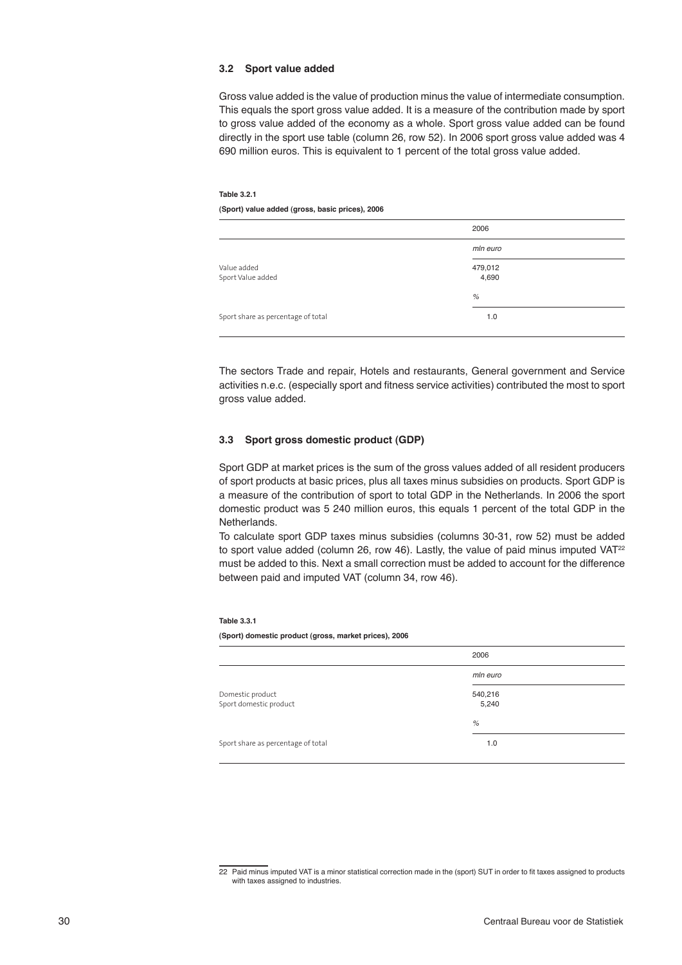## <span id="page-29-0"></span>**3.2 Sport value added**

Gross value added is the value of production minus the value of intermediate consumption. This equals the sport gross value added. It is a measure of the contribution made by sport to gross value added of the economy as a whole. Sport gross value added can be found directly in the sport use table (column 26, row 52). In 2006 sport gross value added was 4 690 million euros. This is equivalent to 1 percent of the total gross value added.

**Table 3.2.1**

**(Sport) value added (gross, basic prices), 2006**

|                                    | 2006             |  |
|------------------------------------|------------------|--|
|                                    | mln euro         |  |
| Value added<br>Sport Value added   | 479,012<br>4,690 |  |
|                                    | %                |  |
| Sport share as percentage of total | 1.0              |  |
|                                    |                  |  |

The sectors Trade and repair, Hotels and restaurants, General government and Service activities n.e.c. (especially sport and fitness service activities) contributed the most to sport gross value added.

#### **3.3 Sport gross domestic product (GDP)**

Sport GDP at market prices is the sum of the gross values added of all resident producers of sport products at basic prices, plus all taxes minus subsidies on products. Sport GDP is a measure of the contribution of sport to total GDP in the Netherlands. In 2006 the sport domestic product was 5 240 million euros, this equals 1 percent of the total GDP in the Netherlands.

To calculate sport GDP taxes minus subsidies (columns 30-31, row 52) must be added to sport value added (column 26, row 46). Lastly, the value of paid minus imputed VAT $^{22}$ must be added to this. Next a small correction must be added to account for the difference between paid and imputed VAT (column 34, row 46).

**Table 3.3.1**

**(Sport) domestic product (gross, market prices), 2006**

|                                            | 2006             |  |
|--------------------------------------------|------------------|--|
|                                            | mln euro         |  |
| Domestic product<br>Sport domestic product | 540,216<br>5,240 |  |
|                                            | %                |  |
| Sport share as percentage of total         | 1.0              |  |

<sup>22</sup> Paid minus imputed VAT is a minor statistical correction made in the (sport) SUT in order to fit taxes assigned to products with taxes assigned to industries.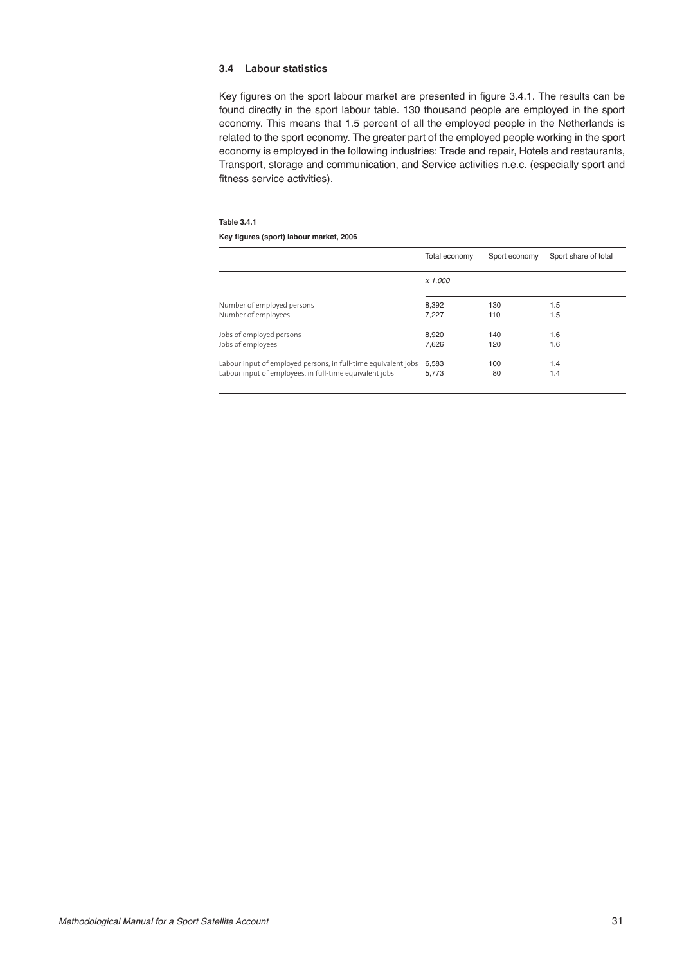## <span id="page-30-0"></span>**3.4 Labour statistics**

Key figures on the sport labour market are presented in figure 3.4.1. The results can be found directly in the sport labour table. 130 thousand people are employed in the sport economy. This means that 1.5 percent of all the employed people in the Netherlands is related to the sport economy. The greater part of the employed people working in the sport economy is employed in the following industries: Trade and repair, Hotels and restaurants, Transport, storage and communication, and Service activities n.e.c. (especially sport and fitness service activities).

#### **Table 3.4.1**

#### **Key figures (sport) labour market, 2006**

|                                                                | Total economy | Sport economy | Sport share of total |
|----------------------------------------------------------------|---------------|---------------|----------------------|
|                                                                | x 1,000       |               |                      |
| Number of employed persons                                     | 8,392         | 130           | 1.5                  |
| Number of employees                                            | 7,227         | 110           | 1.5                  |
| Jobs of employed persons                                       | 8,920         | 140           | 1.6                  |
| Jobs of employees                                              | 7,626         | 120           | 1.6                  |
| Labour input of employed persons, in full-time equivalent jobs | 6.583         | 100           | 1.4                  |
| Labour input of employees, in full-time equivalent jobs        | 5,773         | 80            | 1.4                  |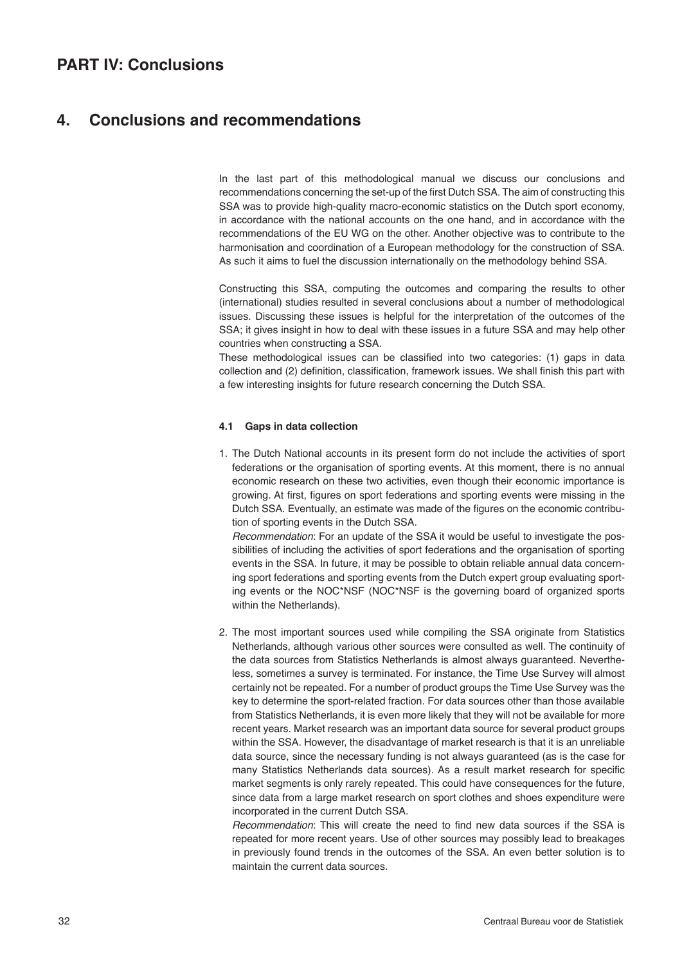# <span id="page-31-0"></span>**PART IV: Conclusions**

# **4. Conclusions and recommendations**

In the last part of this methodological manual we discuss our conclusions and recommendations concerning the set-up of the first Dutch SSA. The aim of constructing this SSA was to provide high-quality macro-economic statistics on the Dutch sport economy, in accordance with the national accounts on the one hand, and in accordance with the recommendations of the EU WG on the other. Another objective was to contribute to the harmonisation and coordination of a European methodology for the construction of SSA. As such it aims to fuel the discussion internationally on the methodology behind SSA.

Constructing this SSA, computing the outcomes and comparing the results to other (international) studies resulted in several conclusions about a number of methodological issues. Discussing these issues is helpful for the interpretation of the outcomes of the SSA; it gives insight in how to deal with these issues in a future SSA and may help other countries when constructing a SSA.

These methodological issues can be classified into two categories: (1) gaps in data collection and (2) definition, classification, framework issues. We shall finish this part with a few interesting insights for future research concerning the Dutch SSA.

## **4.1 Gaps in data collection**

1. The Dutch National accounts in its present form do not include the activities of sport federations or the organisation of sporting events. At this moment, there is no annual economic research on these two activities, even though their economic importance is growing. At first, figures on sport federations and sporting events were missing in the Dutch SSA. Eventually, an estimate was made of the figures on the economic contribution of sporting events in the Dutch SSA.

*Recommendation*: For an update of the SSA it would be useful to investigate the possibilities of including the activities of sport federations and the organisation of sporting events in the SSA. In future, it may be possible to obtain reliable annual data concerning sport federations and sporting events from the Dutch expert group evaluating sporting events or the NOC\*NSF (NOC\*NSF is the governing board of organized sports within the Netherlands).

2. The most important sources used while compiling the SSA originate from Statistics Netherlands, although various other sources were consulted as well. The continuity of the data sources from Statistics Netherlands is almost always guaranteed. Nevertheless, sometimes a survey is terminated. For instance, the Time Use Survey will almost certainly not be repeated. For a number of product groups the Time Use Survey was the key to determine the sport-related fraction. For data sources other than those available from Statistics Netherlands, it is even more likely that they will not be available for more recent years. Market research was an important data source for several product groups within the SSA. However, the disadvantage of market research is that it is an unreliable data source, since the necessary funding is not always guaranteed (as is the case for many Statistics Netherlands data sources). As a result market research for specific market segments is only rarely repeated. This could have consequences for the future, since data from a large market research on sport clothes and shoes expenditure were incorporated in the current Dutch SSA.

*Recommendation*: This will create the need to find new data sources if the SSA is repeated for more recent years. Use of other sources may possibly lead to breakages in previously found trends in the outcomes of the SSA. An even better solution is to maintain the current data sources.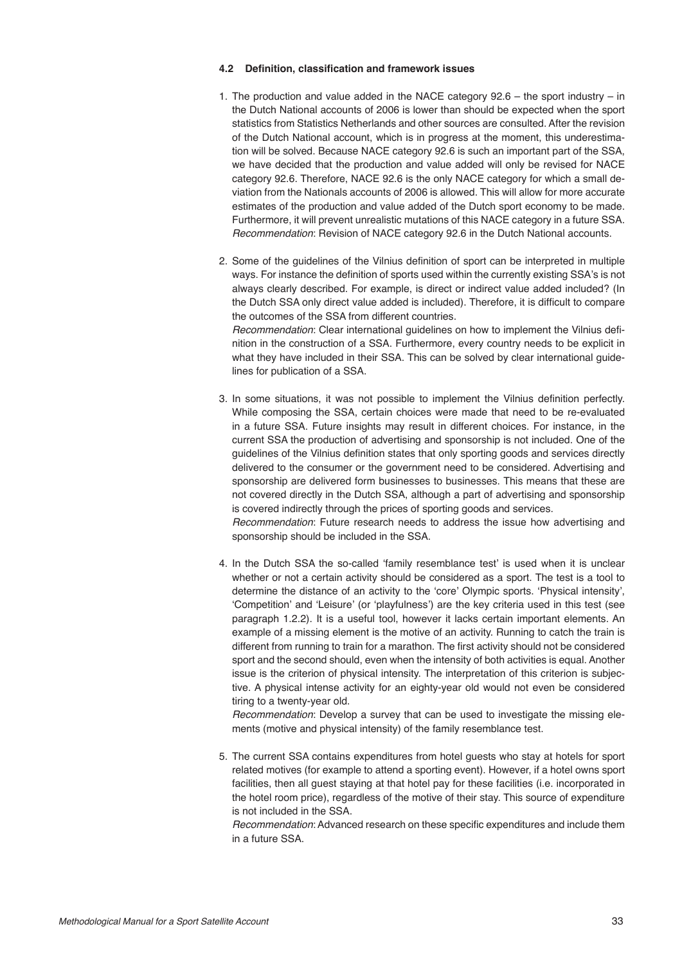## <span id="page-32-0"></span>**4.2 Definition, classification and framework issues**

- 1. The production and value added in the NACE category 92.6 the sport industry in the Dutch National accounts of 2006 is lower than should be expected when the sport statistics from Statistics Netherlands and other sources are consulted. After the revision of the Dutch National account, which is in progress at the moment, this underestimation will be solved. Because NACE category 92.6 is such an important part of the SSA, we have decided that the production and value added will only be revised for NACE category 92.6. Therefore, NACE 92.6 is the only NACE category for which a small deviation from the Nationals accounts of 2006 is allowed. This will allow for more accurate estimates of the production and value added of the Dutch sport economy to be made. Furthermore, it will prevent unrealistic mutations of this NACE category in a future SSA. *Recommendation*: Revision of NACE category 92.6 in the Dutch National accounts.
- 2. Some of the guidelines of the Vilnius definition of sport can be interpreted in multiple ways. For instance the definition of sports used within the currently existing SSA's is not always clearly described. For example, is direct or indirect value added included? (In the Dutch SSA only direct value added is included). Therefore, it is difficult to compare the outcomes of the SSA from different countries.

*Recommendation*: Clear international guidelines on how to implement the Vilnius definition in the construction of a SSA. Furthermore, every country needs to be explicit in what they have included in their SSA. This can be solved by clear international guidelines for publication of a SSA.

3. In some situations, it was not possible to implement the Vilnius definition perfectly. While composing the SSA, certain choices were made that need to be re-evaluated in a future SSA. Future insights may result in different choices. For instance, in the current SSA the production of advertising and sponsorship is not included. One of the guidelines of the Vilnius definition states that only sporting goods and services directly delivered to the consumer or the government need to be considered. Advertising and sponsorship are delivered form businesses to businesses. This means that these are not covered directly in the Dutch SSA, although a part of advertising and sponsorship is covered indirectly through the prices of sporting goods and services. *Recommendation*: Future research needs to address the issue how advertising and

sponsorship should be included in the SSA.

4. In the Dutch SSA the so-called 'family resemblance test' is used when it is unclear whether or not a certain activity should be considered as a sport. The test is a tool to determine the distance of an activity to the 'core' Olympic sports. 'Physical intensity', 'Competition' and 'Leisure' (or 'playfulness') are the key criteria used in this test (see paragraph 1.2.2). It is a useful tool, however it lacks certain important elements. An example of a missing element is the motive of an activity. Running to catch the train is different from running to train for a marathon. The first activity should not be considered sport and the second should, even when the intensity of both activities is equal. Another issue is the criterion of physical intensity. The interpretation of this criterion is subjective. A physical intense activity for an eighty-year old would not even be considered tiring to a twenty-year old.

*Recommendation*: Develop a survey that can be used to investigate the missing elements (motive and physical intensity) of the family resemblance test.

5. The current SSA contains expenditures from hotel guests who stay at hotels for sport related motives (for example to attend a sporting event). However, if a hotel owns sport facilities, then all guest staying at that hotel pay for these facilities (i.e. incorporated in the hotel room price), regardless of the motive of their stay. This source of expenditure is not included in the SSA.

*Recommendation*: Advanced research on these specific expenditures and include them in a future SSA.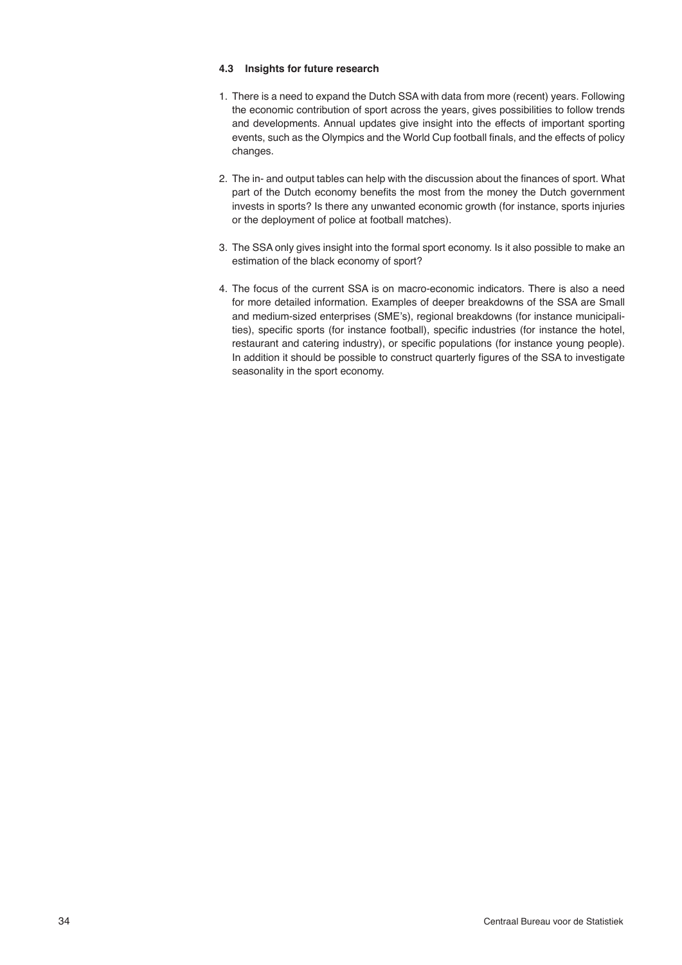## <span id="page-33-0"></span>**4.3 Insights for future research**

- 1. There is a need to expand the Dutch SSA with data from more (recent) years. Following the economic contribution of sport across the years, gives possibilities to follow trends and developments. Annual updates give insight into the effects of important sporting events, such as the Olympics and the World Cup football finals, and the effects of policy changes.
- 2. The in- and output tables can help with the discussion about the finances of sport. What part of the Dutch economy benefits the most from the money the Dutch government invests in sports? Is there any unwanted economic growth (for instance, sports injuries or the deployment of police at football matches).
- 3. The SSA only gives insight into the formal sport economy. Is it also possible to make an estimation of the black economy of sport?
- 4. The focus of the current SSA is on macro-economic indicators. There is also a need for more detailed information. Examples of deeper breakdowns of the SSA are Small and medium-sized enterprises (SME's), regional breakdowns (for instance municipalities), specific sports (for instance football), specific industries (for instance the hotel, restaurant and catering industry), or specific populations (for instance young people). In addition it should be possible to construct quarterly figures of the SSA to investigate seasonality in the sport economy.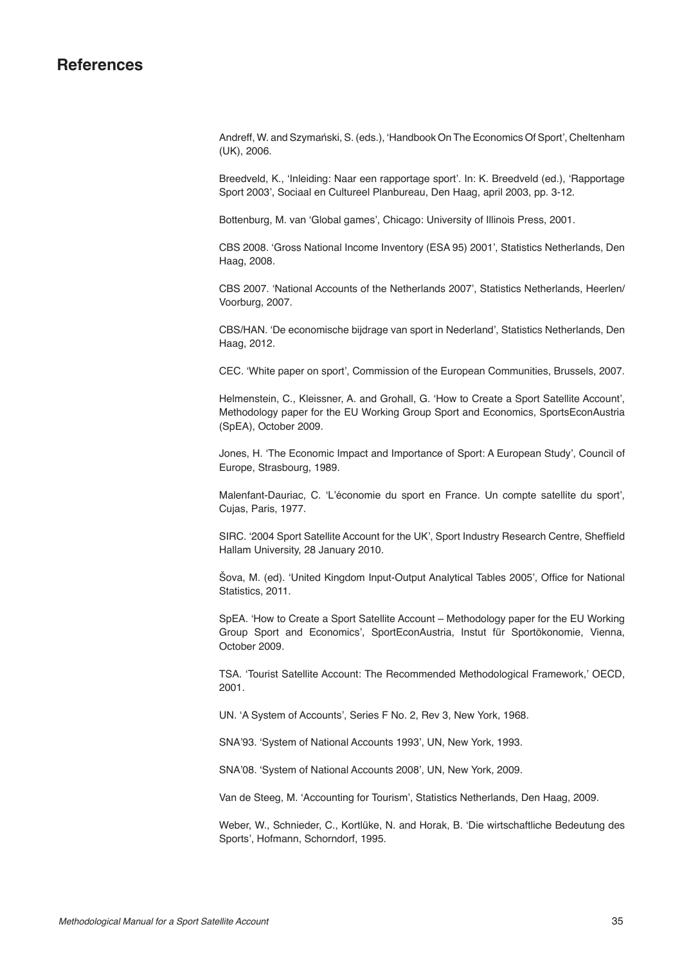## <span id="page-34-0"></span>**References**

Andreff, W. and Szymański, S. (eds.), 'Handbook On The Economics Of Sport', Cheltenham (UK), 2006.

Breedveld, K., 'Inleiding: Naar een rapportage sport'. In: K. Breedveld (ed.), 'Rapportage Sport 2003', Sociaal en Cultureel Planbureau, Den Haag, april 2003, pp. 3-12.

Bottenburg, M. van 'Global games', Chicago: University of Illinois Press, 2001.

CBS 2008. 'Gross National Income Inventory (ESA 95) 2001', Statistics Netherlands, Den Haag, 2008.

CBS 2007. 'National Accounts of the Netherlands 2007', Statistics Netherlands, Heerlen/ Voorburg, 2007.

CBS/HAN. 'De economische bijdrage van sport in Nederland', Statistics Netherlands, Den Haag, 2012.

CEC. 'White paper on sport', Commission of the European Communities, Brussels, 2007.

Helmenstein, C., Kleissner, A. and Grohall, G. 'How to Create a Sport Satellite Account', Methodology paper for the EU Working Group Sport and Economics, SportsEconAustria (SpEA), October 2009.

Jones, H. 'The Economic Impact and Importance of Sport: A European Study', Council of Europe, Strasbourg, 1989.

Malenfant-Dauriac, C. 'L'économie du sport en France. Un compte satellite du sport', Cujas, Paris, 1977.

SIRC. '2004 Sport Satellite Account for the UK', Sport Industry Research Centre, Sheffield Hallam University, 28 January 2010.

Šova, M. (ed). 'United Kingdom Input-Output Analytical Tables 2005', Office for National Statistics, 2011.

SpEA. 'How to Create a Sport Satellite Account – Methodology paper for the EU Working Group Sport and Economics', SportEconAustria, Instut für Sportökonomie, Vienna, October 2009.

TSA. 'Tourist Satellite Account: The Recommended Methodological Framework,' OECD, 2001.

UN. 'A System of Accounts', Series F No. 2, Rev 3, New York, 1968.

SNA'93. 'System of National Accounts 1993', UN, New York, 1993.

SNA'08. 'System of National Accounts 2008', UN, New York, 2009.

Van de Steeg, M. 'Accounting for Tourism', Statistics Netherlands, Den Haag, 2009.

Weber, W., Schnieder, C., Kortlüke, N. and Horak, B. 'Die wirtschaftliche Bedeutung des Sports', Hofmann, Schorndorf, 1995.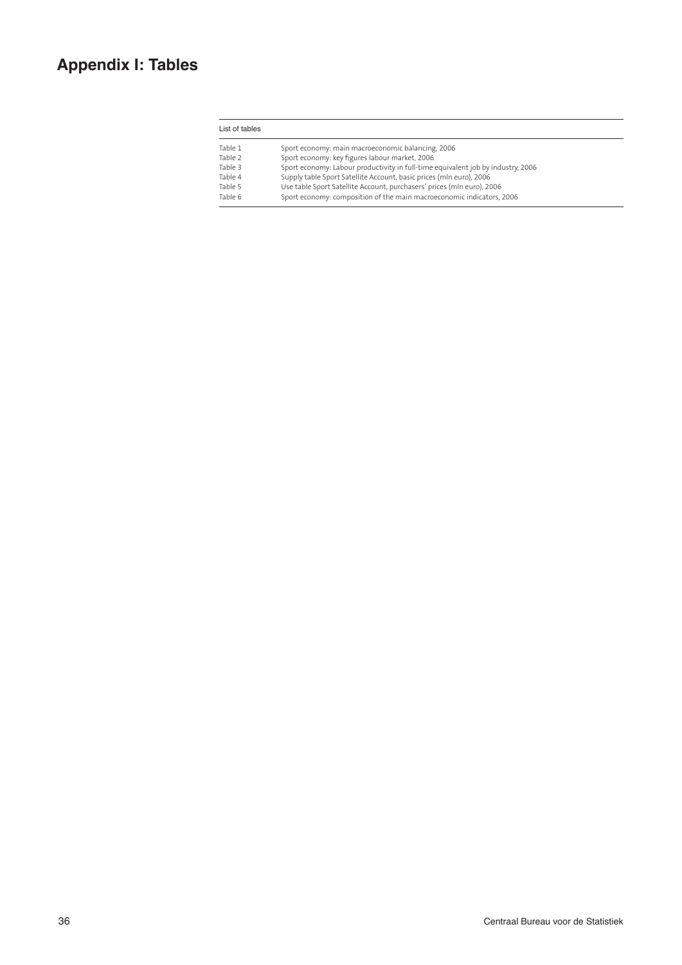# <span id="page-35-0"></span>**Appendix I: Tables**

| List of tables |                                                                                  |
|----------------|----------------------------------------------------------------------------------|
| Table 1        | Sport economy: main macroeconomic balancing, 2006                                |
| Table 2        | Sport economy: key figures labour market, 2006                                   |
| Table 3        | Sport economy: Labour productivity in full-time equivalent job by industry, 2006 |
| Table 4        | Supply table Sport Satellite Account, basic prices (mln euro), 2006              |
| Table 5        | Use table Sport Satellite Account, purchasers' prices (mln euro), 2006           |
| Table 6        | Sport economy: composition of the main macroeconomic indicators, 2006            |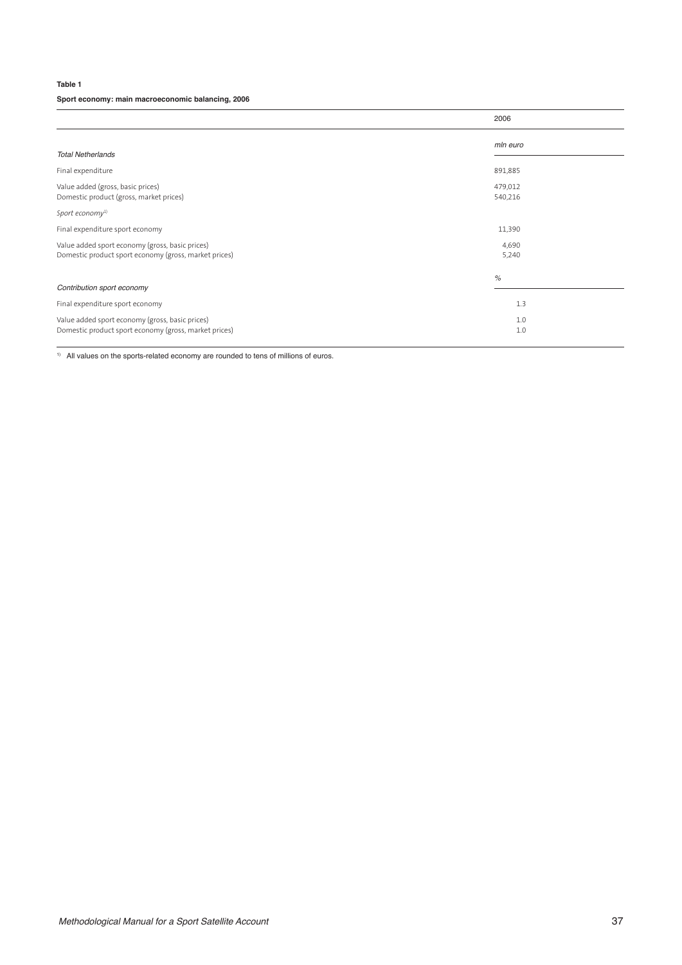## **Sport economy: main macroeconomic balancing, 2006**

|                                                                                                          | 2006               |
|----------------------------------------------------------------------------------------------------------|--------------------|
| <b>Total Netherlands</b>                                                                                 | mln euro           |
| Final expenditure                                                                                        | 891,885            |
| Value added (gross, basic prices)<br>Domestic product (gross, market prices)                             | 479,012<br>540,216 |
| Sport economy $1$                                                                                        |                    |
| Final expenditure sport economy                                                                          | 11,390             |
| Value added sport economy (gross, basic prices)<br>Domestic product sport economy (gross, market prices) | 4,690<br>5,240     |
| Contribution sport economy                                                                               | $\%$               |
| Final expenditure sport economy                                                                          | 1.3                |
| Value added sport economy (gross, basic prices)<br>Domestic product sport economy (gross, market prices) | 1.0<br>1.0         |

<sup>1)</sup> All values on the sports-related economy are rounded to tens of millions of euros.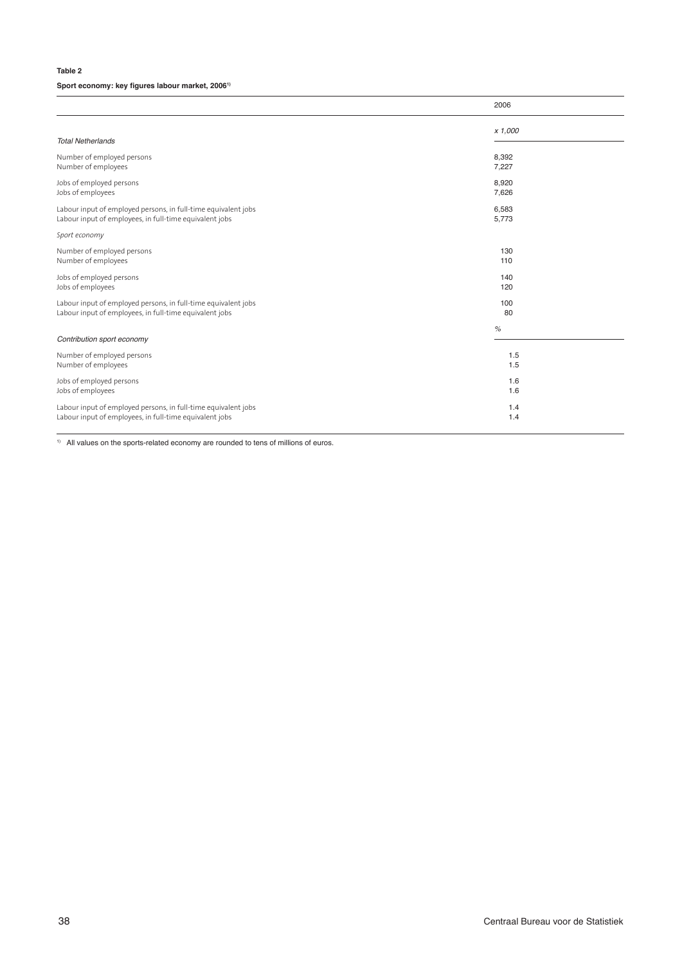**Sport economy: key figures labour market, 20061)**

|                                                                | 2006    |
|----------------------------------------------------------------|---------|
| <b>Total Netherlands</b>                                       | x 1,000 |
| Number of employed persons                                     | 8,392   |
| Number of employees                                            | 7,227   |
| Jobs of employed persons                                       | 8,920   |
| Jobs of employees                                              | 7,626   |
| Labour input of employed persons, in full-time equivalent jobs | 6,583   |
| Labour input of employees, in full-time equivalent jobs        | 5,773   |
| Sport economy                                                  |         |
| Number of employed persons                                     | 130     |
| Number of employees                                            | 110     |
| Jobs of employed persons                                       | 140     |
| Jobs of employees                                              | 120     |
| Labour input of employed persons, in full-time equivalent jobs | 100     |
| Labour input of employees, in full-time equivalent jobs        | 80      |
| Contribution sport economy                                     | $\%$    |
| Number of employed persons                                     | 1.5     |
| Number of employees                                            | 1.5     |
| Jobs of employed persons                                       | 1.6     |
| Jobs of employees                                              | 1.6     |
| Labour input of employed persons, in full-time equivalent jobs | 1.4     |
| Labour input of employees, in full-time equivalent jobs        | 1.4     |

1) All values on the sports-related economy are rounded to tens of millions of euros.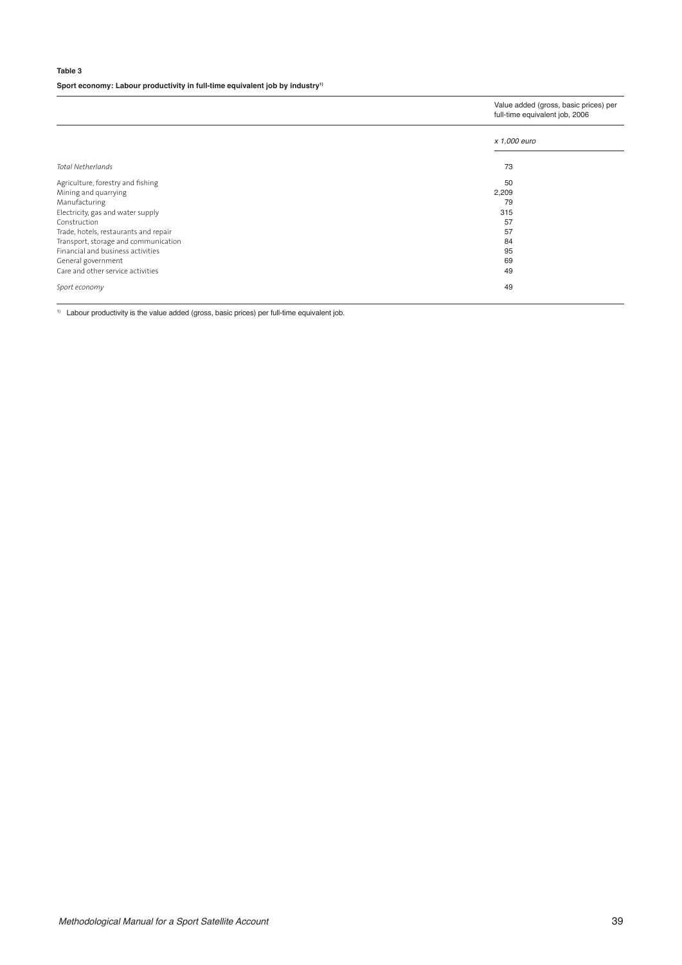**Sport economy: Labour productivity in full-time equivalent job by industry1)**

|                                       | Value added (gross, basic prices) per<br>full-time equivalent job, 2006 |
|---------------------------------------|-------------------------------------------------------------------------|
|                                       | x 1,000 euro                                                            |
| Total Netherlands                     | 73                                                                      |
| Agriculture, forestry and fishing     | 50                                                                      |
| Mining and quarrying                  | 2,209                                                                   |
| Manufacturing                         | 79                                                                      |
| Electricity, gas and water supply     | 315                                                                     |
| Construction                          | 57                                                                      |
| Trade, hotels, restaurants and repair | 57                                                                      |
| Transport, storage and communication  | 84                                                                      |
| Financial and business activities     | 95                                                                      |
| General government                    | 69                                                                      |
| Care and other service activities     | 49                                                                      |
| Sport economy                         | 49                                                                      |

<sup>1)</sup> Labour productivity is the value added (gross, basic prices) per full-time equivalent job.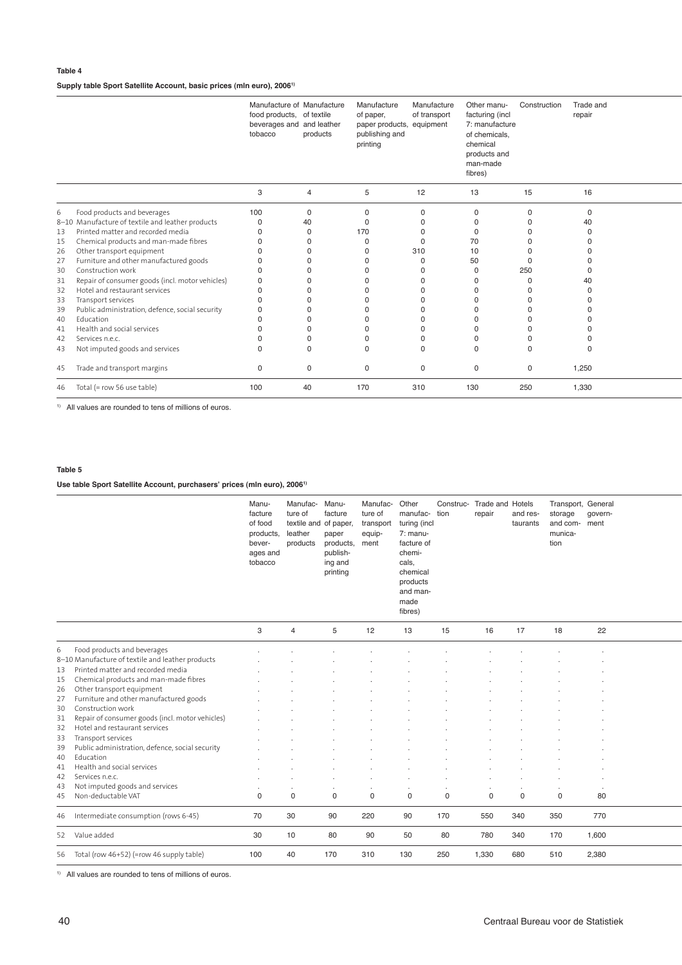**Supply table Sport Satellite Account, basic prices (mln euro), 20061)**

|                                                    | Manufacture of Manufacture<br>food products, of textile<br>beverages and and leather<br>products<br>tobacco |    | Manufacture<br>of paper,<br>publishing and<br>printing | Manufacture<br>of transport<br>paper products, equipment | facturing (incl<br>7: manufacture<br>of chemicals,<br>chemical<br>products and<br>man-made<br>fibres) | Other manu- Construction | Trade and<br>repair |  |
|----------------------------------------------------|-------------------------------------------------------------------------------------------------------------|----|--------------------------------------------------------|----------------------------------------------------------|-------------------------------------------------------------------------------------------------------|--------------------------|---------------------|--|
|                                                    | 3                                                                                                           |    |                                                        | 12                                                       | 13                                                                                                    | 15                       | 16                  |  |
| Food products and beverages<br>6.                  | 100                                                                                                         |    |                                                        |                                                          |                                                                                                       | $\Omega$                 | $\Omega$            |  |
| 8-10 Manufacture of textile and leather products   | $\Omega$                                                                                                    | 40 |                                                        |                                                          |                                                                                                       | $\Omega$                 | 40                  |  |
| 13 Printed matter and recorded media               |                                                                                                             |    | 170                                                    |                                                          |                                                                                                       |                          |                     |  |
| 15 Chemical products and man-made fibres           |                                                                                                             |    |                                                        |                                                          | 70                                                                                                    |                          |                     |  |
| 26 Other transport equipment                       |                                                                                                             |    |                                                        | 310                                                      | 10                                                                                                    |                          |                     |  |
| 27 Furniture and other manufactured goods          |                                                                                                             |    |                                                        |                                                          | 50                                                                                                    | $\Omega$                 |                     |  |
| 30<br>Construction work                            |                                                                                                             |    |                                                        |                                                          |                                                                                                       | 250                      |                     |  |
| 31 Repair of consumer goods (incl. motor vehicles) |                                                                                                             |    |                                                        |                                                          |                                                                                                       | $\Omega$                 |                     |  |
| 32 Hotel and restaurant services                   |                                                                                                             |    |                                                        |                                                          |                                                                                                       |                          |                     |  |
| 33<br>Transport services                           |                                                                                                             |    |                                                        |                                                          |                                                                                                       |                          |                     |  |
| 39 Public administration, defence, social security |                                                                                                             |    |                                                        |                                                          |                                                                                                       |                          |                     |  |
| 40<br>Education                                    |                                                                                                             |    |                                                        |                                                          |                                                                                                       |                          |                     |  |
| 41 Health and social services                      |                                                                                                             |    |                                                        |                                                          |                                                                                                       |                          |                     |  |
| 42 Services n.e.c.                                 |                                                                                                             |    |                                                        |                                                          |                                                                                                       |                          |                     |  |
| 43 Not imputed goods and services                  |                                                                                                             |    |                                                        |                                                          |                                                                                                       |                          |                     |  |
| 45 Trade and transport margins                     | $\overline{0}$                                                                                              |    |                                                        | $\overline{0}$                                           |                                                                                                       | $\Omega$                 | 1,250               |  |
| 46 Total (= row 56 use table)                      | 100                                                                                                         | 40 | 170                                                    | 310                                                      | 130                                                                                                   | 250                      | 1,330               |  |

1) All values are rounded to tens of millions of euros.

## **Table 5 Use table Sport Satellite Account, purchasers' prices (mln euro), 20061)**

|                                                                                                                                                                                                                                                                                                                                                                                                                                                                                                                                                                                          | Manu-<br>facture<br>of food<br>products,<br>bever-<br>ages and<br>tobacco | ture of<br>leather<br>products | Manufac- Manu-<br>facture<br>textile and of paper,<br>paper<br>products, ment<br>publish-<br>ing and<br>printing | Manufac-<br>ture of<br>transport<br>equip- | Other<br>manufac- tion<br>turing (incl<br>7: manu-<br>facture of<br>chemi-<br>cals,<br>chemical<br>products<br>and man-<br>made<br>fibres) |     | Construc- Trade and Hotels<br>repair | and res-<br>taurants | storage<br>munica-<br>tion | Transport, General<br>govern-<br>and com- ment |  |
|------------------------------------------------------------------------------------------------------------------------------------------------------------------------------------------------------------------------------------------------------------------------------------------------------------------------------------------------------------------------------------------------------------------------------------------------------------------------------------------------------------------------------------------------------------------------------------------|---------------------------------------------------------------------------|--------------------------------|------------------------------------------------------------------------------------------------------------------|--------------------------------------------|--------------------------------------------------------------------------------------------------------------------------------------------|-----|--------------------------------------|----------------------|----------------------------|------------------------------------------------|--|
|                                                                                                                                                                                                                                                                                                                                                                                                                                                                                                                                                                                          | $\mathbf{3}$                                                              | 4                              | 5                                                                                                                | 12                                         | 13                                                                                                                                         | 15  | 16                                   | 17                   | 18                         | 22                                             |  |
| 6 Food products and beverages<br>8-10 Manufacture of textile and leather products<br>13 Printed matter and recorded media<br>15 Chemical products and man-made fibres<br>26 Other transport equipment<br>27 Furniture and other manufactured goods<br>30 Construction work<br>31 Repair of consumer goods (incl. motor vehicles)<br>32 Hotel and restaurant services<br>33 Transport services<br>39 Public administration, defence, social security<br>40 Education<br>41 Health and social services<br>42 Services n.e.c.<br>43 Not imputed goods and services<br>45 Non-deductable VAT | $\overline{0}$                                                            |                                |                                                                                                                  |                                            | $\Omega$                                                                                                                                   |     |                                      |                      | $\Omega$                   | $\sim$<br>80                                   |  |
| 46 Intermediate consumption (rows 6-45)                                                                                                                                                                                                                                                                                                                                                                                                                                                                                                                                                  | 70                                                                        | 30                             | 90                                                                                                               | 220                                        | 90                                                                                                                                         | 170 | 550                                  | 340                  | 350                        | 770                                            |  |
| 52 Value added                                                                                                                                                                                                                                                                                                                                                                                                                                                                                                                                                                           | 30                                                                        | 10                             | 80                                                                                                               | 90                                         | 50                                                                                                                                         | 80  | 780                                  | 340                  | 170                        | 1,600                                          |  |
| 56 Total (row 46+52) (=row 46 supply table)                                                                                                                                                                                                                                                                                                                                                                                                                                                                                                                                              | 100                                                                       | 40                             | 170                                                                                                              | 310                                        | 130                                                                                                                                        | 250 | 1.330                                | 680                  | 510                        | 2,380                                          |  |

1) All values are rounded to tens of millions of euros.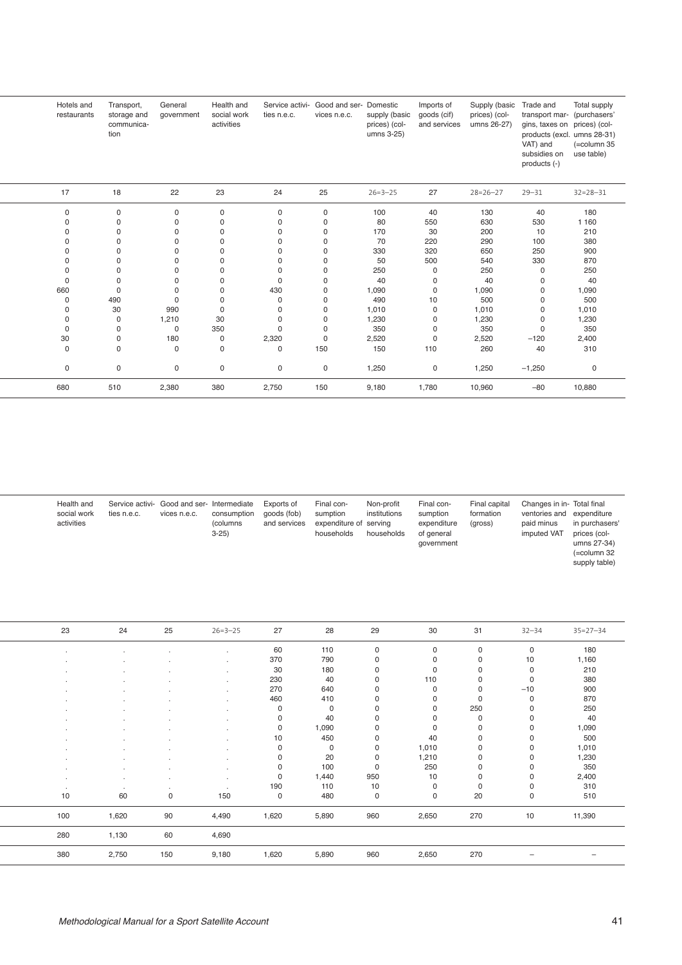| Trade and<br>Supply (basic<br>Total supply<br>transport mar- (purchasers'<br>prices) (col-<br>umns 26-27)<br>gins, taxes on prices) (col-<br>products (excl. umns 28-31)<br>(=column 35<br>VAT) and<br>subsidies on use table)<br>products (-)<br>$28 = 26 - 27$<br>$29 - 31$<br>$32 = 28 - 31$ |
|-------------------------------------------------------------------------------------------------------------------------------------------------------------------------------------------------------------------------------------------------------------------------------------------------|
|                                                                                                                                                                                                                                                                                                 |
|                                                                                                                                                                                                                                                                                                 |
| 130<br>40<br>180                                                                                                                                                                                                                                                                                |
| 530<br>630<br>1 160                                                                                                                                                                                                                                                                             |
| $10$<br>200<br>210                                                                                                                                                                                                                                                                              |
| 380<br>290<br>100                                                                                                                                                                                                                                                                               |
| 900<br>250<br>650                                                                                                                                                                                                                                                                               |
| 330<br>870<br>540                                                                                                                                                                                                                                                                               |
| 250<br>250<br>$\overline{0}$                                                                                                                                                                                                                                                                    |
| 40<br>40<br>$\Omega$                                                                                                                                                                                                                                                                            |
| 1,090<br>1,090<br>$\mathbf 0$                                                                                                                                                                                                                                                                   |
| 500<br>500<br>$\Omega$                                                                                                                                                                                                                                                                          |
| 1,010<br>1,010<br>$\Omega$                                                                                                                                                                                                                                                                      |
| 1,230<br>1,230<br>$\overline{0}$                                                                                                                                                                                                                                                                |
| 350<br>350<br>$\Omega$                                                                                                                                                                                                                                                                          |
| 2,520<br>$-120$<br>2,400                                                                                                                                                                                                                                                                        |
| 310<br>260<br>40                                                                                                                                                                                                                                                                                |
| 1,250<br>$-1,250$<br>0                                                                                                                                                                                                                                                                          |
| 10,960<br>$-80$<br>10,880                                                                                                                                                                                                                                                                       |

| Health and<br>social work<br>activities | ties n.e.c. | Service activi- Good and ser- Intermediate<br>vices n.e.c. | consumption<br>(columns)<br>$3-25$ | Exports of<br>goods (fob)<br>and services | Final con-<br>sumption<br>expenditure of serving<br>households | Non-profit<br>institutions<br>households | Final con-<br>sumption<br>expenditure<br>of general<br>government | Final capital<br>formation<br>(gross) | Changes in in- Total final<br>ventories and<br>paid minus<br>imputed VAT | expenditure<br>in purchasers'<br>prices (col-<br>umns 27-34)<br>$($ =column 32<br>supply table) |
|-----------------------------------------|-------------|------------------------------------------------------------|------------------------------------|-------------------------------------------|----------------------------------------------------------------|------------------------------------------|-------------------------------------------------------------------|---------------------------------------|--------------------------------------------------------------------------|-------------------------------------------------------------------------------------------------|
|                                         |             |                                                            |                                    |                                           |                                                                |                                          |                                                                   |                                       |                                                                          |                                                                                                 |

| 23     |  | 24         | 25       | $26 = 3 - 25$   | 27    | 28       | 29             | 30              | 31  | $32 - 34$       | $35 = 27 - 34$ |
|--------|--|------------|----------|-----------------|-------|----------|----------------|-----------------|-----|-----------------|----------------|
| $\sim$ |  | $\sim 100$ |          | $\sim 10^{-11}$ | 60    | 110      | $\mathbf 0$    | $\Omega$        |     | $\Omega$        | 180            |
| $\sim$ |  | $\sim$     |          | $\sim$ $-$      | 370   | 790      | $\mathbf 0$    |                 |     | 10              | 1,160          |
| $\sim$ |  | $\sim$     |          | $\sim$          | 30    | 180      | $\overline{0}$ | $\Omega$        |     |                 | $210\,$        |
| $\sim$ |  | $\sim$     |          | $\sim$          | 230   | 40       | $\overline{0}$ | 110             |     |                 |                |
| $\sim$ |  | $\sim$     |          | $\sim$          | 270   | 640      | $\overline{0}$ | $\overline{0}$  |     | $-10$           | 380<br>900     |
| $\sim$ |  | $\sim$     |          | $\sim$          | 460   | 410      | $\overline{0}$ | $\Omega$        |     |                 | 870            |
|        |  | $\sim$     |          |                 |       | $\Omega$ | $\Omega$       | $\Omega$        | 250 |                 | 250            |
| $\sim$ |  | $\sim$     |          |                 |       | 40       | $\Omega$       | $\Omega$        |     |                 | 40             |
|        |  |            |          |                 |       | 1,090    | $\overline{0}$ | $\Omega$        |     |                 | 1,090          |
|        |  |            |          |                 | 10    | 450      | $\overline{0}$ | 40              |     |                 | 500            |
|        |  |            |          |                 |       |          | $\overline{0}$ | 1,010           |     |                 | 1,010          |
|        |  |            |          |                 |       | 20       | $\overline{0}$ | 1,210           |     |                 |                |
|        |  |            |          |                 |       | 100      | $\overline{0}$ | 250             |     |                 | 1,230<br>350   |
| $\sim$ |  | $\sim$     |          | $\sim$          |       | 1,440    | 950            | 10 <sup>1</sup> |     |                 | 2,400          |
| $\sim$ |  | $\sim$     |          | $\sim$          | 190   | 110      | 10             | $\mathbf 0$     |     |                 | 310            |
| 10     |  | 60         | $\Omega$ | 150             |       | 480      | $\overline{0}$ | $\Omega$        | 20  |                 | 510            |
|        |  |            |          |                 |       |          |                |                 |     |                 |                |
| 100    |  | 1,620      | 90       | 4,490           | 1,620 | 5,890    | 960            | 2,650           | 270 | 10 <sup>1</sup> | 11,390         |
| 280    |  | 1,130      | 60       | 4,690           |       |          |                |                 |     |                 |                |
| 380    |  | 2,750      | 150      | 9,180           | 1,620 | 5,890    | 960            | 2,650           | 270 |                 |                |
|        |  |            |          |                 |       |          |                |                 |     |                 |                |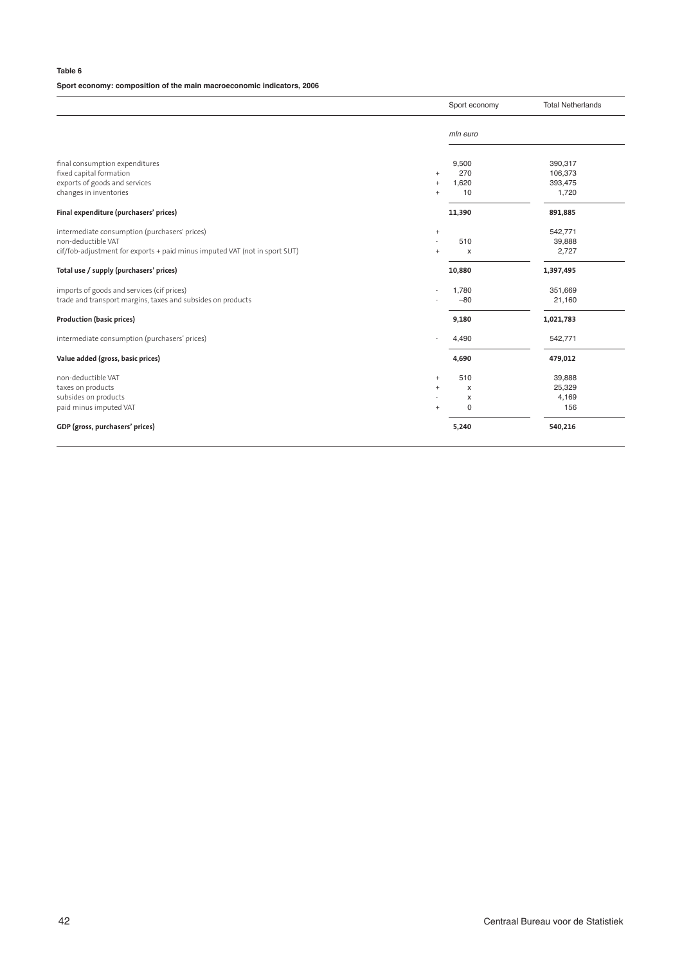## **Sport economy: composition of the main macroeconomic indicators, 2006**

|                                                                                   | Sport economy | <b>Total Netherlands</b> |
|-----------------------------------------------------------------------------------|---------------|--------------------------|
|                                                                                   | mln euro      |                          |
| final consumption expenditures                                                    | 9,500         | 390,317                  |
| fixed capital formation                                                           | 270           | 106,373                  |
| exports of goods and services<br>$\ddot{}$                                        | 1,620         | 393,475                  |
| changes in inventories<br>$\ddot{}$                                               | 10            | 1,720                    |
| Final expenditure (purchasers' prices)                                            | 11,390        | 891,885                  |
| intermediate consumption (purchasers' prices)<br>$+$                              |               | 542,771                  |
| non-deductible VAT                                                                | 510           | 39,888                   |
| cif/fob-adjustment for exports + paid minus imputed VAT (not in sport SUT)<br>$+$ | x             | 2,727                    |
| Total use / supply (purchasers' prices)                                           | 10,880        | 1,397,495                |
| imports of goods and services (cif prices)                                        | 1,780         | 351,669                  |
| trade and transport margins, taxes and subsides on products                       | $-80$         | 21,160                   |
| <b>Production (basic prices)</b>                                                  | 9,180         | 1,021,783                |
| intermediate consumption (purchasers' prices)                                     | 4,490         | 542,771                  |
| Value added (gross, basic prices)                                                 | 4,690         | 479,012                  |
| non-deductible VAT<br>$+$                                                         | 510           | 39,888                   |
| taxes on products<br>$+$                                                          | x             | 25,329                   |
| subsides on products                                                              | x             | 4,169                    |
| paid minus imputed VAT<br>$+$                                                     | $\mathbf 0$   | 156                      |
| GDP (gross, purchasers' prices)                                                   | 5,240         | 540,216                  |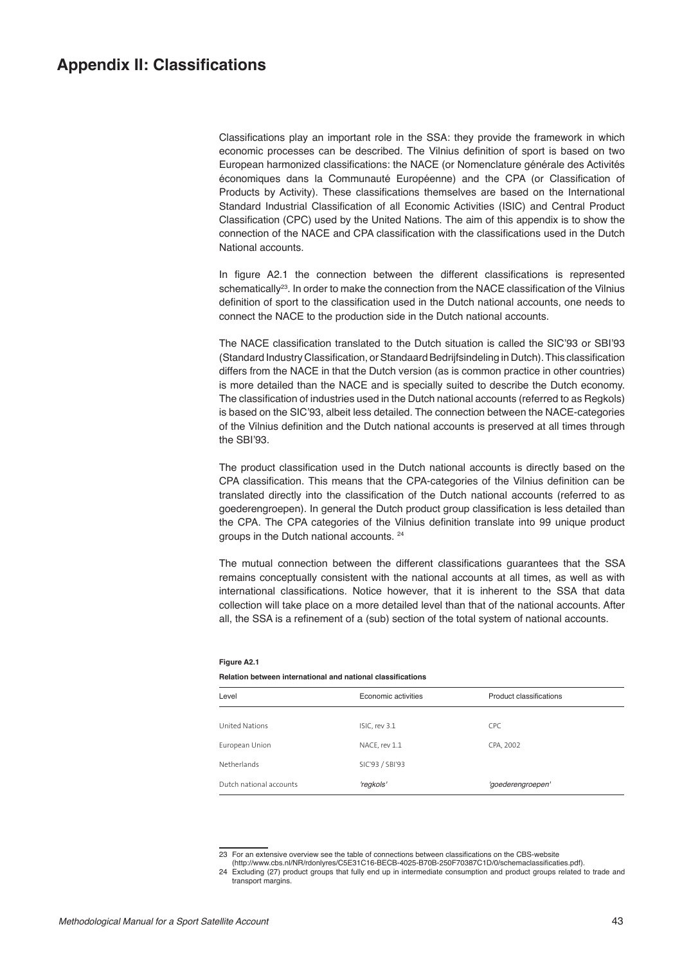<span id="page-42-0"></span>Classifications play an important role in the SSA: they provide the framework in which economic processes can be described. The Vilnius definition of sport is based on two European harmonized classifications: the NACE (or Nomenclature générale des Activités économiques dans la Communauté Européenne) and the CPA (or Classification of Products by Activity). These classifications themselves are based on the International Standard Industrial Classification of all Economic Activities (ISIC) and Central Product Classification (CPC) used by the United Nations. The aim of this appendix is to show the connection of the NACE and CPA classification with the classifications used in the Dutch National accounts.

In figure A2.1 the connection between the different classifications is represented schematically<sup>23</sup>. In order to make the connection from the NACE classification of the Vilnius definition of sport to the classification used in the Dutch national accounts, one needs to connect the NACE to the production side in the Dutch national accounts.

The NACE classification translated to the Dutch situation is called the SIC'93 or SBI'93 (Standard Industry Classification, or Standaard Bedrijfsindeling in Dutch). This classification differs from the NACE in that the Dutch version (as is common practice in other countries) is more detailed than the NACE and is specially suited to describe the Dutch economy. The classification of industries used in the Dutch national accounts (referred to as Regkols) is based on the SIC'93, albeit less detailed. The connection between the NACE-categories of the Vilnius definition and the Dutch national accounts is preserved at all times through the SBI'93.

The product classification used in the Dutch national accounts is directly based on the CPA classification. This means that the CPA-categories of the Vilnius definition can be translated directly into the classification of the Dutch national accounts (referred to as goederengroepen). In general the Dutch product group classification is less detailed than the CPA. The CPA categories of the Vilnius definition translate into 99 unique product groups in the Dutch national accounts. 24

The mutual connection between the different classifications guarantees that the SSA remains conceptually consistent with the national accounts at all times, as well as with international classifications. Notice however, that it is inherent to the SSA that data collection will take place on a more detailed level than that of the national accounts. After all, the SSA is a refinement of a (sub) section of the total system of national accounts.

## **Figure A2.1 Relation between international and national classifications**

| Level<br>Economic activities<br>Product classifications   |  |
|-----------------------------------------------------------|--|
|                                                           |  |
| United Nations<br>ISIC, rev 3.1<br><b>CPC</b>             |  |
| European Union<br>NACE, rev 1.1<br>CPA, 2002              |  |
| Netherlands<br>SIC'93 / SBI'93                            |  |
| Dutch national accounts<br>'regkols'<br>'goederengroepen' |  |

<sup>23</sup> For an extensive overview see the table of connections between classifications on the CBS-website

<sup>(</sup>http://www.cbs.nl/NR/rdonlyres/C5E31C16-BECB-4025-B70B-250F70387C1D/0/schemaclassificaties.pdf). 24 Excluding (27) product groups that fully end up in intermediate consumption and product groups related to trade and transport margins.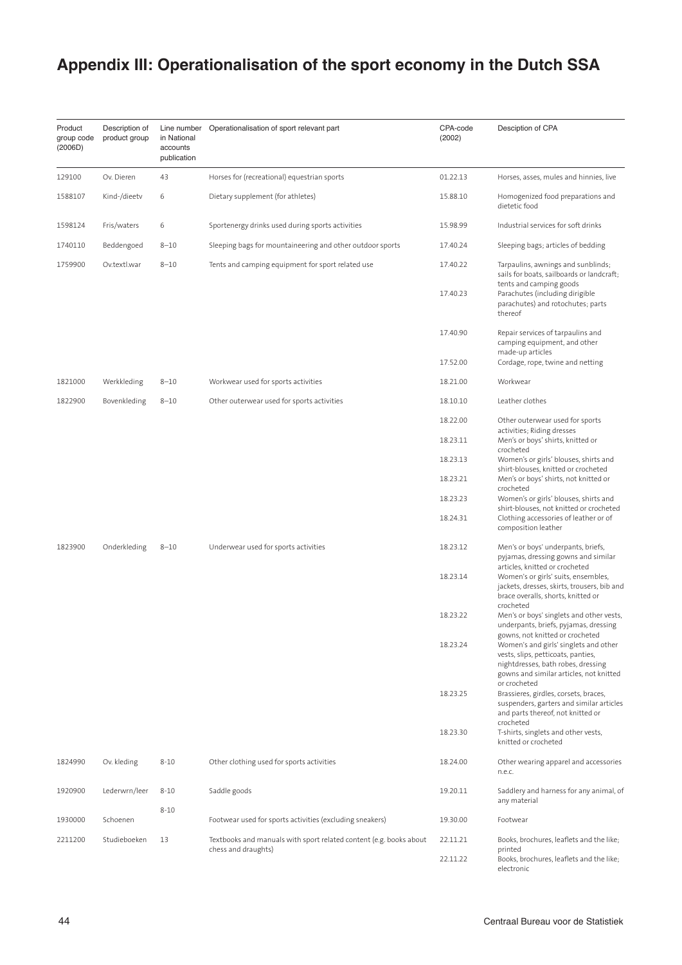# <span id="page-43-0"></span>**Appendix III: Operationalisation of the sport economy in the Dutch SSA**

| Product<br>Description of<br>product group<br>in National<br>group code<br>(2006D)<br>accounts |               |                      | Line number Operationalisation of sport relevant part                                     | CPA-code<br>(2002) | Desciption of CPA                                                                                                                                                            |  |  |  |
|------------------------------------------------------------------------------------------------|---------------|----------------------|-------------------------------------------------------------------------------------------|--------------------|------------------------------------------------------------------------------------------------------------------------------------------------------------------------------|--|--|--|
|                                                                                                |               | publication          |                                                                                           |                    |                                                                                                                                                                              |  |  |  |
| 129100                                                                                         | Ov. Dieren    | 43                   | Horses for (recreational) equestrian sports                                               | 01.22.13           | Horses, asses, mules and hinnies, live                                                                                                                                       |  |  |  |
| 1588107                                                                                        | Kind-/dieetv  | 6                    | Dietary supplement (for athletes)                                                         | 15.88.10           | Homogenized food preparations and<br>dietetic food                                                                                                                           |  |  |  |
| 1598124                                                                                        | Fris/waters   | 6                    | Sportenergy drinks used during sports activities                                          | 15.98.99           | Industrial services for soft drinks                                                                                                                                          |  |  |  |
| 1740110                                                                                        | Beddengoed    | $8 - 10$             | Sleeping bags for mountaineering and other outdoor sports                                 | 17.40.24           | Sleeping bags; articles of bedding                                                                                                                                           |  |  |  |
| 1759900                                                                                        | Ov.textl.war  | $8 - 10$             | Tents and camping equipment for sport related use                                         | 17.40.22           | Tarpaulins, awnings and sunblinds;<br>sails for boats, sailboards or landcraft;<br>tents and camping goods                                                                   |  |  |  |
|                                                                                                |               |                      |                                                                                           | 17.40.23           | Parachutes (including dirigible<br>parachutes) and rotochutes; parts<br>thereof                                                                                              |  |  |  |
|                                                                                                |               |                      |                                                                                           | 17.40.90           | Repair services of tarpaulins and<br>camping equipment, and other                                                                                                            |  |  |  |
|                                                                                                |               |                      |                                                                                           | 17.52.00           | made-up articles<br>Cordage, rope, twine and netting                                                                                                                         |  |  |  |
| 1821000                                                                                        | Werkkleding   | $8 - 10$             | Workwear used for sports activities                                                       | 18.21.00           | Workwear                                                                                                                                                                     |  |  |  |
| 1822900                                                                                        | Bovenkleding  | $8 - 10$             | Other outerwear used for sports activities                                                | 18.10.10           | Leather clothes                                                                                                                                                              |  |  |  |
|                                                                                                |               |                      |                                                                                           | 18.22.00           | Other outerwear used for sports<br>activities; Riding dresses                                                                                                                |  |  |  |
|                                                                                                |               |                      |                                                                                           | 18.23.11           | Men's or boys' shirts, knitted or<br>crocheted                                                                                                                               |  |  |  |
|                                                                                                |               |                      |                                                                                           | 18.23.13           | Women's or girls' blouses, shirts and<br>shirt-blouses, knitted or crocheted                                                                                                 |  |  |  |
|                                                                                                |               |                      |                                                                                           | 18.23.21           | Men's or boys' shirts, not knitted or<br>crocheted                                                                                                                           |  |  |  |
|                                                                                                |               |                      |                                                                                           | 18.23.23           | Women's or girls' blouses, shirts and<br>shirt-blouses, not knitted or crocheted                                                                                             |  |  |  |
|                                                                                                |               |                      |                                                                                           | 18.24.31           | Clothing accessories of leather or of<br>composition leather                                                                                                                 |  |  |  |
| 1823900                                                                                        | Onderkleding  | $8 - 10$             | Underwear used for sports activities                                                      | 18.23.12           | Men's or boys' underpants, briefs,<br>pyjamas, dressing gowns and similar<br>articles, knitted or crocheted                                                                  |  |  |  |
|                                                                                                |               |                      |                                                                                           | 18.23.14           | Women's or girls' suits, ensembles,<br>jackets, dresses, skirts, trousers, bib and<br>brace overalls, shorts, knitted or<br>crocheted                                        |  |  |  |
|                                                                                                |               |                      |                                                                                           | 18.23.22           | Men's or boys' singlets and other vests,<br>underpants, briefs, pyjamas, dressing<br>gowns, not knitted or crocheted                                                         |  |  |  |
|                                                                                                |               |                      |                                                                                           | 18.23.24           | Women's and girls' singlets and other<br>vests, slips, petticoats, panties,<br>nightdresses, bath robes, dressing<br>gowns and similar articles, not knitted<br>or crocheted |  |  |  |
|                                                                                                |               |                      |                                                                                           | 18.23.25           | Brassieres, girdles, corsets, braces,<br>suspenders, garters and similar articles<br>and parts thereof, not knitted or<br>crocheted                                          |  |  |  |
|                                                                                                |               |                      |                                                                                           | 18.23.30           | T-shirts, singlets and other vests,<br>knitted or crocheted                                                                                                                  |  |  |  |
| 1824990                                                                                        | Ov. kleding   | $8 - 10$             | Other clothing used for sports activities                                                 | 18.24.00           | Other wearing apparel and accessories<br>n.e.c.                                                                                                                              |  |  |  |
| 1920900                                                                                        | Lederwrn/leer | $8 - 10$<br>$8 - 10$ | Saddle goods                                                                              | 19.20.11           | Saddlery and harness for any animal, of<br>any material                                                                                                                      |  |  |  |
| 1930000                                                                                        | Schoenen      |                      | Footwear used for sports activities (excluding sneakers)                                  | 19.30.00           | Footwear                                                                                                                                                                     |  |  |  |
| 2211200                                                                                        | Studieboeken  | 13                   | Textbooks and manuals with sport related content (e.g. books about<br>chess and draughts) | 22.11.21           | Books, brochures, leaflets and the like;<br>printed                                                                                                                          |  |  |  |
|                                                                                                |               |                      |                                                                                           | 22.11.22           | Books, brochures, leaflets and the like;<br>electronic                                                                                                                       |  |  |  |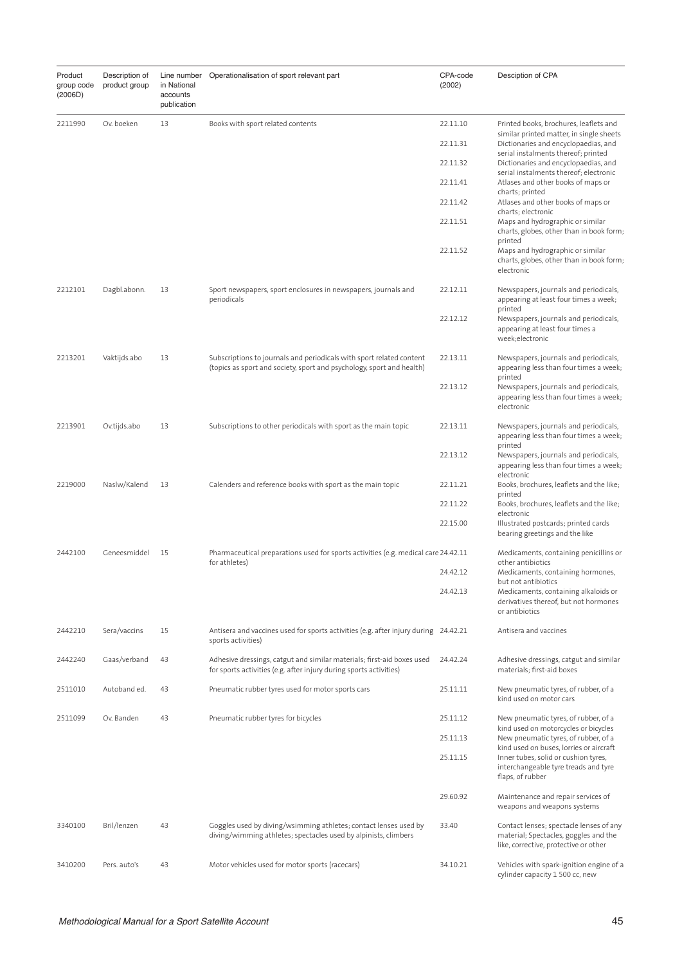| Product<br>group code<br>(2006D) | Description of<br>product group | Line number<br>in National<br>accounts<br>publication | Operationalisation of sport relevant part                                                                                                     | CPA-code<br>(2002) | Desciption of CPA                                                                                                                                                                                                                                                                                                                                                                                                                                                                                                                                                 |
|----------------------------------|---------------------------------|-------------------------------------------------------|-----------------------------------------------------------------------------------------------------------------------------------------------|--------------------|-------------------------------------------------------------------------------------------------------------------------------------------------------------------------------------------------------------------------------------------------------------------------------------------------------------------------------------------------------------------------------------------------------------------------------------------------------------------------------------------------------------------------------------------------------------------|
| 2211990                          | Ov. boeken                      | 13                                                    | Books with sport related contents                                                                                                             | 22.11.10           | Printed books, brochures, leaflets and<br>similar printed matter, in single sheets<br>Dictionaries and encyclopaedias, and<br>serial instalments thereof; printed<br>Dictionaries and encyclopaedias, and<br>serial instalments thereof; electronic<br>Atlases and other books of maps or<br>charts; printed<br>Atlases and other books of maps or<br>charts; electronic<br>Maps and hydrographic or similar<br>charts, globes, other than in book form;<br>printed<br>Maps and hydrographic or similar<br>charts, globes, other than in book form;<br>electronic |
|                                  |                                 |                                                       |                                                                                                                                               | 22.11.31           |                                                                                                                                                                                                                                                                                                                                                                                                                                                                                                                                                                   |
|                                  |                                 |                                                       |                                                                                                                                               | 22.11.32           |                                                                                                                                                                                                                                                                                                                                                                                                                                                                                                                                                                   |
|                                  |                                 |                                                       |                                                                                                                                               | 22.11.41           |                                                                                                                                                                                                                                                                                                                                                                                                                                                                                                                                                                   |
|                                  |                                 |                                                       |                                                                                                                                               | 22.11.42           |                                                                                                                                                                                                                                                                                                                                                                                                                                                                                                                                                                   |
|                                  |                                 |                                                       |                                                                                                                                               | 22.11.51           |                                                                                                                                                                                                                                                                                                                                                                                                                                                                                                                                                                   |
|                                  |                                 |                                                       |                                                                                                                                               | 22.11.52           |                                                                                                                                                                                                                                                                                                                                                                                                                                                                                                                                                                   |
| 2212101                          | Dagbl.abonn.                    | 13                                                    | Sport newspapers, sport enclosures in newspapers, journals and<br>periodicals                                                                 | 22.12.11           | Newspapers, journals and periodicals,<br>appearing at least four times a week;                                                                                                                                                                                                                                                                                                                                                                                                                                                                                    |
|                                  |                                 |                                                       |                                                                                                                                               | 22.12.12           | printed<br>Newspapers, journals and periodicals,<br>appearing at least four times a<br>week;electronic                                                                                                                                                                                                                                                                                                                                                                                                                                                            |
| 2213201                          | Vaktijds.abo                    | 13                                                    | Subscriptions to journals and periodicals with sport related content<br>(topics as sport and society, sport and psychology, sport and health) | 22.13.11           | Newspapers, journals and periodicals,<br>appearing less than four times a week;                                                                                                                                                                                                                                                                                                                                                                                                                                                                                   |
|                                  |                                 |                                                       |                                                                                                                                               | 22.13.12           | printed<br>Newspapers, journals and periodicals,<br>appearing less than four times a week;<br>electronic                                                                                                                                                                                                                                                                                                                                                                                                                                                          |
| 2213901                          | Ov.tijds.abo                    | 13                                                    | Subscriptions to other periodicals with sport as the main topic                                                                               | 22.13.11           | Newspapers, journals and periodicals,<br>appearing less than four times a week;                                                                                                                                                                                                                                                                                                                                                                                                                                                                                   |
|                                  |                                 |                                                       |                                                                                                                                               | 22.13.12           | printed<br>Newspapers, journals and periodicals,<br>appearing less than four times a week;                                                                                                                                                                                                                                                                                                                                                                                                                                                                        |
| 2219000                          | Naslw/Kalend                    | 13                                                    | Calenders and reference books with sport as the main topic                                                                                    | 22.11.21           | electronic<br>Books, brochures, leaflets and the like;                                                                                                                                                                                                                                                                                                                                                                                                                                                                                                            |
|                                  |                                 |                                                       |                                                                                                                                               | 22.11.22           | printed<br>Books, brochures, leaflets and the like;                                                                                                                                                                                                                                                                                                                                                                                                                                                                                                               |
|                                  |                                 |                                                       |                                                                                                                                               | 22.15.00           | electronic<br>Illustrated postcards; printed cards<br>bearing greetings and the like                                                                                                                                                                                                                                                                                                                                                                                                                                                                              |
| 2442100                          | Geneesmiddel                    | 15                                                    | Pharmaceutical preparations used for sports activities (e.g. medical care 24.42.11                                                            |                    | Medicaments, containing penicillins or                                                                                                                                                                                                                                                                                                                                                                                                                                                                                                                            |
|                                  |                                 |                                                       | for athletes)                                                                                                                                 | 24.42.12           | other antibiotics<br>Medicaments, containing hormones,                                                                                                                                                                                                                                                                                                                                                                                                                                                                                                            |
|                                  |                                 |                                                       |                                                                                                                                               | 24.42.13           | but not antibiotics<br>Medicaments, containing alkaloids or<br>derivatives thereof, but not hormones<br>or antibiotics                                                                                                                                                                                                                                                                                                                                                                                                                                            |
| 2442210                          | Sera/vaccins                    | 15                                                    | Antisera and vaccines used for sports activities (e.g. after injury during 24.42.21<br>sports activities)                                     |                    | Antisera and vaccines                                                                                                                                                                                                                                                                                                                                                                                                                                                                                                                                             |
| 2442240                          | Gaas/verband                    | 43                                                    | Adhesive dressings, catgut and similar materials; first-aid boxes used<br>for sports activities (e.g. after injury during sports activities)  | 24.42.24           | Adhesive dressings, catgut and similar<br>materials; first-aid boxes                                                                                                                                                                                                                                                                                                                                                                                                                                                                                              |
| 2511010                          | Autoband ed.                    | 43                                                    | Pneumatic rubber tyres used for motor sports cars                                                                                             | 25.11.11           | New pneumatic tyres, of rubber, of a<br>kind used on motor cars                                                                                                                                                                                                                                                                                                                                                                                                                                                                                                   |
| 2511099                          | Ov. Banden                      | 43                                                    | Pneumatic rubber tyres for bicycles                                                                                                           | 25.11.12           | New pneumatic tyres, of rubber, of a                                                                                                                                                                                                                                                                                                                                                                                                                                                                                                                              |
|                                  |                                 |                                                       |                                                                                                                                               | 25.11.13           | kind used on motorcycles or bicycles<br>New pneumatic tyres, of rubber, of a<br>kind used on buses, lorries or aircraft<br>Inner tubes, solid or cushion tyres,<br>interchangeable tyre treads and tyre<br>flaps, of rubber                                                                                                                                                                                                                                                                                                                                       |
|                                  |                                 |                                                       |                                                                                                                                               | 25.11.15           |                                                                                                                                                                                                                                                                                                                                                                                                                                                                                                                                                                   |
|                                  |                                 |                                                       |                                                                                                                                               | 29.60.92           | Maintenance and repair services of<br>weapons and weapons systems                                                                                                                                                                                                                                                                                                                                                                                                                                                                                                 |
| 3340100                          | Bril/lenzen                     | 43                                                    | Goggles used by diving/wsimming athletes; contact lenses used by<br>diving/wimming athletes; spectacles used by alpinists, climbers           | 33.40              | Contact lenses; spectacle lenses of any<br>material; Spectacles, goggles and the<br>like, corrective, protective or other                                                                                                                                                                                                                                                                                                                                                                                                                                         |
| 3410200                          | Pers. auto's                    | 43                                                    | Motor vehicles used for motor sports (racecars)                                                                                               | 34.10.21           | Vehicles with spark-ignition engine of a<br>cylinder capacity 1 500 cc, new                                                                                                                                                                                                                                                                                                                                                                                                                                                                                       |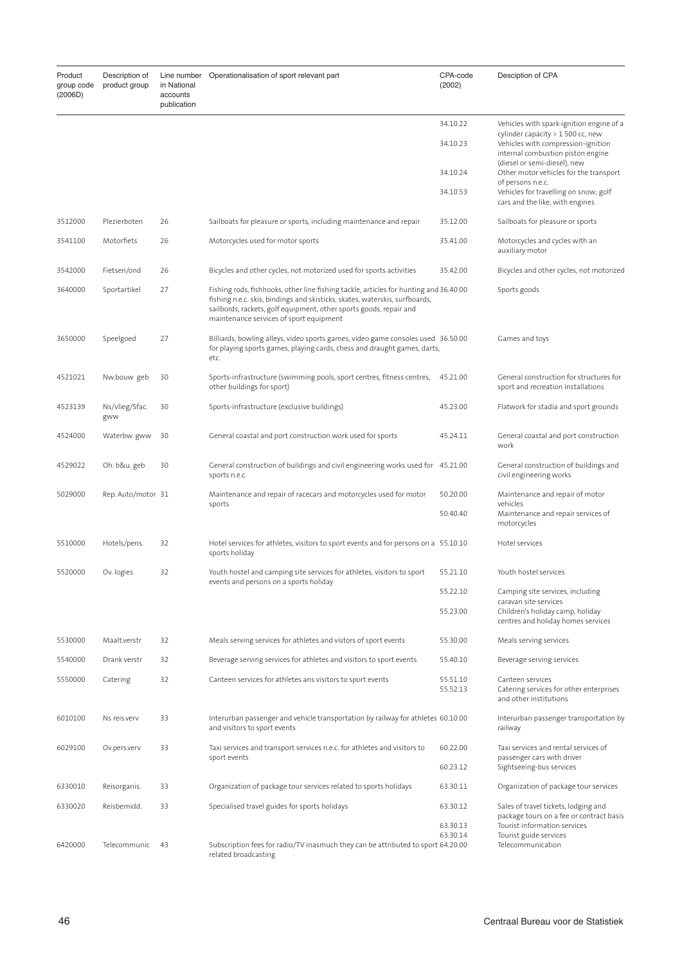| Product<br>group code<br>(2006D) | Description of<br>product group | Line number<br>in National<br>accounts<br>publication | Operationalisation of sport relevant part                                                                                                                                                                                                                                             | CPA-code<br>(2002)   | Desciption of CPA                                                                                                |
|----------------------------------|---------------------------------|-------------------------------------------------------|---------------------------------------------------------------------------------------------------------------------------------------------------------------------------------------------------------------------------------------------------------------------------------------|----------------------|------------------------------------------------------------------------------------------------------------------|
|                                  |                                 |                                                       |                                                                                                                                                                                                                                                                                       | 34.10.22             | Vehicles with spark-ignition engine of a                                                                         |
|                                  |                                 |                                                       |                                                                                                                                                                                                                                                                                       | 34.10.23             | cylinder capacity > 1 500 cc, new<br>Vehicles with compression-ignition<br>internal combustion piston engine     |
|                                  |                                 |                                                       |                                                                                                                                                                                                                                                                                       | 34.10.24             | (diesel or semi-diesel), new<br>Other motor vehicles for the transport                                           |
|                                  |                                 |                                                       |                                                                                                                                                                                                                                                                                       | 34.10.53             | of persons n.e.c.<br>Vehicles for travelling on snow; golf<br>cars and the like, with engines                    |
| 3512000                          | Plezierboten                    | 26                                                    | Sailboats for pleasure or sports, including maintenance and repair                                                                                                                                                                                                                    | 35.12.00             | Sailboats for pleasure or sports                                                                                 |
| 3541100                          | Motorfiets                      | 26                                                    | Motorcycles used for motor sports                                                                                                                                                                                                                                                     | 35.41.00             | Motorcycles and cycles with an<br>auxiliary motor                                                                |
| 3542000                          | Fietsen/ond                     | 26                                                    | Bicycles and other cycles, not motorized used for sports activities                                                                                                                                                                                                                   | 35.42.00             | Bicycles and other cycles, not motorized                                                                         |
| 3640000                          | Sportartikel                    | 27                                                    | Fishing rods, fishhooks, other line fishing tackle, articles for hunting and 36.40.00<br>fishing n.e.c. skis, bindings and skisticks, skates, waterskis, surfboards,<br>sailbords, rackets, golf equipment, other sports goods, repair and<br>maintenance services of sport equipment |                      | Sports goods                                                                                                     |
| 3650000                          | Speelgoed                       | 27                                                    | Billiards, bowling alleys, video sports games, video game consoles used 36.50.00<br>for playing sports games, playing cards, chess and draught games, darts,<br>etc.                                                                                                                  |                      | Games and toys                                                                                                   |
| 4521021                          | Nw.bouw geb                     | 30                                                    | Sports-infrastructure (swimming pools, sport centres, fitness centres,<br>other buildings for sport)                                                                                                                                                                                  | 45.21.00             | General construction for structures for<br>sport and recreation installations                                    |
| 4523139                          | Ns/vlieg/Sfac.<br>gww           | 30                                                    | Sports-infrastructure (exclusive buildings)                                                                                                                                                                                                                                           | 45.23.00             | Flatwork for stadia and sport grounds                                                                            |
| 4524000                          | Waterbw. gww                    | 30                                                    | General coastal and port construction work used for sports                                                                                                                                                                                                                            | 45.24.11             | General coastal and port construction<br>work                                                                    |
| 4529022                          | Oh. b&u. geb                    | 30                                                    | General construction of buildings and civil engineering works used for 45.21.00<br>sports n.e.c.                                                                                                                                                                                      |                      | General construction of buildings and<br>civil engineering works                                                 |
| 5029000                          | Rep. Auto/motor 31              |                                                       | Maintenance and repair of racecars and motorcycles used for motor                                                                                                                                                                                                                     | 50.20.00             | Maintenance and repair of motor                                                                                  |
|                                  |                                 |                                                       | sports                                                                                                                                                                                                                                                                                | 50.40.40             | vehicles<br>Maintenance and repair services of<br>motorcycles                                                    |
| 5510000                          | Hotels/pens.                    | 32                                                    | Hotel services for athletes, visitors to sport events and for persons on a 55.10.10<br>sports holiday                                                                                                                                                                                 |                      | Hotel services                                                                                                   |
| 5520000                          | Ov. logies                      | 32                                                    | Youth hostel and camping site services for athletes, visitors to sport                                                                                                                                                                                                                | 55.21.10             | Youth hostel services                                                                                            |
|                                  |                                 |                                                       | events and persons on a sports holiday                                                                                                                                                                                                                                                | 55.22.10             | Camping site services, including                                                                                 |
|                                  |                                 |                                                       |                                                                                                                                                                                                                                                                                       | 55.23.00             | caravan site services<br>Children's holiday camp, holiday<br>centres and holiday homes services                  |
| 5530000                          | Maalt.verstr                    | 32                                                    | Meals serving services for athletes and vistors of sport events                                                                                                                                                                                                                       | 55.30.00             | Meals serving services                                                                                           |
| 5540000                          | Drank verstr                    | 32                                                    | Beverage serving services for athletes and visitors to sport events                                                                                                                                                                                                                   | 55.40.10             | Beverage serving services                                                                                        |
| 5550000                          | Catering                        | 32                                                    | Canteen services for athletes ans visitors to sport events                                                                                                                                                                                                                            | 55.51.10<br>55.52.13 | Canteen services<br>Catering services for other enterprises<br>and other institutions                            |
| 6010100                          | Ns reis.verv                    | 33                                                    | Interurban passenger and vehicle transportation by railway for athletes 60.10.00<br>and visitors to sport events                                                                                                                                                                      |                      | Interurban passenger transportation by<br>railway                                                                |
| 6029100                          | Ov.pers.verv                    | 33                                                    | Taxi services and transport services n.e.c. for athletes and visitors to                                                                                                                                                                                                              | 60.22.00             | Taxi services and rental services of                                                                             |
|                                  |                                 |                                                       | sport events                                                                                                                                                                                                                                                                          | 60.23.12             | passenger cars with driver<br>Sightseeing-bus services                                                           |
| 6330010                          | Reisorganis.                    | 33                                                    | Organization of package tour services related to sports holidays                                                                                                                                                                                                                      | 63.30.11             | Organization of package tour services                                                                            |
| 6330020                          | Reisbemidd.                     | 33                                                    | Specialised travel guides for sports holidays                                                                                                                                                                                                                                         | 63.30.12<br>63.30.13 | Sales of travel tickets, lodging and<br>package tours on a fee or contract basis<br>Tourist information services |
| 6420000                          | Telecommunic                    | 43                                                    | Subscription fees for radio/TV inasmuch they can be attributed to sport 64.20.00<br>related broadcasting                                                                                                                                                                              | 63.30.14             | Tourist guide services<br>Telecommunication                                                                      |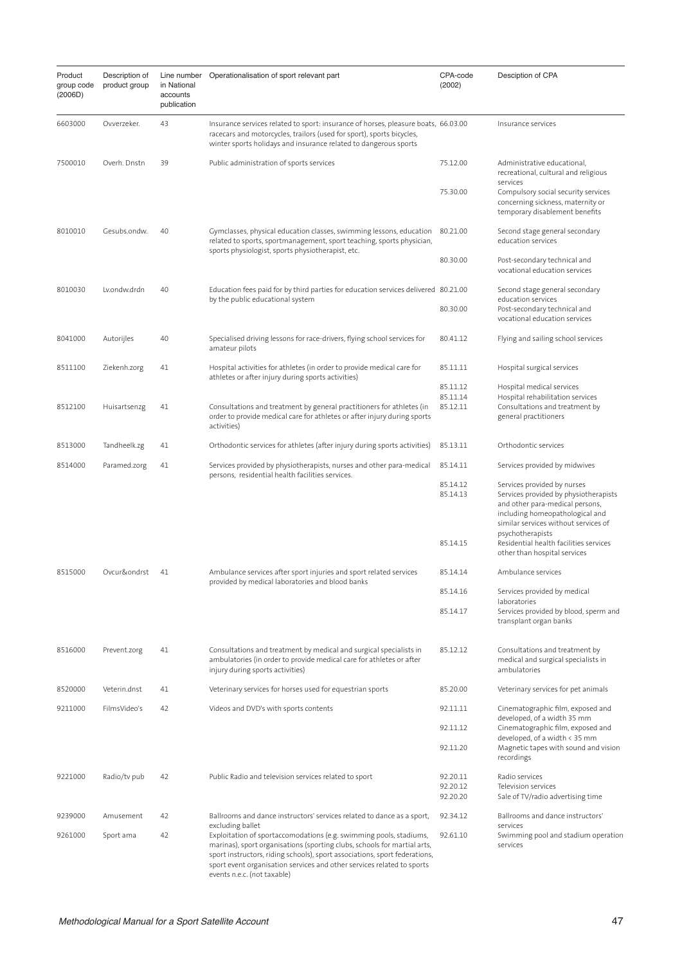| Product<br>group code<br>(2006D) | Description of<br>product group | Line number<br>in National<br>accounts<br>publication | Operationalisation of sport relevant part                                                                                                                                                                                                                                                                                                                 | CPA-code<br>(2002)               | Desciption of CPA                                                                                                                                                                                                                                                                |
|----------------------------------|---------------------------------|-------------------------------------------------------|-----------------------------------------------------------------------------------------------------------------------------------------------------------------------------------------------------------------------------------------------------------------------------------------------------------------------------------------------------------|----------------------------------|----------------------------------------------------------------------------------------------------------------------------------------------------------------------------------------------------------------------------------------------------------------------------------|
| 6603000                          | Ov.verzeker.                    | 43                                                    | Insurance services related to sport: insurance of horses, pleasure boats, 66.03.00<br>racecars and motorcycles, trailors (used for sport), sports bicycles,<br>winter sports holidays and insurance related to dangerous sports                                                                                                                           |                                  | Insurance services                                                                                                                                                                                                                                                               |
| 7500010                          | Overh. Dnstn                    | 39                                                    | Public administration of sports services                                                                                                                                                                                                                                                                                                                  | 75.12.00                         | Administrative educational,<br>recreational, cultural and religious                                                                                                                                                                                                              |
|                                  |                                 |                                                       |                                                                                                                                                                                                                                                                                                                                                           | 75.30.00                         | services<br>Compulsory social security services<br>concerning sickness, maternity or<br>temporary disablement benefits                                                                                                                                                           |
| 8010010                          | Gesubs.ondw.                    | 40                                                    | Gymclasses, physical education classes, swimming lessons, education<br>related to sports, sportmanagement, sport teaching, sports physician,<br>sports physiologist, sports physiotherapist, etc.                                                                                                                                                         | 80.21.00                         | Second stage general secondary<br>education services                                                                                                                                                                                                                             |
|                                  |                                 |                                                       |                                                                                                                                                                                                                                                                                                                                                           | 80.30.00                         | Post-secondary technical and<br>vocational education services                                                                                                                                                                                                                    |
| 8010030                          | Lv.ondw.drdn                    | 40                                                    | Education fees paid for by third parties for education services delivered 80.21.00                                                                                                                                                                                                                                                                        |                                  | Second stage general secondary                                                                                                                                                                                                                                                   |
|                                  |                                 |                                                       | by the public educational system                                                                                                                                                                                                                                                                                                                          | 80.30.00                         | education services<br>Post-secondary technical and<br>vocational education services                                                                                                                                                                                              |
| 8041000                          | Autorijles                      | 40                                                    | Specialised driving lessons for race-drivers, flying school services for<br>amateur pilots                                                                                                                                                                                                                                                                | 80.41.12                         | Flying and sailing school services                                                                                                                                                                                                                                               |
| 8511100                          | Ziekenh.zorg                    | 41                                                    | Hospital activities for athletes (in order to provide medical care for<br>athletes or after injury during sports activities)                                                                                                                                                                                                                              | 85.11.11                         | Hospital surgical services                                                                                                                                                                                                                                                       |
|                                  |                                 |                                                       |                                                                                                                                                                                                                                                                                                                                                           | 85.11.12                         | Hospital medical services                                                                                                                                                                                                                                                        |
|                                  |                                 |                                                       |                                                                                                                                                                                                                                                                                                                                                           | 85.11.14                         | Hospital rehabilitation services                                                                                                                                                                                                                                                 |
| 8512100                          | Huisartsenzg                    | 41                                                    | Consultations and treatment by general practitioners for athletes (in<br>order to provide medical care for athletes or after injury during sports<br>activities)                                                                                                                                                                                          | 85.12.11                         | Consultations and treatment by<br>general practitioners                                                                                                                                                                                                                          |
| 8513000                          | Tandheelk.zg                    | 41                                                    | Orthodontic services for athletes (after injury during sports activities)                                                                                                                                                                                                                                                                                 | 85.13.11                         | Orthodontic services                                                                                                                                                                                                                                                             |
| 8514000                          | Paramed.zorg                    | 41                                                    | Services provided by physiotherapists, nurses and other para-medical<br>persons, residential health facilities services.                                                                                                                                                                                                                                  | 85.14.11                         | Services provided by midwives                                                                                                                                                                                                                                                    |
|                                  |                                 |                                                       |                                                                                                                                                                                                                                                                                                                                                           | 85.14.12<br>85.14.13<br>85.14.15 | Services provided by nurses<br>Services provided by physiotherapists<br>and other para-medical persons,<br>including homeopathological and<br>similar services without services of<br>psychotherapists<br>Residential health facilities services<br>other than hospital services |
| 8515000                          | Ovcur&ondrst                    | 41                                                    | Ambulance services after sport injuries and sport related services                                                                                                                                                                                                                                                                                        | 85.14.14                         | Ambulance services                                                                                                                                                                                                                                                               |
|                                  |                                 |                                                       | provided by medical laboratories and blood banks                                                                                                                                                                                                                                                                                                          | 85.14.16                         | Services provided by medical                                                                                                                                                                                                                                                     |
|                                  |                                 |                                                       |                                                                                                                                                                                                                                                                                                                                                           | 85.14.17                         | laboratories<br>Services provided by blood, sperm and<br>transplant organ banks                                                                                                                                                                                                  |
| 8516000                          | Prevent.zorg                    | 41                                                    | Consultations and treatment by medical and surgical specialists in<br>ambulatories (in order to provide medical care for athletes or after<br>injury during sports activities)                                                                                                                                                                            | 85.12.12                         | Consultations and treatment by<br>medical and surgical specialists in<br>ambulatories                                                                                                                                                                                            |
| 8520000                          | Veterin.dnst                    | 41                                                    | Veterinary services for horses used for equestrian sports                                                                                                                                                                                                                                                                                                 | 85.20.00                         | Veterinary services for pet animals                                                                                                                                                                                                                                              |
| 9211000                          | FilmsVideo's                    | 42                                                    | Videos and DVD's with sports contents                                                                                                                                                                                                                                                                                                                     | 92.11.11                         | Cinematographic film, exposed and<br>developed, of a width 35 mm                                                                                                                                                                                                                 |
|                                  |                                 |                                                       |                                                                                                                                                                                                                                                                                                                                                           | 92.11.12                         | Cinematographic film, exposed and<br>developed, of a width < 35 mm                                                                                                                                                                                                               |
|                                  |                                 |                                                       |                                                                                                                                                                                                                                                                                                                                                           | 92.11.20                         | Magnetic tapes with sound and vision<br>recordings                                                                                                                                                                                                                               |
| 9221000                          | Radio/tv pub                    | 42                                                    | Public Radio and television services related to sport                                                                                                                                                                                                                                                                                                     | 92.20.11<br>92.20.12<br>92.20.20 | Radio services<br>Television services<br>Sale of TV/radio advertising time                                                                                                                                                                                                       |
| 9239000                          | Amusement                       | 42                                                    | Ballrooms and dance instructors' services related to dance as a sport,                                                                                                                                                                                                                                                                                    | 92.34.12                         | Ballrooms and dance instructors'                                                                                                                                                                                                                                                 |
| 9261000                          | Sport ama                       | 42                                                    | excluding ballet<br>Exploitation of sportaccomodations (e.g. swimming pools, stadiums,<br>marinas), sport organisations (sporting clubs, schools for martial arts,<br>sport instructors, riding schools), sport associations, sport federations,<br>sport event organisation services and other services related to sports<br>events n.e.c. (not taxable) | 92.61.10                         | services<br>Swimming pool and stadium operation<br>services                                                                                                                                                                                                                      |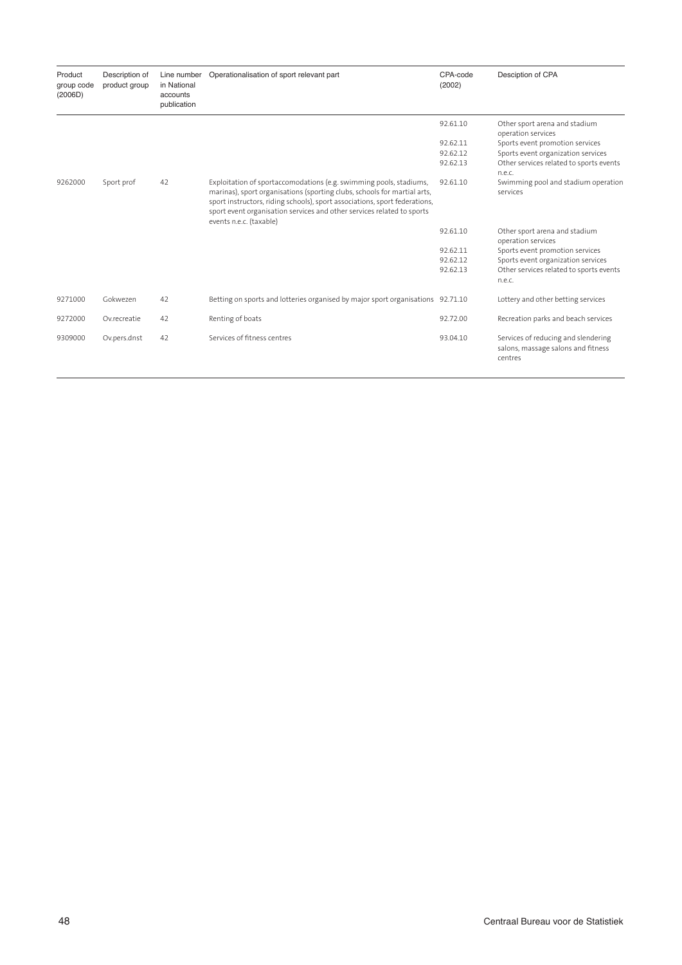| Product<br>group code<br>(2006D) | Description of<br>product group | Line number<br>in National<br>accounts<br>publication | Operationalisation of sport relevant part                                                                                                                                                                                                                                                                                         | CPA-code<br>(2002)   | Desciption of CPA                                                                       |
|----------------------------------|---------------------------------|-------------------------------------------------------|-----------------------------------------------------------------------------------------------------------------------------------------------------------------------------------------------------------------------------------------------------------------------------------------------------------------------------------|----------------------|-----------------------------------------------------------------------------------------|
|                                  |                                 |                                                       |                                                                                                                                                                                                                                                                                                                                   | 92.61.10             | Other sport arena and stadium<br>operation services                                     |
|                                  |                                 |                                                       |                                                                                                                                                                                                                                                                                                                                   | 92.62.11             | Sports event promotion services                                                         |
|                                  |                                 |                                                       |                                                                                                                                                                                                                                                                                                                                   | 92.62.12<br>92.62.13 | Sports event organization services<br>Other services related to sports events<br>n.e.c. |
| 9262000                          | Sport prof                      | 42                                                    | Exploitation of sportaccomodations (e.g. swimming pools, stadiums,<br>marinas), sport organisations (sporting clubs, schools for martial arts,<br>sport instructors, riding schools), sport associations, sport federations,<br>sport event organisation services and other services related to sports<br>events n.e.c. (taxable) | 92.61.10             | Swimming pool and stadium operation<br>services                                         |
|                                  |                                 |                                                       |                                                                                                                                                                                                                                                                                                                                   | 92.61.10             | Other sport arena and stadium<br>operation services                                     |
|                                  |                                 |                                                       |                                                                                                                                                                                                                                                                                                                                   | 92.62.11             | Sports event promotion services                                                         |
|                                  |                                 |                                                       |                                                                                                                                                                                                                                                                                                                                   | 92.62.12             | Sports event organization services                                                      |
|                                  |                                 |                                                       |                                                                                                                                                                                                                                                                                                                                   | 92.62.13             | Other services related to sports events<br>n.e.c.                                       |
| 9271000                          | Gokwezen                        | 42                                                    | Betting on sports and lotteries organised by major sport organisations 92.71.10                                                                                                                                                                                                                                                   |                      | Lottery and other betting services                                                      |
| 9272000                          | Ov.recreatie                    | 42                                                    | Renting of boats                                                                                                                                                                                                                                                                                                                  | 92.72.00             | Recreation parks and beach services                                                     |
| 9309000                          | Ov.pers.dnst                    | 42                                                    | Services of fitness centres                                                                                                                                                                                                                                                                                                       | 93.04.10             | Services of reducing and slendering<br>salons, massage salons and fitness<br>centres    |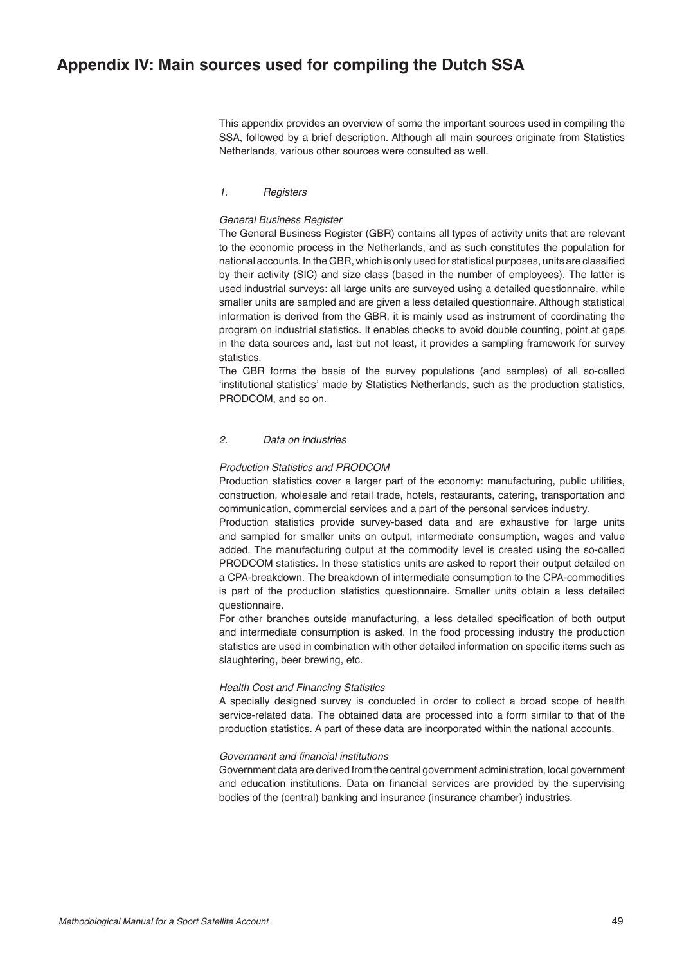<span id="page-48-0"></span>This appendix provides an overview of some the important sources used in compiling the SSA, followed by a brief description. Although all main sources originate from Statistics Netherlands, various other sources were consulted as well.

## *1. Registers*

## *General Business Register*

The General Business Register (GBR) contains all types of activity units that are relevant to the economic process in the Netherlands, and as such constitutes the population for national accounts. In the GBR, which is only used for statistical purposes, units are classified by their activity (SIC) and size class (based in the number of employees). The latter is used industrial surveys: all large units are surveyed using a detailed questionnaire, while smaller units are sampled and are given a less detailed questionnaire. Although statistical information is derived from the GBR, it is mainly used as instrument of coordinating the program on industrial statistics. It enables checks to avoid double counting, point at gaps in the data sources and, last but not least, it provides a sampling framework for survey statistics.

The GBR forms the basis of the survey populations (and samples) of all so-called 'institutional statistics' made by Statistics Netherlands, such as the production statistics, PRODCOM, and so on.

## *2. Data on industries*

## *Production Statistics and PRODCOM*

Production statistics cover a larger part of the economy: manufacturing, public utilities, construction, wholesale and retail trade, hotels, restaurants, catering, transportation and communication, commercial services and a part of the personal services industry.

Production statistics provide survey-based data and are exhaustive for large units and sampled for smaller units on output, intermediate consumption, wages and value added. The manufacturing output at the commodity level is created using the so-called PRODCOM statistics. In these statistics units are asked to report their output detailed on a CPA-breakdown. The breakdown of intermediate consumption to the CPA-commodities is part of the production statistics questionnaire. Smaller units obtain a less detailed questionnaire.

For other branches outside manufacturing, a less detailed specification of both output and intermediate consumption is asked. In the food processing industry the production statistics are used in combination with other detailed information on specific items such as slaughtering, beer brewing, etc.

## *Health Cost and Financing Statistics*

A specially designed survey is conducted in order to collect a broad scope of health service-related data. The obtained data are processed into a form similar to that of the production statistics. A part of these data are incorporated within the national accounts.

## Government and financial institutions

Government data are derived from the central government administration, local government and education institutions. Data on financial services are provided by the supervising bodies of the (central) banking and insurance (insurance chamber) industries.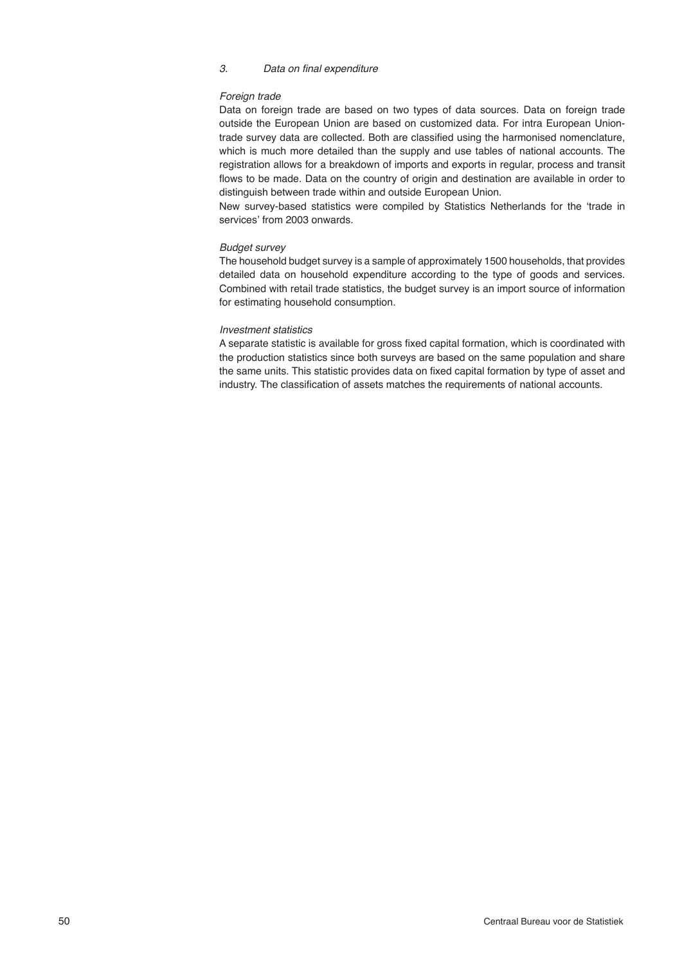## 3. Data on final expenditure

## *Foreign trade*

Data on foreign trade are based on two types of data sources. Data on foreign trade outside the European Union are based on customized data. For intra European Uniontrade survey data are collected. Both are classified using the harmonised nomenclature, which is much more detailed than the supply and use tables of national accounts. The registration allows for a breakdown of imports and exports in regular, process and transit flows to be made. Data on the country of origin and destination are available in order to distinguish between trade within and outside European Union.

New survey-based statistics were compiled by Statistics Netherlands for the 'trade in services' from 2003 onwards.

## *Budget survey*

The household budget survey is a sample of approximately 1500 households, that provides detailed data on household expenditure according to the type of goods and services. Combined with retail trade statistics, the budget survey is an import source of information for estimating household consumption.

## *Investment statistics*

A separate statistic is available for gross fixed capital formation, which is coordinated with the production statistics since both surveys are based on the same population and share the same units. This statistic provides data on fixed capital formation by type of asset and industry. The classification of assets matches the requirements of national accounts.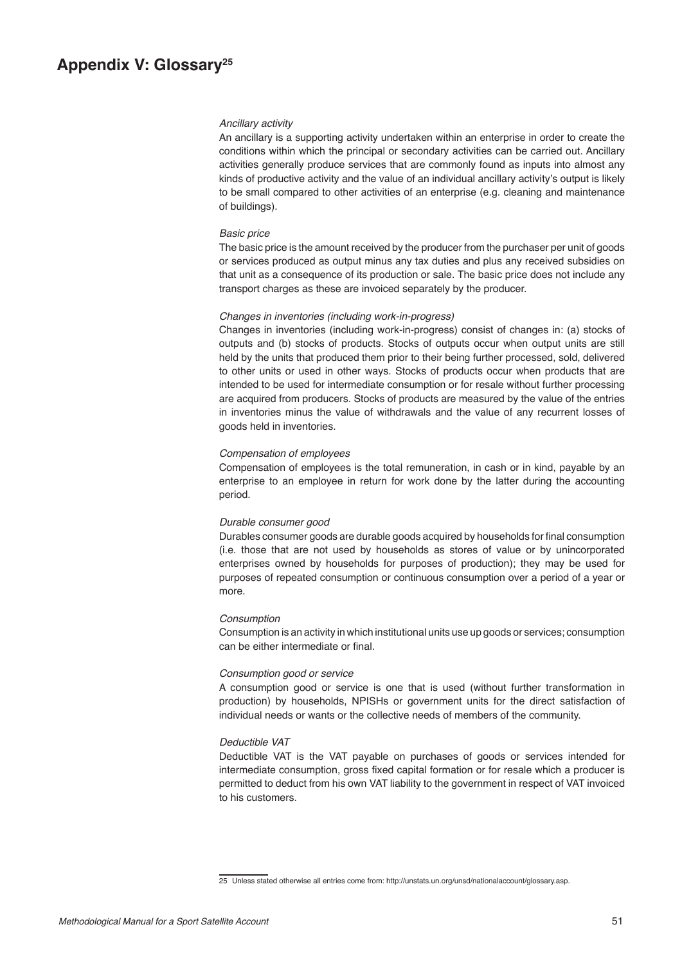#### <span id="page-50-0"></span>*Ancillary activity*

An ancillary is a supporting activity undertaken within an enterprise in order to create the conditions within which the principal or secondary activities can be carried out. Ancillary activities generally produce services that are commonly found as inputs into almost any kinds of productive activity and the value of an individual ancillary activity's output is likely to be small compared to other activities of an enterprise (e.g. cleaning and maintenance of buildings).

## *Basic price*

The basic price is the amount received by the producer from the purchaser per unit of goods or services produced as output minus any tax duties and plus any received subsidies on that unit as a consequence of its production or sale. The basic price does not include any transport charges as these are invoiced separately by the producer.

## Changes in inventories (including work-in-progress)

Changes in inventories (including work-in-progress) consist of changes in: (a) stocks of outputs and (b) stocks of products. Stocks of outputs occur when output units are still held by the units that produced them prior to their being further processed, sold, delivered to other units or used in other ways. Stocks of products occur when products that are intended to be used for intermediate consumption or for resale without further processing are acquired from producers. Stocks of products are measured by the value of the entries in inventories minus the value of withdrawals and the value of any recurrent losses of goods held in inventories.

## *Compensation of employees*

Compensation of employees is the total remuneration, in cash or in kind, payable by an enterprise to an employee in return for work done by the latter during the accounting period.

## *Durable consumer good*

Durables consumer goods are durable goods acquired by households for final consumption (i.e. those that are not used by households as stores of value or by unincorporated enterprises owned by households for purposes of production); they may be used for purposes of repeated consumption or continuous consumption over a period of a year or more.

#### *Consumption*

Consumption is an activity in which institutional units use up goods or services; consumption can be either intermediate or final.

#### *Consumption good or service*

A consumption good or service is one that is used (without further transformation in production) by households, NPISHs or government units for the direct satisfaction of individual needs or wants or the collective needs of members of the community.

## *Deductible VAT*

Deductible VAT is the VAT payable on purchases of goods or services intended for intermediate consumption, gross fixed capital formation or for resale which a producer is permitted to deduct from his own VAT liability to the government in respect of VAT invoiced to his customers.

<sup>25</sup> Unless stated otherwise all entries come from: http://unstats.un.org/unsd/nationalaccount/glossary.asp.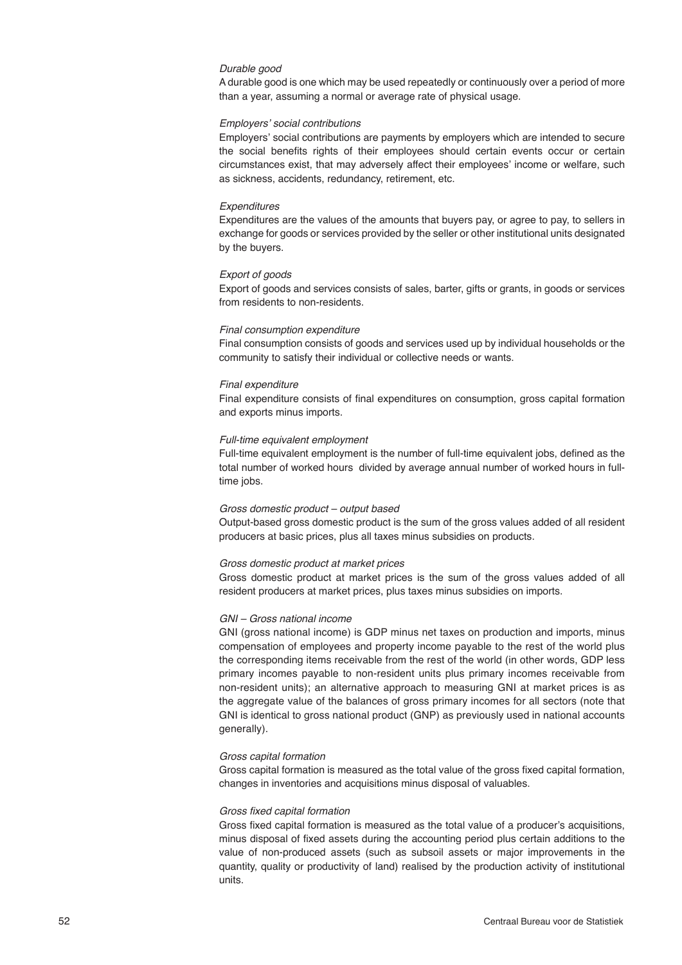## *Durable good*

A durable good is one which may be used repeatedly or continuously over a period of more than a year, assuming a normal or average rate of physical usage.

#### Employers' social contributions

Employers' social contributions are payments by employers which are intended to secure the social benefits rights of their employees should certain events occur or certain circumstances exist, that may adversely affect their employees' income or welfare, such as sickness, accidents, redundancy, retirement, etc.

## **Expenditures**

Expenditures are the values of the amounts that buyers pay, or agree to pay, to sellers in exchange for goods or services provided by the seller or other institutional units designated by the buyers.

#### Export of goods

Export of goods and services consists of sales, barter, gifts or grants, in goods or services from residents to non-residents.

#### Final consumption expenditure

Final consumption consists of goods and services used up by individual households or the community to satisfy their individual or collective needs or wants.

#### Final expenditure

Final expenditure consists of final expenditures on consumption, gross capital formation and exports minus imports.

#### Full-time equivalent employment

Full-time equivalent employment is the number of full-time equivalent jobs, defined as the total number of worked hours divided by average annual number of worked hours in fulltime jobs.

## *Gross domestic product – output based*

Output-based gross domestic product is the sum of the gross values added of all resident producers at basic prices, plus all taxes minus subsidies on products.

## *Gross domestic product at market prices*

Gross domestic product at market prices is the sum of the gross values added of all resident producers at market prices, plus taxes minus subsidies on imports.

## GNI – Gross national income

GNI (gross national income) is GDP minus net taxes on production and imports, minus compensation of employees and property income payable to the rest of the world plus the corresponding items receivable from the rest of the world (in other words, GDP less primary incomes payable to non-resident units plus primary incomes receivable from non-resident units); an alternative approach to measuring GNI at market prices is as the aggregate value of the balances of gross primary incomes for all sectors (note that GNI is identical to gross national product (GNP) as previously used in national accounts generally).

#### *Gross capital formation*

Gross capital formation is measured as the total value of the gross fixed capital formation, changes in inventories and acquisitions minus disposal of valuables.

## Gross fixed capital formation

Gross fixed capital formation is measured as the total value of a producer's acquisitions, minus disposal of fixed assets during the accounting period plus certain additions to the value of non-produced assets (such as subsoil assets or major improvements in the quantity, quality or productivity of land) realised by the production activity of institutional units.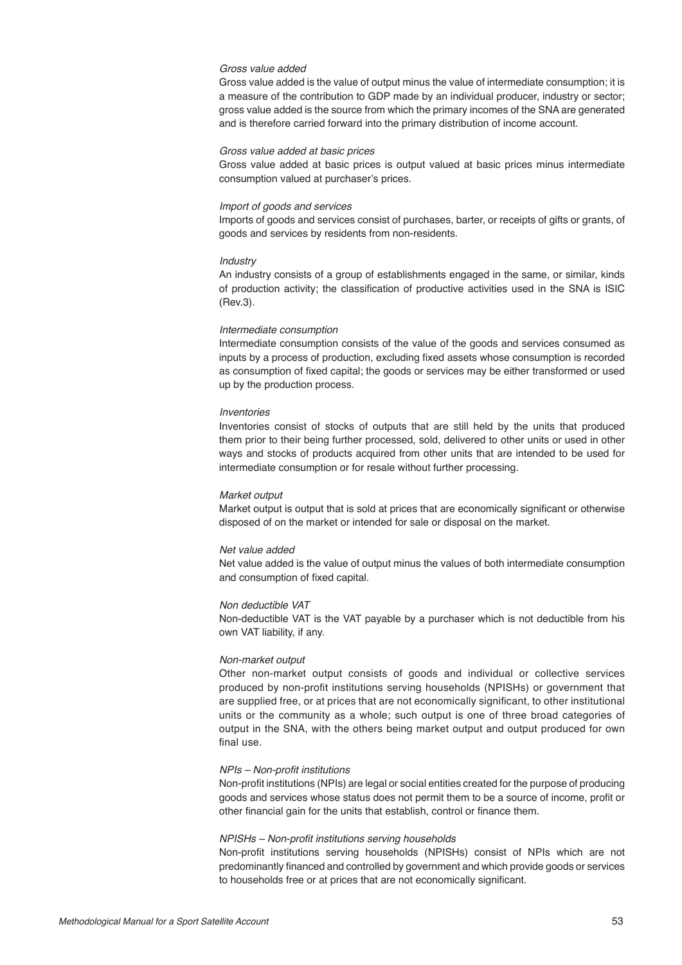## *Gross value added*

Gross value added is the value of output minus the value of intermediate consumption; it is a measure of the contribution to GDP made by an individual producer, industry or sector; gross value added is the source from which the primary incomes of the SNA are generated and is therefore carried forward into the primary distribution of income account.

#### *Gross value added at basic prices*

Gross value added at basic prices is output valued at basic prices minus intermediate consumption valued at purchaser's prices.

## *Import of goods and services*

Imports of goods and services consist of purchases, barter, or receipts of gifts or grants, of goods and services by residents from non-residents.

#### *Industry*

An industry consists of a group of establishments engaged in the same, or similar, kinds of production activity; the classification of productive activities used in the SNA is ISIC (Rev.3).

#### *Intermediate consumption*

Intermediate consumption consists of the value of the goods and services consumed as inputs by a process of production, excluding fixed assets whose consumption is recorded as consumption of fixed capital; the goods or services may be either transformed or used up by the production process.

#### *Inventories*

Inventories consist of stocks of outputs that are still held by the units that produced them prior to their being further processed, sold, delivered to other units or used in other ways and stocks of products acquired from other units that are intended to be used for intermediate consumption or for resale without further processing.

#### *Market output*

Market output is output that is sold at prices that are economically significant or otherwise disposed of on the market or intended for sale or disposal on the market.

#### Net value added

Net value added is the value of output minus the values of both intermediate consumption and consumption of fixed capital.

#### Non deductible VAT

Non-deductible VAT is the VAT payable by a purchaser which is not deductible from his own VAT liability, if any.

## Non-market output

Other non-market output consists of goods and individual or collective services produced by non-profit institutions serving households (NPISHs) or government that are supplied free, or at prices that are not economically significant, to other institutional units or the community as a whole; such output is one of three broad categories of output in the SNA, with the others being market output and output produced for own final use.

## NPIs – Non-profit institutions

Non-profit institutions (NPIs) are legal or social entities created for the purpose of producing goods and services whose status does not permit them to be a source of income, profit or other financial gain for the units that establish, control or finance them.

#### NPISHs – Non-profit institutions serving households

Non-profit institutions serving households (NPISHs) consist of NPIs which are not predominantly financed and controlled by government and which provide goods or services to households free or at prices that are not economically significant.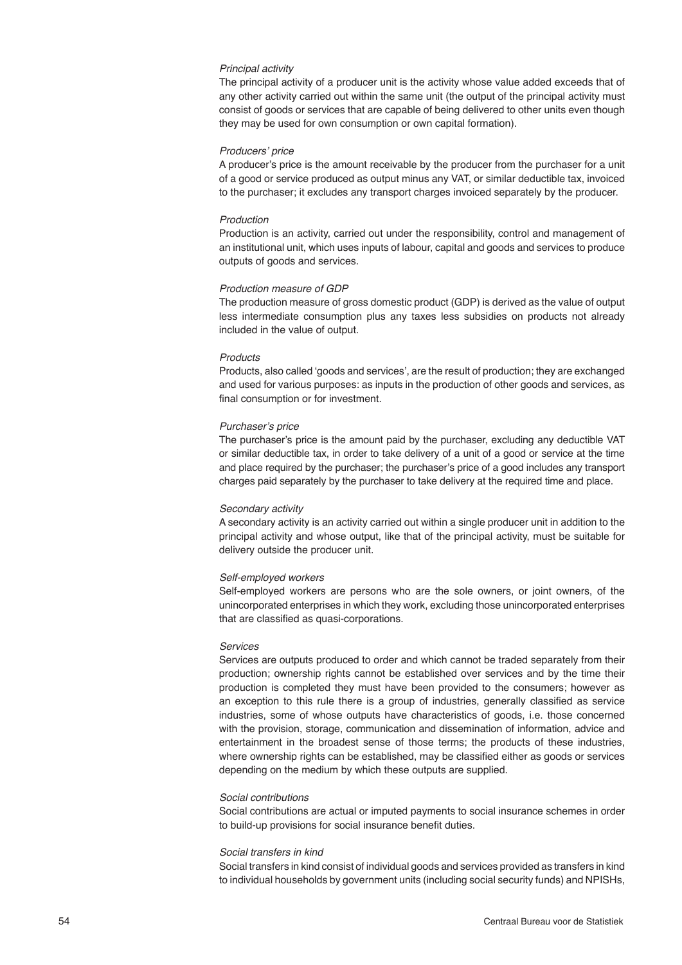## *Principal activity*

The principal activity of a producer unit is the activity whose value added exceeds that of any other activity carried out within the same unit (the output of the principal activity must consist of goods or services that are capable of being delivered to other units even though they may be used for own consumption or own capital formation).

#### Producers' price

A producer's price is the amount receivable by the producer from the purchaser for a unit of a good or service produced as output minus any VAT, or similar deductible tax, invoiced to the purchaser; it excludes any transport charges invoiced separately by the producer.

## *Production*

Production is an activity, carried out under the responsibility, control and management of an institutional unit, which uses inputs of labour, capital and goods and services to produce outputs of goods and services.

#### *Production measure of GDP*

The production measure of gross domestic product (GDP) is derived as the value of output less intermediate consumption plus any taxes less subsidies on products not already included in the value of output.

## *Products*

Products, also called 'goods and services', are the result of production; they are exchanged and used for various purposes: as inputs in the production of other goods and services, as final consumption or for investment.

#### Purchaser's price

The purchaser's price is the amount paid by the purchaser, excluding any deductible VAT or similar deductible tax, in order to take delivery of a unit of a good or service at the time and place required by the purchaser; the purchaser's price of a good includes any transport charges paid separately by the purchaser to take delivery at the required time and place.

## *Secondary activity*

A secondary activity is an activity carried out within a single producer unit in addition to the principal activity and whose output, like that of the principal activity, must be suitable for delivery outside the producer unit.

#### Self-employed workers

Self-employed workers are persons who are the sole owners, or joint owners, of the unincorporated enterprises in which they work, excluding those unincorporated enterprises that are classified as quasi-corporations.

#### *Services*

Services are outputs produced to order and which cannot be traded separately from their production; ownership rights cannot be established over services and by the time their production is completed they must have been provided to the consumers; however as an exception to this rule there is a group of industries, generally classified as service industries, some of whose outputs have characteristics of goods, i.e. those concerned with the provision, storage, communication and dissemination of information, advice and entertainment in the broadest sense of those terms; the products of these industries, where ownership rights can be established, may be classified either as goods or services depending on the medium by which these outputs are supplied.

#### *Social contributions*

Social contributions are actual or imputed payments to social insurance schemes in order to build-up provisions for social insurance benefit duties.

## *Social transfers in kind*

Social transfers in kind consist of individual goods and services provided as transfers in kind to individual households by government units (including social security funds) and NPISHs,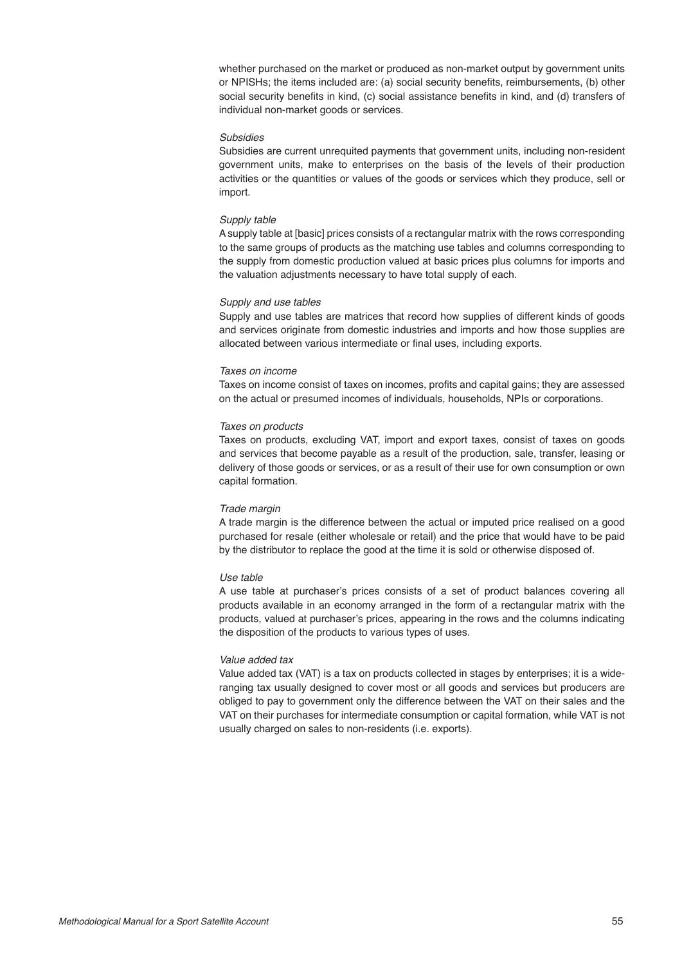whether purchased on the market or produced as non-market output by government units or NPISHs; the items included are: (a) social security benefits, reimbursements, (b) other social security benefits in kind, (c) social assistance benefits in kind, and (d) transfers of individual non-market goods or services.

#### *Subsidies*

Subsidies are current unrequited payments that government units, including non-resident government units, make to enterprises on the basis of the levels of their production activities or the quantities or values of the goods or services which they produce, sell or import.

## *Supply table*

A supply table at [basic] prices consists of a rectangular matrix with the rows corresponding to the same groups of products as the matching use tables and columns corresponding to the supply from domestic production valued at basic prices plus columns for imports and the valuation adjustments necessary to have total supply of each.

## *Supply and use tables*

Supply and use tables are matrices that record how supplies of different kinds of goods and services originate from domestic industries and imports and how those supplies are allocated between various intermediate or final uses, including exports.

## Taxes on income

Taxes on income consist of taxes on incomes, profits and capital gains; they are assessed on the actual or presumed incomes of individuals, households, NPIs or corporations.

#### Taxes on products

Taxes on products, excluding VAT, import and export taxes, consist of taxes on goods and services that become payable as a result of the production, sale, transfer, leasing or delivery of those goods or services, or as a result of their use for own consumption or own capital formation.

## *Trade margin*

A trade margin is the difference between the actual or imputed price realised on a good purchased for resale (either wholesale or retail) and the price that would have to be paid by the distributor to replace the good at the time it is sold or otherwise disposed of.

#### Use table

A use table at purchaser's prices consists of a set of product balances covering all products available in an economy arranged in the form of a rectangular matrix with the products, valued at purchaser's prices, appearing in the rows and the columns indicating the disposition of the products to various types of uses.

#### Value added tax

Value added tax (VAT) is a tax on products collected in stages by enterprises; it is a wideranging tax usually designed to cover most or all goods and services but producers are obliged to pay to government only the difference between the VAT on their sales and the VAT on their purchases for intermediate consumption or capital formation, while VAT is not usually charged on sales to non-residents (i.e. exports).